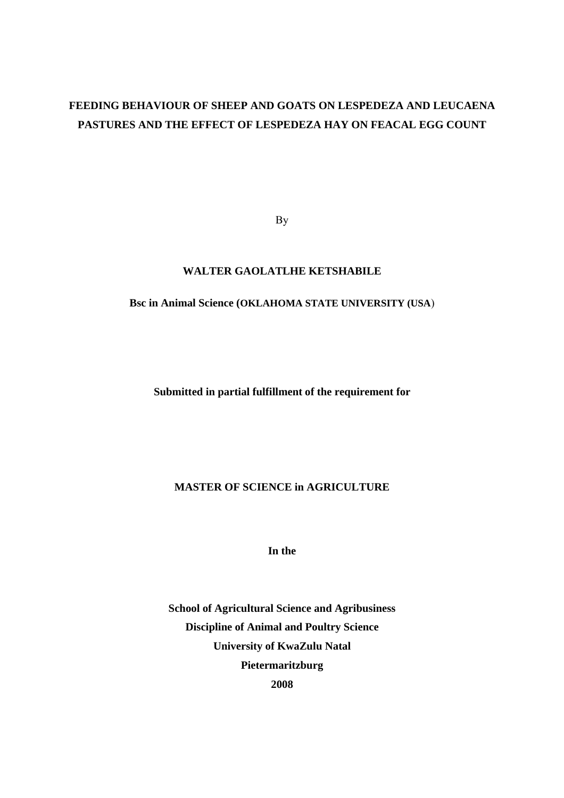## **FEEDING BEHAVIOUR OF SHEEP AND GOATS ON LESPEDEZA AND LEUCAENA PASTURES AND THE EFFECT OF LESPEDEZA HAY ON FEACAL EGG COUNT**

By

### **WALTER GAOLATLHE KETSHABILE**

## **Bsc in Animal Science (OKLAHOMA STATE UNIVERSITY (USA**)

**Submitted in partial fulfillment of the requirement for** 

## **MASTER OF SCIENCE in AGRICULTURE**

**In the** 

**School of Agricultural Science and Agribusiness Discipline of Animal and Poultry Science University of KwaZulu Natal Pietermaritzburg 2008**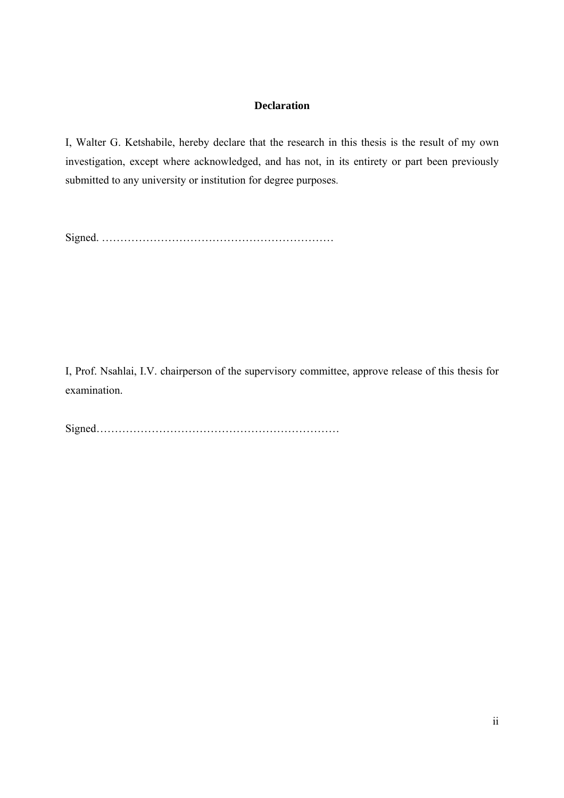### **Declaration**

I, Walter G. Ketshabile, hereby declare that the research in this thesis is the result of my own investigation, except where acknowledged, and has not, in its entirety or part been previously submitted to any university or institution for degree purposes.

Signed. ………………………………………………………

I, Prof. Nsahlai, I.V. chairperson of the supervisory committee, approve release of this thesis for examination.

Signed…………………………………………………………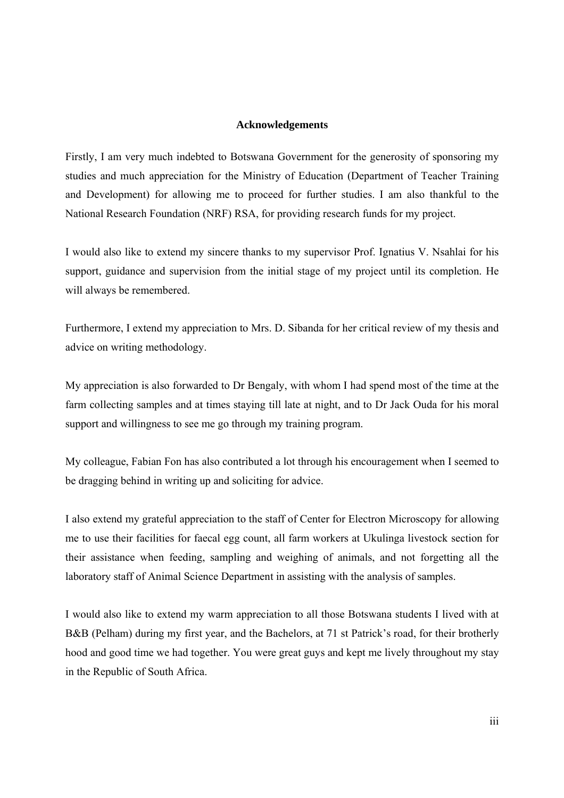#### **Acknowledgements**

Firstly, I am very much indebted to Botswana Government for the generosity of sponsoring my studies and much appreciation for the Ministry of Education (Department of Teacher Training and Development) for allowing me to proceed for further studies. I am also thankful to the National Research Foundation (NRF) RSA, for providing research funds for my project.

I would also like to extend my sincere thanks to my supervisor Prof. Ignatius V. Nsahlai for his support, guidance and supervision from the initial stage of my project until its completion. He will always be remembered.

Furthermore, I extend my appreciation to Mrs. D. Sibanda for her critical review of my thesis and advice on writing methodology.

My appreciation is also forwarded to Dr Bengaly, with whom I had spend most of the time at the farm collecting samples and at times staying till late at night, and to Dr Jack Ouda for his moral support and willingness to see me go through my training program.

My colleague, Fabian Fon has also contributed a lot through his encouragement when I seemed to be dragging behind in writing up and soliciting for advice.

I also extend my grateful appreciation to the staff of Center for Electron Microscopy for allowing me to use their facilities for faecal egg count, all farm workers at Ukulinga livestock section for their assistance when feeding, sampling and weighing of animals, and not forgetting all the laboratory staff of Animal Science Department in assisting with the analysis of samples.

I would also like to extend my warm appreciation to all those Botswana students I lived with at B&B (Pelham) during my first year, and the Bachelors, at 71 st Patrick's road, for their brotherly hood and good time we had together. You were great guys and kept me lively throughout my stay in the Republic of South Africa.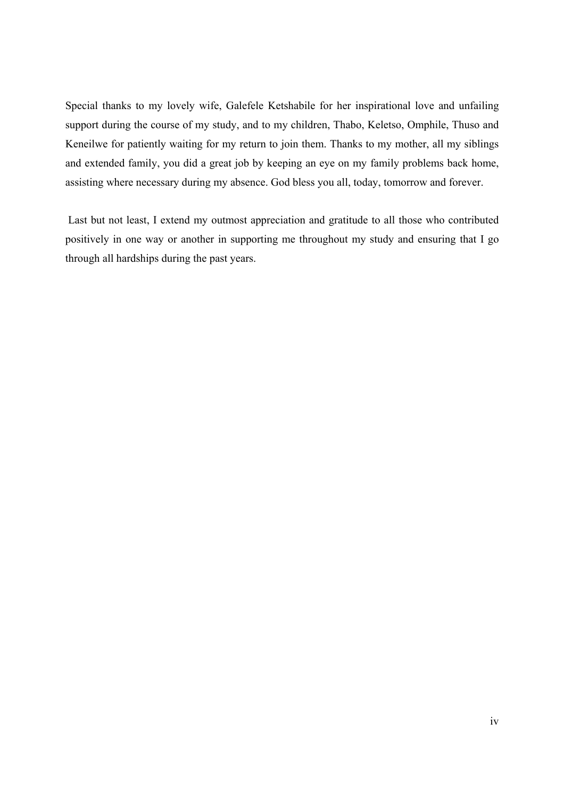Special thanks to my lovely wife, Galefele Ketshabile for her inspirational love and unfailing support during the course of my study, and to my children, Thabo, Keletso, Omphile, Thuso and Keneilwe for patiently waiting for my return to join them. Thanks to my mother, all my siblings and extended family, you did a great job by keeping an eye on my family problems back home, assisting where necessary during my absence. God bless you all, today, tomorrow and forever.

 Last but not least, I extend my outmost appreciation and gratitude to all those who contributed positively in one way or another in supporting me throughout my study and ensuring that I go through all hardships during the past years.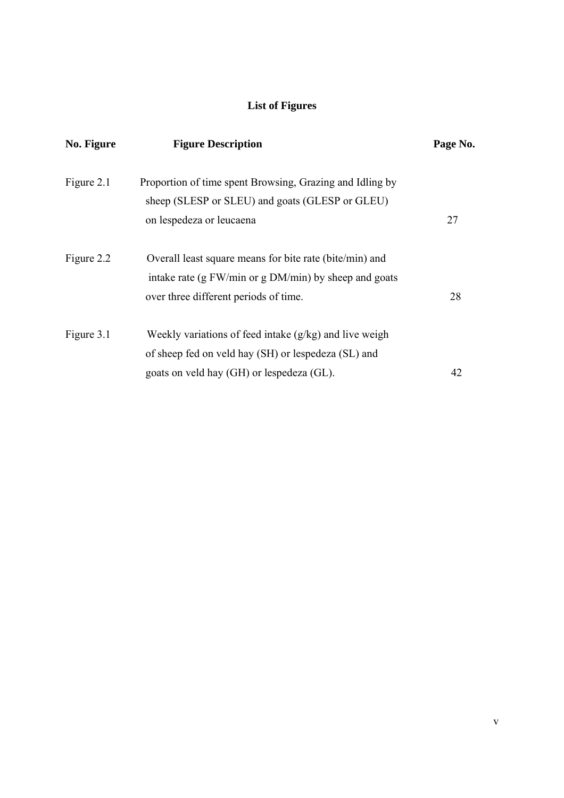## **List of Figures**

| No. Figure | <b>Figure Description</b>                                                                                        | Page No. |
|------------|------------------------------------------------------------------------------------------------------------------|----------|
| Figure 2.1 | Proportion of time spent Browsing, Grazing and Idling by<br>sheep (SLESP or SLEU) and goats (GLESP or GLEU)      |          |
|            | on lespedeza or leucaena                                                                                         | 27       |
| Figure 2.2 | Overall least square means for bite rate (bite/min) and<br>intake rate (g FW/min or g DM/min) by sheep and goats |          |
|            | over three different periods of time.                                                                            | 28       |
| Figure 3.1 | Weekly variations of feed intake $(g/kg)$ and live weigh<br>of sheep fed on veld hay (SH) or lespedeza (SL) and  |          |
|            | goats on veld hay (GH) or lespedeza (GL).                                                                        | 42       |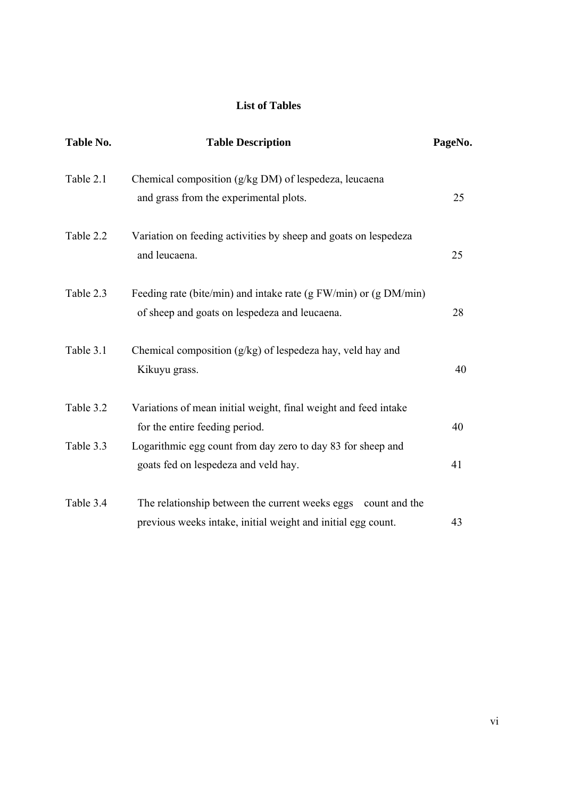## **List of Tables**

| Table No. | <b>Table Description</b>                                         | PageNo. |
|-----------|------------------------------------------------------------------|---------|
| Table 2.1 | Chemical composition (g/kg DM) of lespedeza, leucaena            |         |
|           | and grass from the experimental plots.                           | 25      |
| Table 2.2 | Variation on feeding activities by sheep and goats on lespedeza  |         |
|           | and leucaena.                                                    | 25      |
| Table 2.3 | Feeding rate (bite/min) and intake rate (g FW/min) or (g DM/min) |         |
|           | of sheep and goats on lespedeza and leucaena.                    | 28      |
| Table 3.1 | Chemical composition (g/kg) of lespedeza hay, veld hay and       |         |
|           | Kikuyu grass.                                                    | 40      |
| Table 3.2 | Variations of mean initial weight, final weight and feed intake  |         |
|           | for the entire feeding period.                                   | 40      |
| Table 3.3 | Logarithmic egg count from day zero to day 83 for sheep and      |         |
|           | goats fed on lespedeza and veld hay.                             | 41      |
| Table 3.4 | The relationship between the current weeks eggs count and the    |         |
|           | previous weeks intake, initial weight and initial egg count.     | 43      |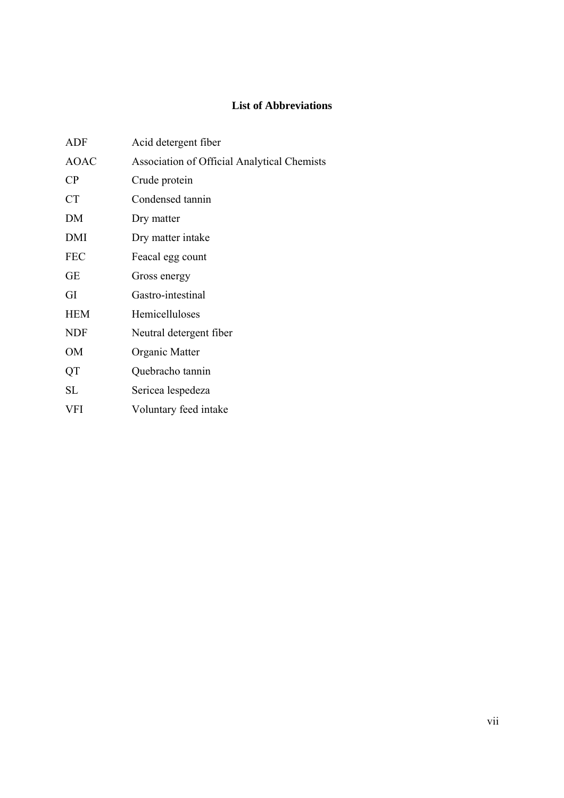## **List of Abbreviations**

| ADF         | Acid detergent fiber                               |
|-------------|----------------------------------------------------|
| <b>AOAC</b> | <b>Association of Official Analytical Chemists</b> |
| $\rm CP$    | Crude protein                                      |
| <b>CT</b>   | Condensed tannin                                   |
| DM          | Dry matter                                         |
| DMI         | Dry matter intake                                  |
| <b>FEC</b>  | Feacal egg count                                   |
| GЕ          | Gross energy                                       |
| GI          | Gastro-intestinal                                  |
| <b>HEM</b>  | Hemicelluloses                                     |
| <b>NDF</b>  | Neutral detergent fiber                            |
| <b>OM</b>   | Organic Matter                                     |
| QT          | Quebracho tannin                                   |
| SL          | Sericea lespedeza                                  |
| VFI         | Voluntary feed intake                              |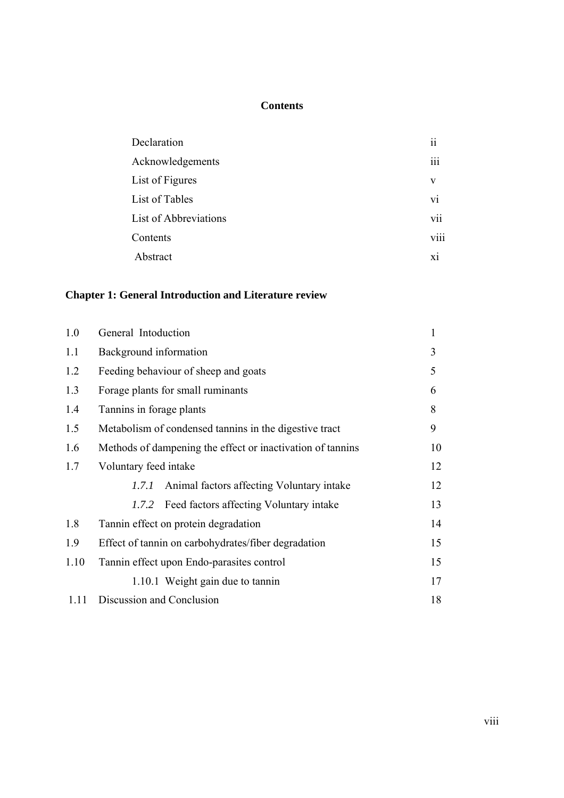## **Contents**

| Declaration           | $\overline{\mathbf{ii}}$ |
|-----------------------|--------------------------|
| Acknowledgements      | iii                      |
| List of Figures       | V                        |
| List of Tables        | vi                       |
| List of Abbreviations | vii                      |
| Contents              | viii                     |
| Abstract              | X1                       |
|                       |                          |

## **Chapter 1: General Introduction and Literature review**

| 1.0  | General Intoduction                                        | $\mathbf{1}$ |  |
|------|------------------------------------------------------------|--------------|--|
| 1.1  | Background information                                     |              |  |
| 1.2  | Feeding behaviour of sheep and goats                       |              |  |
| 1.3  | Forage plants for small ruminants                          |              |  |
| 1.4  | Tannins in forage plants                                   |              |  |
| 1.5  | Metabolism of condensed tanning in the digestive tract     |              |  |
| 1.6  | Methods of dampening the effect or inactivation of tannins |              |  |
| 1.7  | Voluntary feed intake                                      | 12           |  |
|      | Animal factors affecting Voluntary intake<br>1.7.1         | 12           |  |
|      | 1.7.2 Feed factors affecting Voluntary intake              | 13           |  |
| 1.8  | Tannin effect on protein degradation                       | 14           |  |
| 1.9  | Effect of tannin on carbohydrates/fiber degradation        | 15           |  |
| 1.10 | Tannin effect upon Endo-parasites control                  | 15           |  |
|      | 1.10.1 Weight gain due to tannin                           | 17           |  |
| 1.11 | Discussion and Conclusion                                  | 18           |  |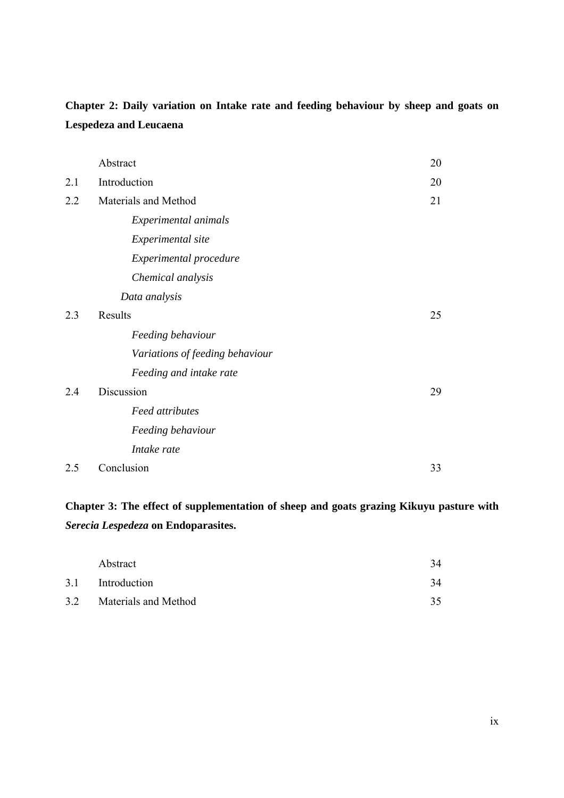# **Chapter 2: Daily variation on Intake rate and feeding behaviour by sheep and goats on Lespedeza and Leucaena**

|     | Abstract                        | 20 |
|-----|---------------------------------|----|
| 2.1 | Introduction                    | 20 |
| 2.2 | Materials and Method            | 21 |
|     | Experimental animals            |    |
|     | Experimental site               |    |
|     | Experimental procedure          |    |
|     | Chemical analysis               |    |
|     | Data analysis                   |    |
| 2.3 | Results                         | 25 |
|     | Feeding behaviour               |    |
|     | Variations of feeding behaviour |    |
|     | Feeding and intake rate         |    |
| 2.4 | Discussion                      | 29 |
|     | <b>Feed attributes</b>          |    |
|     | Feeding behaviour               |    |
|     | Intake rate                     |    |
| 2.5 | Conclusion                      | 33 |

# **Chapter 3: The effect of supplementation of sheep and goats grazing Kikuyu pasture with**  *Serecia Lespedeza* **on Endoparasites.**

| Abstract                 | 34 |
|--------------------------|----|
| 3.1 Introduction         | 34 |
| 3.2 Materials and Method | 35 |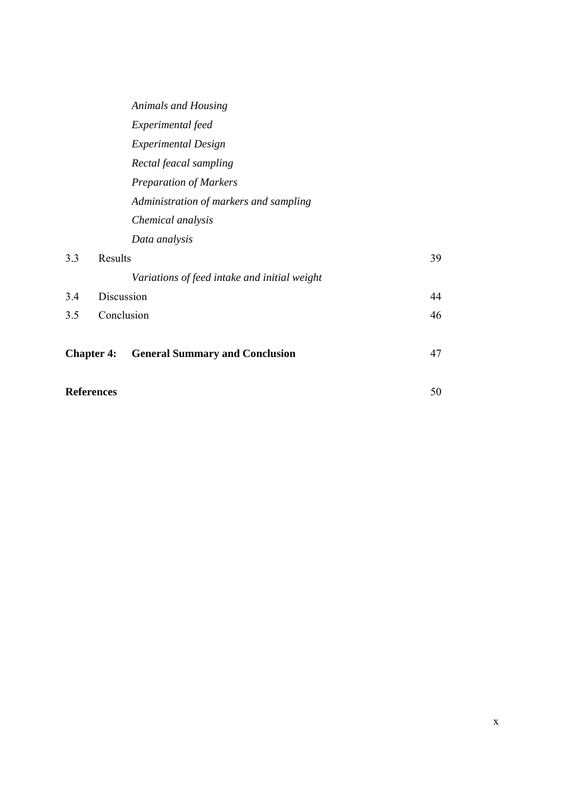|     |                   | Animals and Housing                          |    |
|-----|-------------------|----------------------------------------------|----|
|     |                   | Experimental feed                            |    |
|     |                   | <b>Experimental Design</b>                   |    |
|     |                   | Rectal feacal sampling                       |    |
|     |                   | <b>Preparation of Markers</b>                |    |
|     |                   | Administration of markers and sampling       |    |
|     |                   | Chemical analysis                            |    |
|     |                   | Data analysis                                |    |
| 3.3 | Results           |                                              | 39 |
|     |                   | Variations of feed intake and initial weight |    |
| 3.4 |                   | Discussion                                   | 44 |
| 3.5 |                   | Conclusion                                   | 46 |
|     |                   |                                              |    |
|     | <b>Chapter 4:</b> | <b>General Summary and Conclusion</b>        | 47 |
|     |                   |                                              |    |
|     | <b>References</b> |                                              | 50 |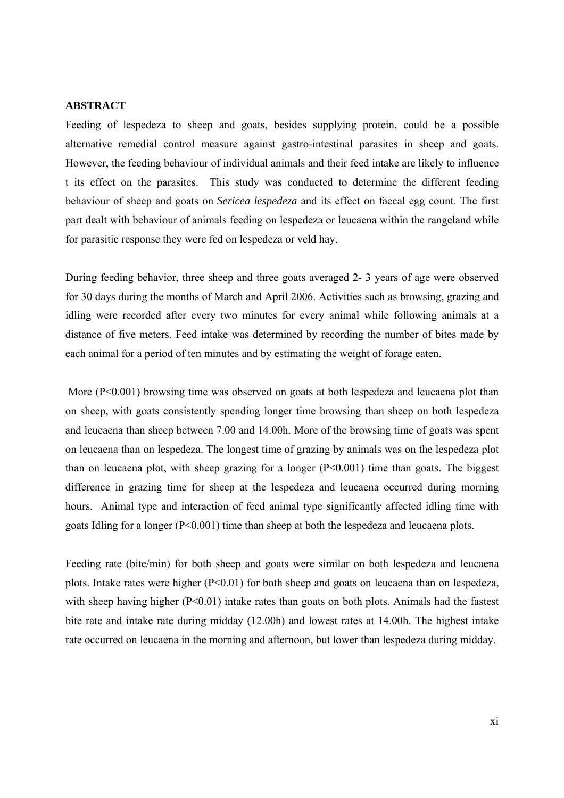#### **ABSTRACT**

Feeding of lespedeza to sheep and goats, besides supplying protein, could be a possible alternative remedial control measure against gastro-intestinal parasites in sheep and goats. However, the feeding behaviour of individual animals and their feed intake are likely to influence t its effect on the parasites. This study was conducted to determine the different feeding behaviour of sheep and goats on *Sericea lespedeza* and its effect on faecal egg count. The first part dealt with behaviour of animals feeding on lespedeza or leucaena within the rangeland while for parasitic response they were fed on lespedeza or veld hay.

During feeding behavior, three sheep and three goats averaged 2- 3 years of age were observed for 30 days during the months of March and April 2006. Activities such as browsing, grazing and idling were recorded after every two minutes for every animal while following animals at a distance of five meters. Feed intake was determined by recording the number of bites made by each animal for a period of ten minutes and by estimating the weight of forage eaten.

More (P<0.001) browsing time was observed on goats at both lespedeza and leucaena plot than on sheep, with goats consistently spending longer time browsing than sheep on both lespedeza and leucaena than sheep between 7.00 and 14.00h. More of the browsing time of goats was spent on leucaena than on lespedeza. The longest time of grazing by animals was on the lespedeza plot than on leucaena plot, with sheep grazing for a longer  $(P<0.001)$  time than goats. The biggest difference in grazing time for sheep at the lespedeza and leucaena occurred during morning hours. Animal type and interaction of feed animal type significantly affected idling time with goats Idling for a longer (P<0.001) time than sheep at both the lespedeza and leucaena plots.

Feeding rate (bite/min) for both sheep and goats were similar on both lespedeza and leucaena plots. Intake rates were higher  $(P<0.01)$  for both sheep and goats on leucaena than on lespedeza, with sheep having higher  $(P<0.01)$  intake rates than goats on both plots. Animals had the fastest bite rate and intake rate during midday (12.00h) and lowest rates at 14.00h. The highest intake rate occurred on leucaena in the morning and afternoon, but lower than lespedeza during midday.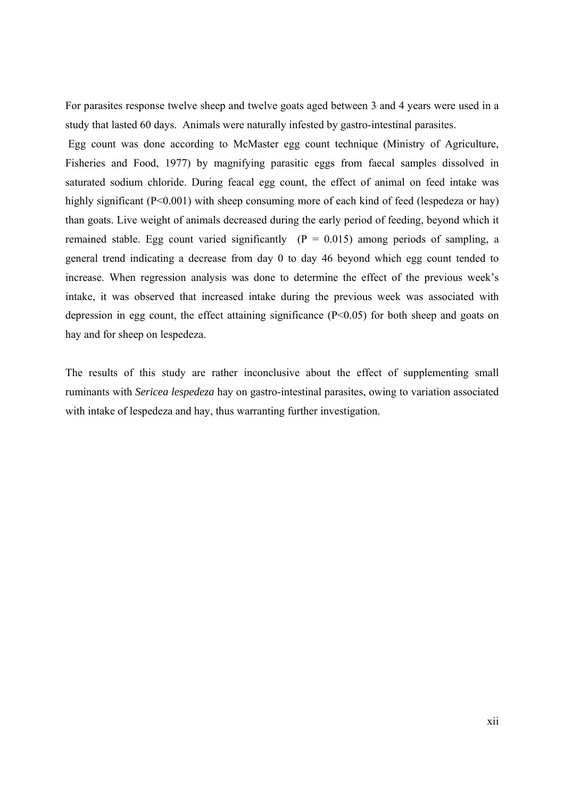For parasites response twelve sheep and twelve goats aged between 3 and 4 years were used in a study that lasted 60 days. Animals were naturally infested by gastro-intestinal parasites.

 Egg count was done according to McMaster egg count technique (Ministry of Agriculture, Fisheries and Food, 1977) by magnifying parasitic eggs from faecal samples dissolved in saturated sodium chloride. During feacal egg count, the effect of animal on feed intake was highly significant (P<0.001) with sheep consuming more of each kind of feed (lespedeza or hay) than goats. Live weight of animals decreased during the early period of feeding, beyond which it remained stable. Egg count varied significantly  $(P = 0.015)$  among periods of sampling, a general trend indicating a decrease from day 0 to day 46 beyond which egg count tended to increase. When regression analysis was done to determine the effect of the previous week's intake, it was observed that increased intake during the previous week was associated with depression in egg count, the effect attaining significance  $(P<0.05)$  for both sheep and goats on hay and for sheep on lespedeza.

The results of this study are rather inconclusive about the effect of supplementing small ruminants with *Sericea lespedeza* hay on gastro-intestinal parasites, owing to variation associated with intake of lespedeza and hay, thus warranting further investigation.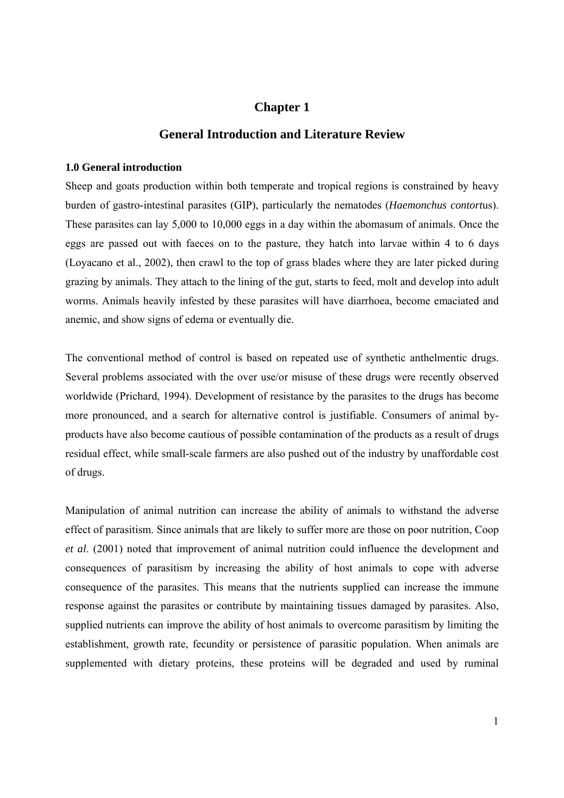## **Chapter 1**

### **General Introduction and Literature Review**

#### **1.0 General introduction**

Sheep and goats production within both temperate and tropical regions is constrained by heavy burden of gastro-intestinal parasites (GIP), particularly the nematodes (*Haemonchus contort*us). These parasites can lay 5,000 to 10,000 eggs in a day within the abomasum of animals. Once the eggs are passed out with faeces on to the pasture, they hatch into larvae within 4 to 6 days (Loyacano et al., 2002), then crawl to the top of grass blades where they are later picked during grazing by animals. They attach to the lining of the gut, starts to feed, molt and develop into adult worms. Animals heavily infested by these parasites will have diarrhoea, become emaciated and anemic, and show signs of edema or eventually die.

The conventional method of control is based on repeated use of synthetic anthelmentic drugs. Several problems associated with the over use/or misuse of these drugs were recently observed worldwide (Prichard, 1994). Development of resistance by the parasites to the drugs has become more pronounced, and a search for alternative control is justifiable. Consumers of animal byproducts have also become cautious of possible contamination of the products as a result of drugs residual effect, while small-scale farmers are also pushed out of the industry by unaffordable cost of drugs.

Manipulation of animal nutrition can increase the ability of animals to withstand the adverse effect of parasitism. Since animals that are likely to suffer more are those on poor nutrition, Coop *et al*. (2001) noted that improvement of animal nutrition could influence the development and consequences of parasitism by increasing the ability of host animals to cope with adverse consequence of the parasites. This means that the nutrients supplied can increase the immune response against the parasites or contribute by maintaining tissues damaged by parasites. Also, supplied nutrients can improve the ability of host animals to overcome parasitism by limiting the establishment, growth rate, fecundity or persistence of parasitic population. When animals are supplemented with dietary proteins, these proteins will be degraded and used by ruminal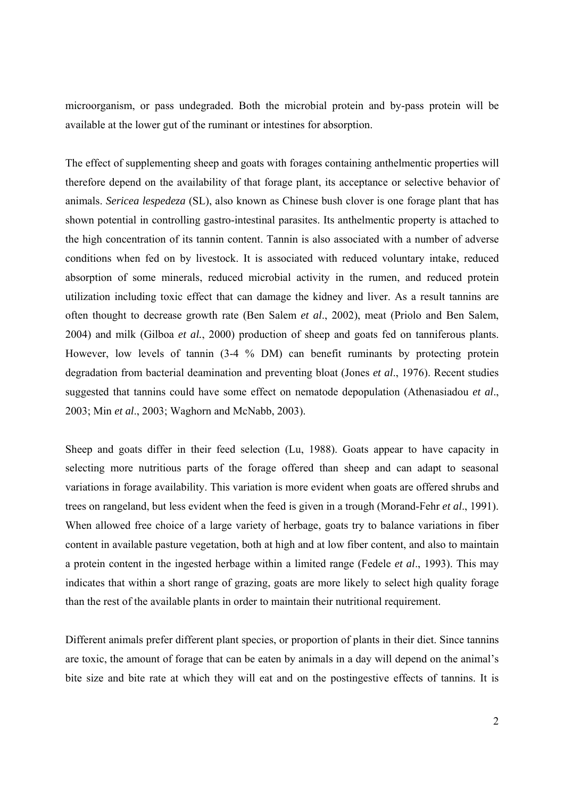microorganism, or pass undegraded. Both the microbial protein and by-pass protein will be available at the lower gut of the ruminant or intestines for absorption.

The effect of supplementing sheep and goats with forages containing anthelmentic properties will therefore depend on the availability of that forage plant, its acceptance or selective behavior of animals. *Sericea lespedeza* (SL), also known as Chinese bush clover is one forage plant that has shown potential in controlling gastro-intestinal parasites. Its anthelmentic property is attached to the high concentration of its tannin content. Tannin is also associated with a number of adverse conditions when fed on by livestock. It is associated with reduced voluntary intake, reduced absorption of some minerals, reduced microbial activity in the rumen, and reduced protein utilization including toxic effect that can damage the kidney and liver. As a result tannins are often thought to decrease growth rate (Ben Salem *et al*., 2002), meat (Priolo and Ben Salem, 2004) and milk (Gilboa *et al.*, 2000) production of sheep and goats fed on tanniferous plants. However, low levels of tannin (3-4 % DM) can benefit ruminants by protecting protein degradation from bacterial deamination and preventing bloat (Jones *et al*., 1976). Recent studies suggested that tannins could have some effect on nematode depopulation (Athenasiadou *et al*., 2003; Min *et al*., 2003; Waghorn and McNabb, 2003).

Sheep and goats differ in their feed selection (Lu, 1988). Goats appear to have capacity in selecting more nutritious parts of the forage offered than sheep and can adapt to seasonal variations in forage availability. This variation is more evident when goats are offered shrubs and trees on rangeland, but less evident when the feed is given in a trough (Morand-Fehr *et al*., 1991). When allowed free choice of a large variety of herbage, goats try to balance variations in fiber content in available pasture vegetation, both at high and at low fiber content, and also to maintain a protein content in the ingested herbage within a limited range (Fedele *et al*., 1993). This may indicates that within a short range of grazing, goats are more likely to select high quality forage than the rest of the available plants in order to maintain their nutritional requirement.

Different animals prefer different plant species, or proportion of plants in their diet. Since tannins are toxic, the amount of forage that can be eaten by animals in a day will depend on the animal's bite size and bite rate at which they will eat and on the postingestive effects of tannins. It is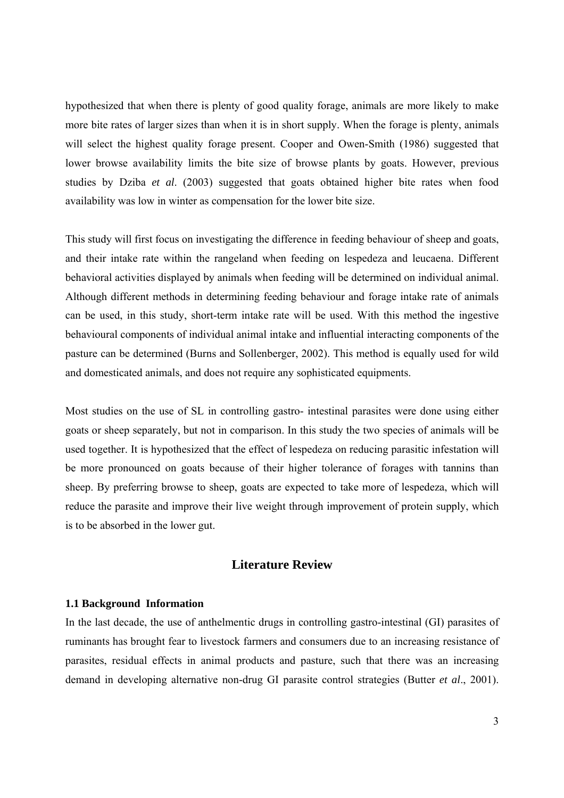hypothesized that when there is plenty of good quality forage, animals are more likely to make more bite rates of larger sizes than when it is in short supply. When the forage is plenty, animals will select the highest quality forage present. Cooper and Owen-Smith (1986) suggested that lower browse availability limits the bite size of browse plants by goats. However, previous studies by Dziba *et al*. (2003) suggested that goats obtained higher bite rates when food availability was low in winter as compensation for the lower bite size.

This study will first focus on investigating the difference in feeding behaviour of sheep and goats, and their intake rate within the rangeland when feeding on lespedeza and leucaena. Different behavioral activities displayed by animals when feeding will be determined on individual animal. Although different methods in determining feeding behaviour and forage intake rate of animals can be used, in this study, short-term intake rate will be used. With this method the ingestive behavioural components of individual animal intake and influential interacting components of the pasture can be determined (Burns and Sollenberger, 2002). This method is equally used for wild and domesticated animals, and does not require any sophisticated equipments.

Most studies on the use of SL in controlling gastro- intestinal parasites were done using either goats or sheep separately, but not in comparison. In this study the two species of animals will be used together. It is hypothesized that the effect of lespedeza on reducing parasitic infestation will be more pronounced on goats because of their higher tolerance of forages with tannins than sheep. By preferring browse to sheep, goats are expected to take more of lespedeza, which will reduce the parasite and improve their live weight through improvement of protein supply, which is to be absorbed in the lower gut.

## **Literature Review**

#### **1.1 Background Information**

In the last decade, the use of anthelmentic drugs in controlling gastro-intestinal (GI) parasites of ruminants has brought fear to livestock farmers and consumers due to an increasing resistance of parasites, residual effects in animal products and pasture, such that there was an increasing demand in developing alternative non-drug GI parasite control strategies (Butter *et al*., 2001).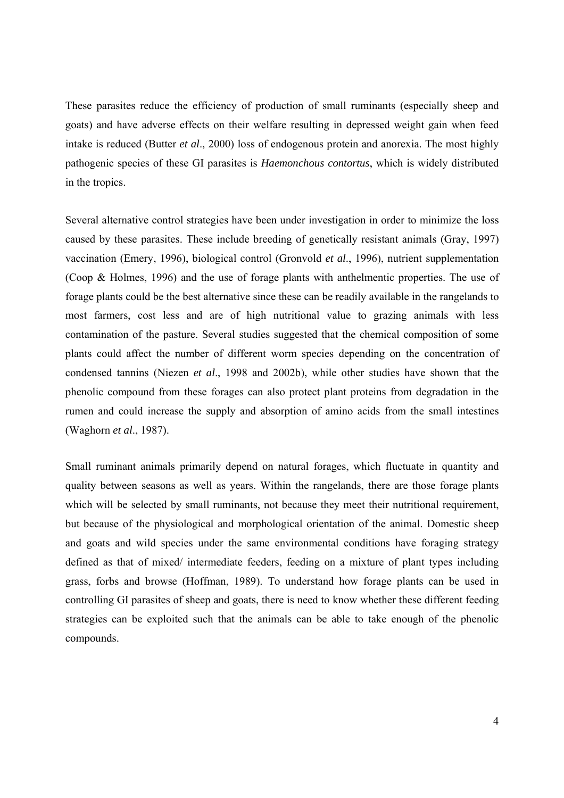These parasites reduce the efficiency of production of small ruminants (especially sheep and goats) and have adverse effects on their welfare resulting in depressed weight gain when feed intake is reduced (Butter *et al*., 2000) loss of endogenous protein and anorexia. The most highly pathogenic species of these GI parasites is *Haemonchous contortus*, which is widely distributed in the tropics.

Several alternative control strategies have been under investigation in order to minimize the loss caused by these parasites. These include breeding of genetically resistant animals (Gray, 1997) vaccination (Emery, 1996), biological control (Gronvold *et al*., 1996), nutrient supplementation (Coop & Holmes, 1996) and the use of forage plants with anthelmentic properties. The use of forage plants could be the best alternative since these can be readily available in the rangelands to most farmers, cost less and are of high nutritional value to grazing animals with less contamination of the pasture. Several studies suggested that the chemical composition of some plants could affect the number of different worm species depending on the concentration of condensed tannins (Niezen *et al*., 1998 and 2002b), while other studies have shown that the phenolic compound from these forages can also protect plant proteins from degradation in the rumen and could increase the supply and absorption of amino acids from the small intestines (Waghorn *et al*., 1987).

Small ruminant animals primarily depend on natural forages, which fluctuate in quantity and quality between seasons as well as years. Within the rangelands, there are those forage plants which will be selected by small ruminants, not because they meet their nutritional requirement, but because of the physiological and morphological orientation of the animal. Domestic sheep and goats and wild species under the same environmental conditions have foraging strategy defined as that of mixed/ intermediate feeders, feeding on a mixture of plant types including grass, forbs and browse (Hoffman, 1989). To understand how forage plants can be used in controlling GI parasites of sheep and goats, there is need to know whether these different feeding strategies can be exploited such that the animals can be able to take enough of the phenolic compounds.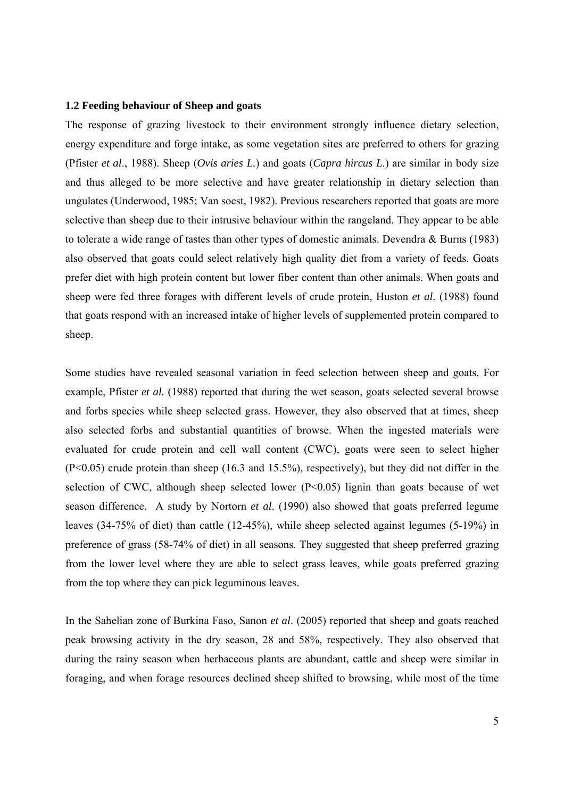#### **1.2 Feeding behaviour of Sheep and goats**

The response of grazing livestock to their environment strongly influence dietary selection, energy expenditure and forge intake, as some vegetation sites are preferred to others for grazing (Pfister *et al*., 1988). Sheep (*Ovis aries L.*) and goats (*Capra hircus L*.) are similar in body size and thus alleged to be more selective and have greater relationship in dietary selection than ungulates (Underwood, 1985; Van soest, 1982). Previous researchers reported that goats are more selective than sheep due to their intrusive behaviour within the rangeland. They appear to be able to tolerate a wide range of tastes than other types of domestic animals. Devendra & Burns (1983) also observed that goats could select relatively high quality diet from a variety of feeds. Goats prefer diet with high protein content but lower fiber content than other animals. When goats and sheep were fed three forages with different levels of crude protein, Huston *et al*. (1988) found that goats respond with an increased intake of higher levels of supplemented protein compared to sheep.

Some studies have revealed seasonal variation in feed selection between sheep and goats. For example, Pfister *et al.* (1988) reported that during the wet season, goats selected several browse and forbs species while sheep selected grass. However, they also observed that at times, sheep also selected forbs and substantial quantities of browse. When the ingested materials were evaluated for crude protein and cell wall content (CWC), goats were seen to select higher (P<0.05) crude protein than sheep (16.3 and 15.5%), respectively), but they did not differ in the selection of CWC, although sheep selected lower  $(P<0.05)$  lignin than goats because of wet season difference. A study by Nortorn *et al*. (1990) also showed that goats preferred legume leaves (34-75% of diet) than cattle (12-45%), while sheep selected against legumes (5-19%) in preference of grass (58-74% of diet) in all seasons. They suggested that sheep preferred grazing from the lower level where they are able to select grass leaves, while goats preferred grazing from the top where they can pick leguminous leaves.

In the Sahelian zone of Burkina Faso, Sanon *et al*. (2005) reported that sheep and goats reached peak browsing activity in the dry season, 28 and 58%, respectively. They also observed that during the rainy season when herbaceous plants are abundant, cattle and sheep were similar in foraging, and when forage resources declined sheep shifted to browsing, while most of the time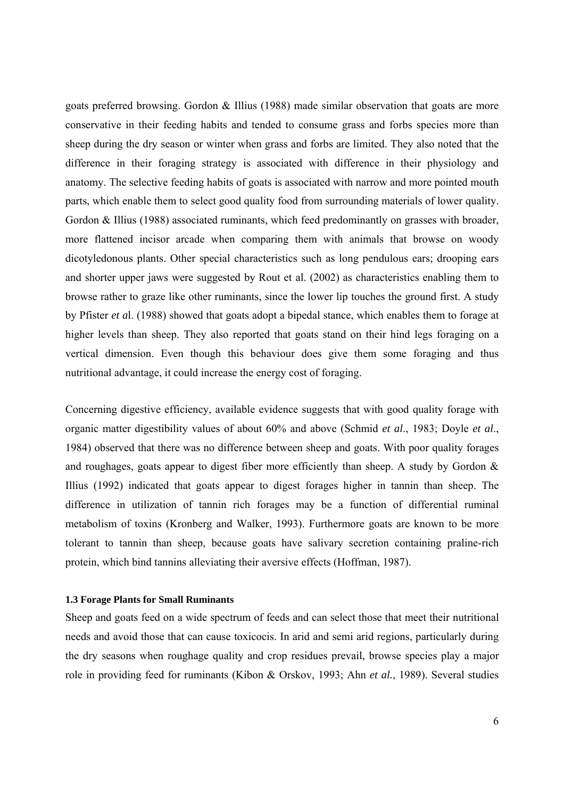goats preferred browsing. Gordon & Illius (1988) made similar observation that goats are more conservative in their feeding habits and tended to consume grass and forbs species more than sheep during the dry season or winter when grass and forbs are limited. They also noted that the difference in their foraging strategy is associated with difference in their physiology and anatomy. The selective feeding habits of goats is associated with narrow and more pointed mouth parts, which enable them to select good quality food from surrounding materials of lower quality. Gordon  $\&$  Illius (1988) associated ruminants, which feed predominantly on grasses with broader, more flattened incisor arcade when comparing them with animals that browse on woody dicotyledonous plants. Other special characteristics such as long pendulous ears; drooping ears and shorter upper jaws were suggested by Rout et al. (2002) as characteristics enabling them to browse rather to graze like other ruminants, since the lower lip touches the ground first. A study by Pfister *et a*l. (1988) showed that goats adopt a bipedal stance, which enables them to forage at higher levels than sheep. They also reported that goats stand on their hind legs foraging on a vertical dimension. Even though this behaviour does give them some foraging and thus nutritional advantage, it could increase the energy cost of foraging.

Concerning digestive efficiency, available evidence suggests that with good quality forage with organic matter digestibility values of about 60% and above (Schmid *et al*., 1983; Doyle *et al*., 1984) observed that there was no difference between sheep and goats. With poor quality forages and roughages, goats appear to digest fiber more efficiently than sheep. A study by Gordon  $\&$ Illius (1992) indicated that goats appear to digest forages higher in tannin than sheep. The difference in utilization of tannin rich forages may be a function of differential ruminal metabolism of toxins (Kronberg and Walker, 1993). Furthermore goats are known to be more tolerant to tannin than sheep, because goats have salivary secretion containing praline-rich protein, which bind tannins alleviating their aversive effects (Hoffman, 1987).

#### **1.3 Forage Plants for Small Ruminants**

Sheep and goats feed on a wide spectrum of feeds and can select those that meet their nutritional needs and avoid those that can cause toxicocis. In arid and semi arid regions, particularly during the dry seasons when roughage quality and crop residues prevail, browse species play a major role in providing feed for ruminants (Kibon & Orskov, 1993; Ahn *et al.*, 1989). Several studies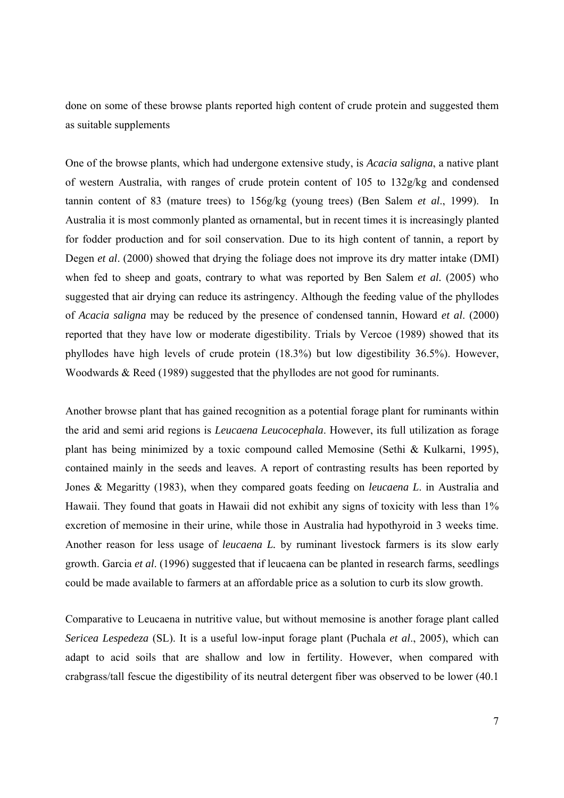done on some of these browse plants reported high content of crude protein and suggested them as suitable supplements

One of the browse plants, which had undergone extensive study, is *Acacia saligna*, a native plant of western Australia, with ranges of crude protein content of 105 to 132g/kg and condensed tannin content of 83 (mature trees) to 156g/kg (young trees) (Ben Salem *et al*., 1999). In Australia it is most commonly planted as ornamental, but in recent times it is increasingly planted for fodder production and for soil conservation. Due to its high content of tannin, a report by Degen *et al*. (2000) showed that drying the foliage does not improve its dry matter intake (DMI) when fed to sheep and goats, contrary to what was reported by Ben Salem *et al.* (2005) who suggested that air drying can reduce its astringency. Although the feeding value of the phyllodes of *Acacia saligna* may be reduced by the presence of condensed tannin, Howard *et al*. (2000) reported that they have low or moderate digestibility. Trials by Vercoe (1989) showed that its phyllodes have high levels of crude protein (18.3%) but low digestibility 36.5%). However, Woodwards & Reed (1989) suggested that the phyllodes are not good for ruminants.

Another browse plant that has gained recognition as a potential forage plant for ruminants within the arid and semi arid regions is *Leucaena Leucocephala*. However, its full utilization as forage plant has being minimized by a toxic compound called Memosine (Sethi & Kulkarni, 1995), contained mainly in the seeds and leaves. A report of contrasting results has been reported by Jones & Megaritty (1983), when they compared goats feeding on *leucaena L*. in Australia and Hawaii. They found that goats in Hawaii did not exhibit any signs of toxicity with less than 1% excretion of memosine in their urine, while those in Australia had hypothyroid in 3 weeks time. Another reason for less usage of *leucaena L.* by ruminant livestock farmers is its slow early growth. Garcia *et al*. (1996) suggested that if leucaena can be planted in research farms, seedlings could be made available to farmers at an affordable price as a solution to curb its slow growth.

Comparative to Leucaena in nutritive value, but without memosine is another forage plant called *Sericea Lespedeza* (SL). It is a useful low-input forage plant (Puchala *et al*., 2005), which can adapt to acid soils that are shallow and low in fertility. However, when compared with crabgrass/tall fescue the digestibility of its neutral detergent fiber was observed to be lower (40.1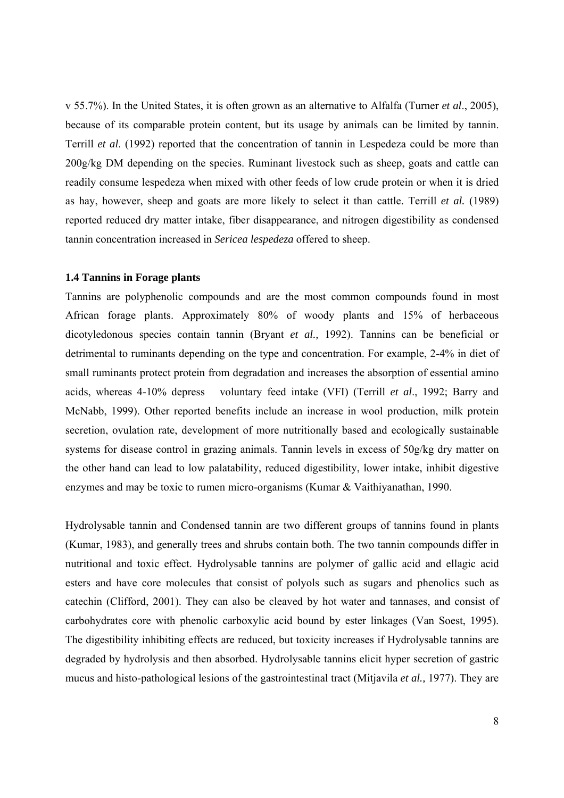v 55.7%). In the United States, it is often grown as an alternative to Alfalfa (Turner *et al*., 2005), because of its comparable protein content, but its usage by animals can be limited by tannin. Terrill *et al*. (1992) reported that the concentration of tannin in Lespedeza could be more than 200g/kg DM depending on the species. Ruminant livestock such as sheep, goats and cattle can readily consume lespedeza when mixed with other feeds of low crude protein or when it is dried as hay, however, sheep and goats are more likely to select it than cattle. Terrill *et al.* (1989) reported reduced dry matter intake, fiber disappearance, and nitrogen digestibility as condensed tannin concentration increased in *Sericea lespedeza* offered to sheep.

#### **1.4 Tannins in Forage plants**

Tannins are polyphenolic compounds and are the most common compounds found in most African forage plants. Approximately 80% of woody plants and 15% of herbaceous dicotyledonous species contain tannin (Bryant *et al.,* 1992). Tannins can be beneficial or detrimental to ruminants depending on the type and concentration. For example, 2-4% in diet of small ruminants protect protein from degradation and increases the absorption of essential amino acids, whereas 4-10% depress voluntary feed intake (VFI) (Terrill *et al*., 1992; Barry and McNabb, 1999). Other reported benefits include an increase in wool production, milk protein secretion, ovulation rate, development of more nutritionally based and ecologically sustainable systems for disease control in grazing animals. Tannin levels in excess of 50g/kg dry matter on the other hand can lead to low palatability, reduced digestibility, lower intake, inhibit digestive enzymes and may be toxic to rumen micro-organisms (Kumar & Vaithiyanathan, 1990.

Hydrolysable tannin and Condensed tannin are two different groups of tannins found in plants (Kumar, 1983), and generally trees and shrubs contain both. The two tannin compounds differ in nutritional and toxic effect. Hydrolysable tannins are polymer of gallic acid and ellagic acid esters and have core molecules that consist of polyols such as sugars and phenolics such as catechin (Clifford, 2001). They can also be cleaved by hot water and tannases, and consist of carbohydrates core with phenolic carboxylic acid bound by ester linkages (Van Soest, 1995). The digestibility inhibiting effects are reduced, but toxicity increases if Hydrolysable tannins are degraded by hydrolysis and then absorbed. Hydrolysable tannins elicit hyper secretion of gastric mucus and histo-pathological lesions of the gastrointestinal tract (Mitjavila *et al.,* 1977). They are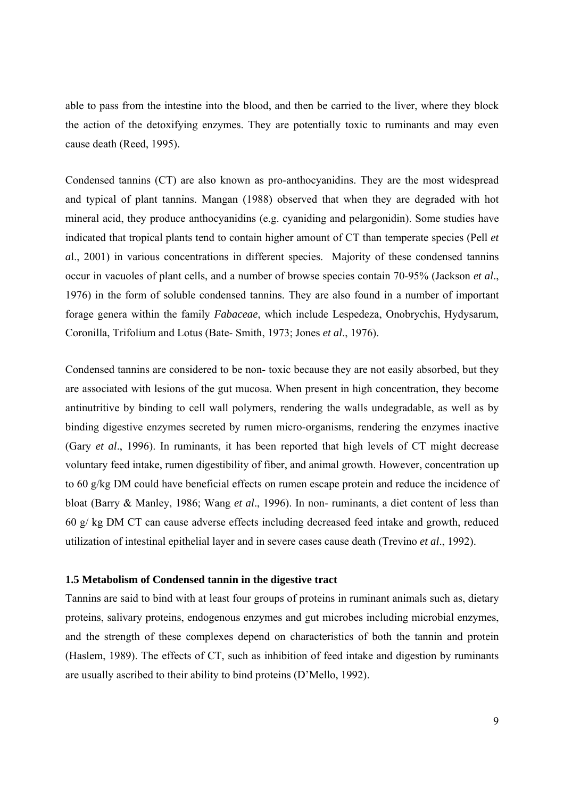able to pass from the intestine into the blood, and then be carried to the liver, where they block the action of the detoxifying enzymes. They are potentially toxic to ruminants and may even cause death (Reed, 1995).

Condensed tannins (CT) are also known as pro-anthocyanidins. They are the most widespread and typical of plant tannins. Mangan (1988) observed that when they are degraded with hot mineral acid, they produce anthocyanidins (e.g. cyaniding and pelargonidin). Some studies have indicated that tropical plants tend to contain higher amount of CT than temperate species (Pell *et a*l., 2001) in various concentrations in different species. Majority of these condensed tannins occur in vacuoles of plant cells, and a number of browse species contain 70-95% (Jackson *et al*., 1976) in the form of soluble condensed tannins. They are also found in a number of important forage genera within the family *Fabaceae*, which include Lespedeza, Onobrychis, Hydysarum, Coronilla, Trifolium and Lotus (Bate- Smith, 1973; Jones *et al*., 1976).

Condensed tannins are considered to be non- toxic because they are not easily absorbed, but they are associated with lesions of the gut mucosa. When present in high concentration, they become antinutritive by binding to cell wall polymers, rendering the walls undegradable, as well as by binding digestive enzymes secreted by rumen micro-organisms, rendering the enzymes inactive (Gary *et al*., 1996). In ruminants, it has been reported that high levels of CT might decrease voluntary feed intake, rumen digestibility of fiber, and animal growth. However, concentration up to 60 g/kg DM could have beneficial effects on rumen escape protein and reduce the incidence of bloat (Barry & Manley, 1986; Wang *et al*., 1996). In non- ruminants, a diet content of less than 60 g/ kg DM CT can cause adverse effects including decreased feed intake and growth, reduced utilization of intestinal epithelial layer and in severe cases cause death (Trevino *et al*., 1992).

#### **1.5 Metabolism of Condensed tannin in the digestive tract**

Tannins are said to bind with at least four groups of proteins in ruminant animals such as, dietary proteins, salivary proteins, endogenous enzymes and gut microbes including microbial enzymes, and the strength of these complexes depend on characteristics of both the tannin and protein (Haslem, 1989). The effects of CT, such as inhibition of feed intake and digestion by ruminants are usually ascribed to their ability to bind proteins (D'Mello, 1992).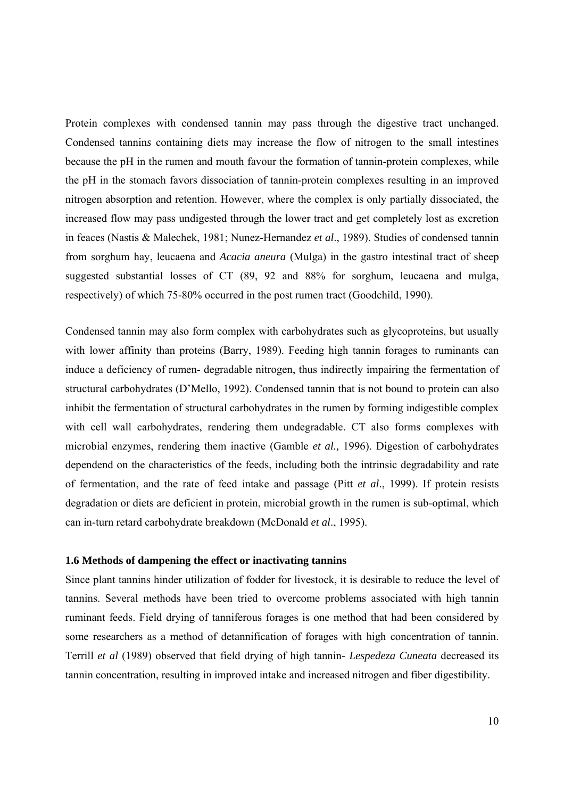Protein complexes with condensed tannin may pass through the digestive tract unchanged. Condensed tannin*s* containing diets may increase the flow of nitrogen to the small intestines because the pH in the rumen and mouth favour the formation of tannin-protein complexes, while the pH in the stomach favors dissociation of tannin-protein complexes resulting in an improved nitrogen absorption and retention. However, where the complex is only partially dissociated, the increased flow may pass undigested through the lower tract and get completely lost as excretion in feaces (Nastis & Malechek, 1981; Nunez-Hernandez *et al*., 1989). Studies of condensed tannin from sorghum hay, leucaena and *Acacia aneura* (Mulga) in the gastro intestinal tract of sheep suggested substantial losses of CT (89, 92 and 88% for sorghum, leucaena and mulga, respectively) of which 75-80% occurred in the post rumen tract (Goodchild, 1990).

Condensed tannin may also form complex with carbohydrates such as glycoproteins, but usually with lower affinity than proteins (Barry, 1989). Feeding high tannin forages to ruminants can induce a deficiency of rumen- degradable nitrogen, thus indirectly impairing the fermentation of structural carbohydrates (D'Mello, 1992). Condensed tannin that is not bound to protein can also inhibit the fermentation of structural carbohydrates in the rumen by forming indigestible complex with cell wall carbohydrates, rendering them undegradable. CT also forms complexes with microbial enzymes, rendering them inactive (Gamble *et al.,* 1996). Digestion of carbohydrates dependend on the characteristics of the feeds, including both the intrinsic degradability and rate of fermentation, and the rate of feed intake and passage (Pitt *et al*., 1999). If protein resists degradation or diets are deficient in protein, microbial growth in the rumen is sub-optimal, which can in-turn retard carbohydrate breakdown (McDonald *et al*., 1995).

#### **1.6 Methods of dampening the effect or inactivating tannins**

Since plant tannins hinder utilization of fodder for livestock, it is desirable to reduce the level of tannins. Several methods have been tried to overcome problems associated with high tannin ruminant feeds. Field drying of tanniferous forages is one method that had been considered by some researchers as a method of detannification of forages with high concentration of tannin. Terrill *et al* (1989) observed that field drying of high tannin- *Lespedeza Cuneata* decreased its tannin concentration, resulting in improved intake and increased nitrogen and fiber digestibility.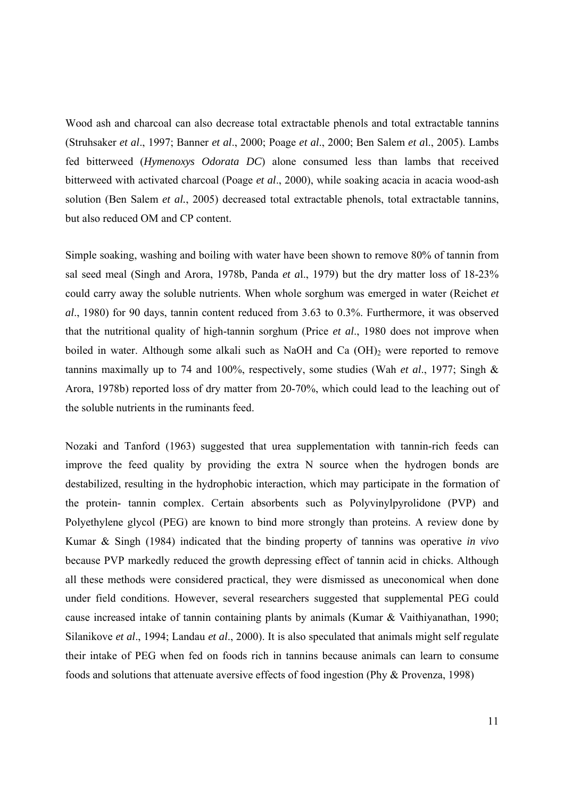Wood ash and charcoal can also decrease total extractable phenols and total extractable tannins (Struhsaker *et al*., 1997; Banner *et al*., 2000; Poage *et al*., 2000; Ben Salem *et a*l., 2005). Lambs fed bitterweed (*Hymenoxys Odorata DC*) alone consumed less than lambs that received bitterweed with activated charcoal (Poage *et al*., 2000), while soaking acacia in acacia wood-ash solution (Ben Salem *et al.*, 2005) decreased total extractable phenols, total extractable tannins, but also reduced OM and CP content.

Simple soaking, washing and boiling with water have been shown to remove 80% of tannin from sal seed meal (Singh and Arora, 1978b, Panda *et a*l., 1979) but the dry matter loss of 18-23% could carry away the soluble nutrients. When whole sorghum was emerged in water (Reichet *et al*., 1980) for 90 days, tannin content reduced from 3.63 to 0.3%. Furthermore, it was observed that the nutritional quality of high-tannin sorghum (Price *et al*., 1980 does not improve when boiled in water. Although some alkali such as NaOH and Ca  $(OH)$ <sub>2</sub> were reported to remove tannins maximally up to 74 and 100%, respectively, some studies (Wah *et al*., 1977; Singh & Arora, 1978b) reported loss of dry matter from 20-70%, which could lead to the leaching out of the soluble nutrients in the ruminants feed.

Nozaki and Tanford (1963) suggested that urea supplementation with tannin-rich feeds can improve the feed quality by providing the extra N source when the hydrogen bonds are destabilized, resulting in the hydrophobic interaction, which may participate in the formation of the protein- tannin complex. Certain absorbents such as Polyvinylpyrolidone (PVP) and Polyethylene glycol (PEG) are known to bind more strongly than proteins. A review done by Kumar & Singh (1984) indicated that the binding property of tannins was operative *in vivo* because PVP markedly reduced the growth depressing effect of tannin acid in chicks. Although all these methods were considered practical, they were dismissed as uneconomical when done under field conditions. However, several researchers suggested that supplemental PEG could cause increased intake of tannin containing plants by animals (Kumar & Vaithiyanathan, 1990; Silanikove *et al*., 1994; Landau *et al*., 2000). It is also speculated that animals might self regulate their intake of PEG when fed on foods rich in tannins because animals can learn to consume foods and solutions that attenuate aversive effects of food ingestion (Phy & Provenza, 1998)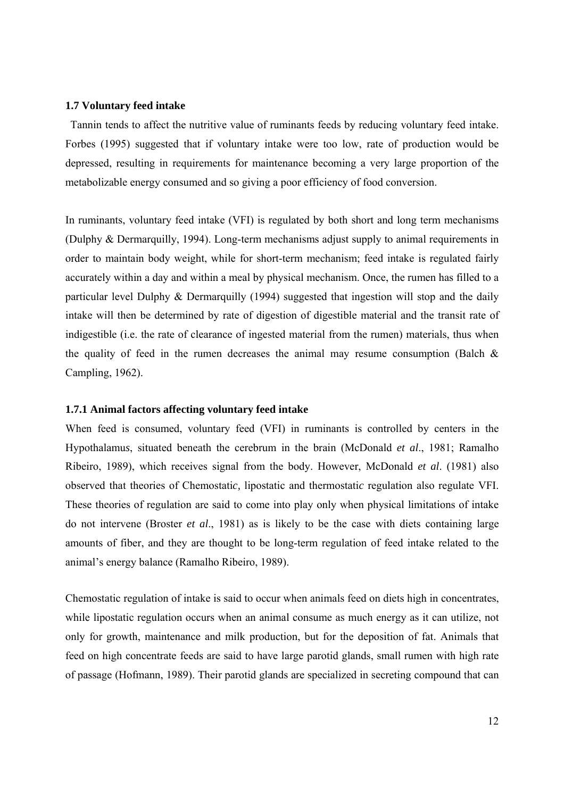#### **1.7 Voluntary feed intake**

 Tannin tends to affect the nutritive value of ruminants feeds by reducing voluntary feed intake. Forbes (1995) suggested that if voluntary intake were too low, rate of production would be depressed, resulting in requirements for maintenance becoming a very large proportion of the metabolizable energy consumed and so giving a poor efficiency of food conversion.

In ruminants, voluntary feed intake (VFI) is regulated by both short and long term mechanisms (Dulphy & Dermarquilly, 1994). Long-term mechanisms adjust supply to animal requirements in order to maintain body weight, while for short-term mechanism; feed intake is regulated fairly accurately within a day and within a meal by physical mechanism. Once, the rumen has filled to a particular level Dulphy & Dermarquilly (1994) suggested that ingestion will stop and the daily intake will then be determined by rate of digestion of digestible material and the transit rate of indigestible (i.e. the rate of clearance of ingested material from the rumen) materials, thus when the quality of feed in the rumen decreases the animal may resume consumption (Balch  $\&$ Campling, 1962).

#### **1.7.1 Animal factors affecting voluntary feed intake**

When feed is consumed, voluntary feed (VFI) in ruminants is controlled by centers in the Hypothalamu*s*, situated beneath the cerebrum in the brain (McDonald *et al*., 1981; Ramalho Ribeiro, 1989), which receives signal from the body. However, McDonald *et al*. (1981) also observed that theories of Chemostati*c,* lipostatic and thermostati*c* regulation also regulate VFI. These theories of regulation are said to come into play only when physical limitations of intake do not intervene (Broster *et al*., 1981) as is likely to be the case with diets containing large amounts of fiber, and they are thought to be long-term regulation of feed intake related to the animal's energy balance (Ramalho Ribeiro, 1989).

Chemostatic regulation of intake is said to occur when animals feed on diets high in concentrates, while lipostatic regulation occurs when an animal consume as much energy as it can utilize, not only for growth, maintenance and milk production, but for the deposition of fat. Animals that feed on high concentrate feeds are said to have large parotid glands, small rumen with high rate of passage (Hofmann, 1989). Their parotid glands are specialized in secreting compound that can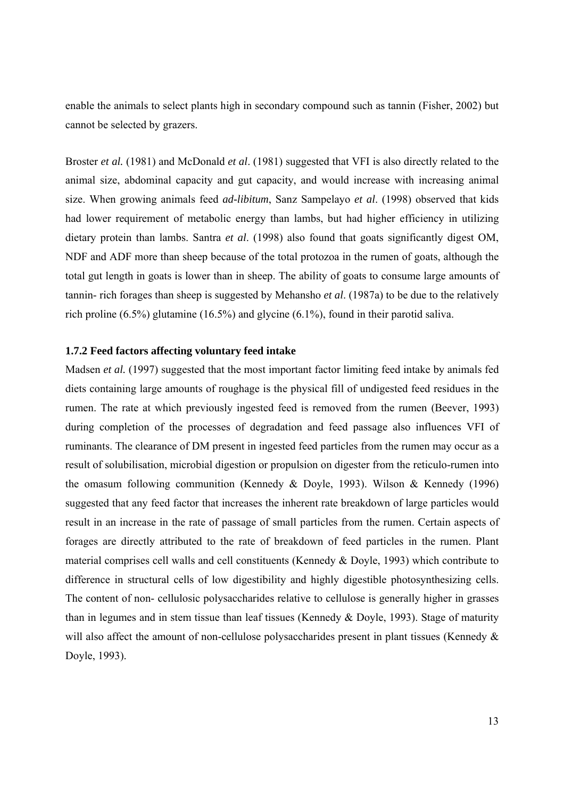enable the animals to select plants high in secondary compound such as tannin (Fisher, 2002) but cannot be selected by grazers.

Broster *et al.* (1981) and McDonald *et al*. (1981) suggested that VFI is also directly related to the animal size, abdominal capacity and gut capacity, and would increase with increasing animal size. When growing animals feed *ad-libitum*, Sanz Sampelayo *et al*. (1998) observed that kids had lower requirement of metabolic energy than lambs, but had higher efficiency in utilizing dietary protein than lambs. Santra *et al*. (1998) also found that goats significantly digest OM, NDF and ADF more than sheep because of the total protozoa in the rumen of goats, although the total gut length in goats is lower than in sheep. The ability of goats to consume large amounts of tannin- rich forages than sheep is suggested by Mehansho *et al*. (1987a) to be due to the relatively rich proline (6.5%) glutamine (16.5%) and glycine (6.1%), found in their parotid saliva.

#### **1.7.2 Feed factors affecting voluntary feed intake**

Madsen *et al.* (1997) suggested that the most important factor limiting feed intake by animals fed diets containing large amounts of roughage is the physical fill of undigested feed residues in the rumen. The rate at which previously ingested feed is removed from the rumen (Beever, 1993) during completion of the processes of degradation and feed passage also influences VFI of ruminants. The clearance of DM present in ingested feed particles from the rumen may occur as a result of solubilisation, microbial digestion or propulsion on digester from the reticulo-rumen into the omasum following communition (Kennedy & Doyle, 1993). Wilson & Kennedy (1996) suggested that any feed factor that increases the inherent rate breakdown of large particles would result in an increase in the rate of passage of small particles from the rumen. Certain aspects of forages are directly attributed to the rate of breakdown of feed particles in the rumen. Plant material comprises cell walls and cell constituents (Kennedy & Doyle, 1993) which contribute to difference in structural cells of low digestibility and highly digestible photosynthesizing cells. The content of non- cellulosic polysaccharides relative to cellulose is generally higher in grasses than in legumes and in stem tissue than leaf tissues (Kennedy & Doyle, 1993). Stage of maturity will also affect the amount of non-cellulose polysaccharides present in plant tissues (Kennedy & Doyle, 1993).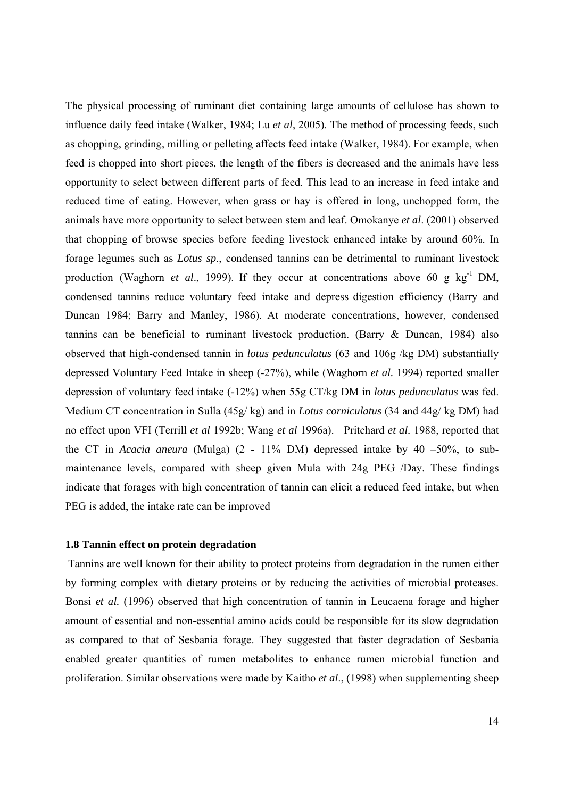The physical processing of ruminant diet containing large amounts of cellulose has shown to influence daily feed intake (Walker, 1984; Lu *et al*, 2005). The method of processing feeds, such as chopping, grinding, milling or pelleting affects feed intake (Walker, 1984). For example, when feed is chopped into short pieces, the length of the fibers is decreased and the animals have less opportunity to select between different parts of feed. This lead to an increase in feed intake and reduced time of eating. However, when grass or hay is offered in long, unchopped form, the animals have more opportunity to select between stem and leaf. Omokanye *et al*. (2001) observed that chopping of browse species before feeding livestock enhanced intake by around 60%. In forage legumes such as *Lotus sp*., condensed tannins can be detrimental to ruminant livestock production (Waghorn *et al.*, 1999). If they occur at concentrations above 60 g kg<sup>-1</sup> DM, condensed tannins reduce voluntary feed intake and depress digestion efficiency (Barry and Duncan 1984; Barry and Manley, 1986). At moderate concentrations, however, condensed tannins can be beneficial to ruminant livestock production. (Barry & Duncan, 1984) also observed that high-condensed tannin in *lotus pedunculatus* (63 and 106g /kg DM) substantially depressed Voluntary Feed Intake in sheep (-27%), while (Waghorn *et al.* 1994) reported smaller depression of voluntary feed intake (-12%) when 55g CT/kg DM in *lotus pedunculatus* was fed. Medium CT concentration in Sulla (45g/ kg) and in *Lotus corniculatus* (34 and 44g/ kg DM) had no effect upon VFI (Terrill *et al* 1992b; Wang *et al* 1996a). Pritchard *et al.* 1988, reported that the CT in *Acacia aneura* (Mulga) (2 - 11% DM) depressed intake by 40 –50%, to submaintenance levels, compared with sheep given Mula with 24g PEG /Day. These findings indicate that forages with high concentration of tannin can elicit a reduced feed intake, but when PEG is added, the intake rate can be improved

#### **1.8 Tannin effect on protein degradation**

 Tannins are well known for their ability to protect proteins from degradation in the rumen either by forming complex with dietary proteins or by reducing the activities of microbial proteases. Bonsi *et al.* (1996) observed that high concentration of tannin in Leucaena forage and higher amount of essential and non-essential amino acids could be responsible for its slow degradation as compared to that of Sesbania forage. They suggested that faster degradation of Sesbania enabled greater quantities of rumen metabolites to enhance rumen microbial function and proliferation. Similar observations were made by Kaitho *et al*., (1998) when supplementing sheep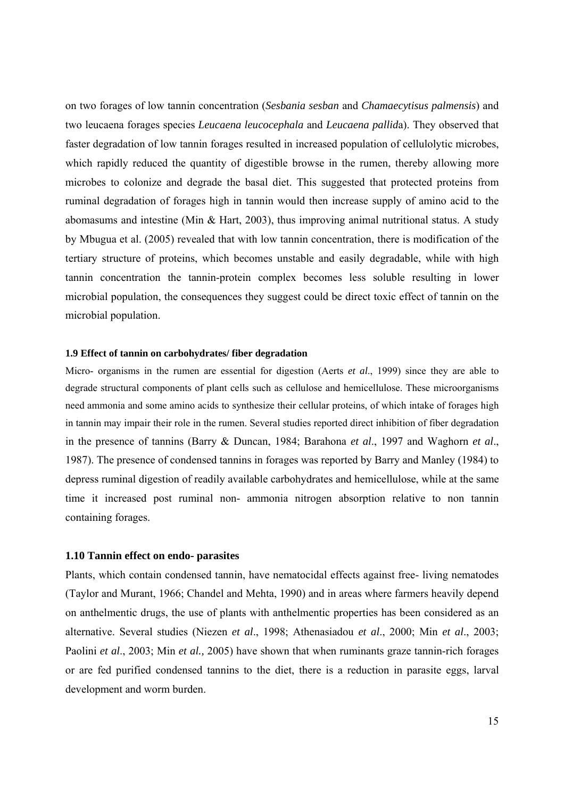on two forages of low tannin concentration (*Sesbania sesban* and *Chamaecytisus palmensis*) and two leucaena forages species *Leucaena leucocephala* and *Leucaena pallid*a). They observed that faster degradation of low tannin forages resulted in increased population of cellulolytic microbes, which rapidly reduced the quantity of digestible browse in the rumen, thereby allowing more microbes to colonize and degrade the basal diet. This suggested that protected proteins from ruminal degradation of forages high in tannin would then increase supply of amino acid to the abomasums and intestine (Min & Hart, 2003), thus improving animal nutritional status. A study by Mbugua et al. (2005) revealed that with low tannin concentration, there is modification of the tertiary structure of proteins, which becomes unstable and easily degradable, while with high tannin concentration the tannin-protein complex becomes less soluble resulting in lower microbial population, the consequences they suggest could be direct toxic effect of tannin on the microbial population.

#### **1.9 Effect of tannin on carbohydrates/ fiber degradation**

Micro- organisms in the rumen are essential for digestion (Aerts *et al*., 1999) since they are able to degrade structural components of plant cells such as cellulose and hemicellulose. These microorganisms need ammonia and some amino acids to synthesize their cellular proteins, of which intake of forages high in tannin may impair their role in the rumen. Several studies reported direct inhibition of fiber degradation in the presence of tannins (Barry & Duncan, 1984; Barahona *et al*., 1997 and Waghorn *et al*., 1987). The presence of condensed tannins in forages was reported by Barry and Manley (1984) to depress ruminal digestion of readily available carbohydrates and hemicellulose, while at the same time it increased post ruminal non- ammonia nitrogen absorption relative to non tannin containing forages.

#### **1.10 Tannin effect on endo- parasites**

Plants, which contain condensed tannin, have nematocidal effects against free- living nematodes (Taylor and Murant, 1966; Chandel and Mehta, 1990) and in areas where farmers heavily depend on anthelmentic drugs, the use of plants with anthelmentic properties has been considered as an alternative. Several studies (Niezen *et al*., 1998; Athenasiadou *et al*., 2000; Min *et al*., 2003; Paolini *et al*., 2003; Min *et al.,* 2005) have shown that when ruminants graze tannin-rich forages or are fed purified condensed tannins to the diet, there is a reduction in parasite eggs, larval development and worm burden.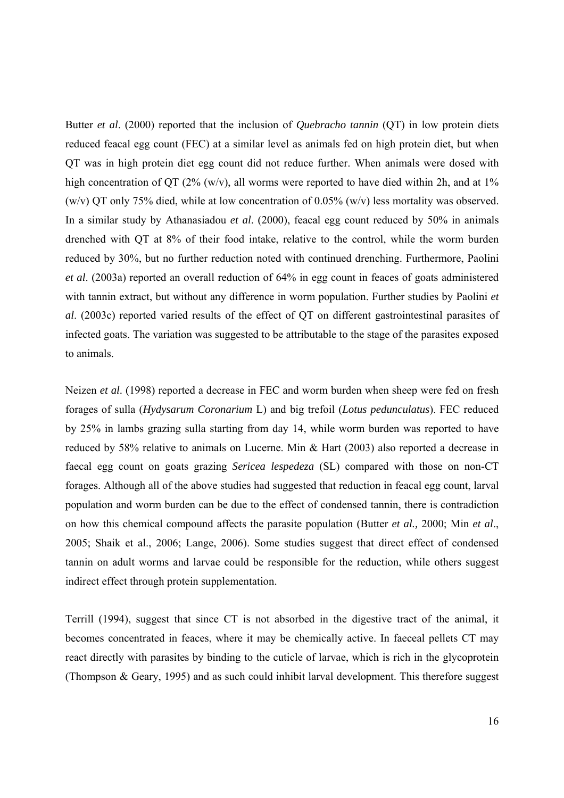Butter *et al*. (2000) reported that the inclusion of *Quebracho tannin* (QT) in low protein diets reduced feacal egg count (FEC) at a similar level as animals fed on high protein diet, but when QT was in high protein diet egg count did not reduce further. When animals were dosed with high concentration of QT (2% (w/v), all worms were reported to have died within 2h, and at 1% (w/v) QT only 75% died, while at low concentration of 0.05% (w/v) less mortality was observed. In a similar study by Athanasiadou *et al*. (2000), feacal egg count reduced by 50% in animals drenched with QT at 8% of their food intake, relative to the control, while the worm burden reduced by 30%, but no further reduction noted with continued drenching. Furthermore, Paolini *et al*. (2003a) reported an overall reduction of 64% in egg count in feaces of goats administered with tannin extract, but without any difference in worm population. Further studies by Paolini *et al*. (2003c) reported varied results of the effect of QT on different gastrointestinal parasites of infected goats. The variation was suggested to be attributable to the stage of the parasites exposed to animals.

Neizen *et al*. (1998) reported a decrease in FEC and worm burden when sheep were fed on fresh forages of sulla (*Hydysarum Coronarium* L) and big trefoil (*Lotus pedunculatus*). FEC reduced by 25% in lambs grazing sulla starting from day 14, while worm burden was reported to have reduced by 58% relative to animals on Lucerne. Min & Hart (2003) also reported a decrease in faecal egg count on goats grazing *Sericea lespedeza* (SL) compared with those on non-CT forages. Although all of the above studies had suggested that reduction in feacal egg count, larval population and worm burden can be due to the effect of condensed tannin, there is contradiction on how this chemical compound affects the parasite population (Butter *et al.,* 2000; Min *et al*., 2005; Shaik et al., 2006; Lange, 2006). Some studies suggest that direct effect of condensed tannin on adult worms and larvae could be responsible for the reduction, while others suggest indirect effect through protein supplementation.

Terrill (1994), suggest that since CT is not absorbed in the digestive tract of the animal, it becomes concentrated in feaces, where it may be chemically active. In faeceal pellets CT may react directly with parasites by binding to the cuticle of larvae, which is rich in the glycoprotein (Thompson & Geary, 1995) and as such could inhibit larval development. This therefore suggest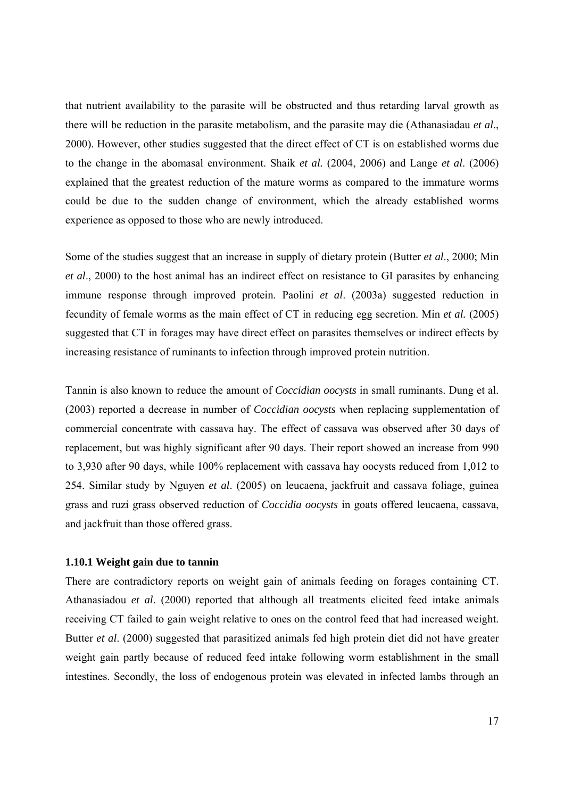that nutrient availability to the parasite will be obstructed and thus retarding larval growth as there will be reduction in the parasite metabolism, and the parasite may die (Athanasiadau *et al*., 2000). However, other studies suggested that the direct effect of CT is on established worms due to the change in the abomasal environment. Shaik *et al.* (2004, 2006) and Lange *et al*. (2006) explained that the greatest reduction of the mature worms as compared to the immature worms could be due to the sudden change of environment, which the already established worms experience as opposed to those who are newly introduced.

Some of the studies suggest that an increase in supply of dietary protein (Butter *et al*., 2000; Min *et al*., 2000) to the host animal has an indirect effect on resistance to GI parasites by enhancing immune response through improved protein. Paolini *et al*. (2003a) suggested reduction in fecundity of female worms as the main effect of CT in reducing egg secretion. Min *et al.* (2005) suggested that CT in forages may have direct effect on parasites themselves or indirect effects by increasing resistance of ruminants to infection through improved protein nutrition.

Tannin is also known to reduce the amount of *Coccidian oocysts* in small ruminants. Dung et al. (2003) reported a decrease in number of *Coccidian oocysts* when replacing supplementation of commercial concentrate with cassava hay. The effect of cassava was observed after 30 days of replacement, but was highly significant after 90 days. Their report showed an increase from 990 to 3,930 after 90 days, while 100% replacement with cassava hay oocysts reduced from 1,012 to 254. Similar study by Nguyen *et al*. (2005) on leucaena, jackfruit and cassava foliage, guinea grass and ruzi grass observed reduction of *Coccidia oocysts* in goats offered leucaena, cassava, and jackfruit than those offered grass.

#### **1.10.1 Weight gain due to tannin**

There are contradictory reports on weight gain of animals feeding on forages containing CT. Athanasiadou *et al*. (2000) reported that although all treatments elicited feed intake animals receiving CT failed to gain weight relative to ones on the control feed that had increased weight. Butter *et al*. (2000) suggested that parasitized animals fed high protein diet did not have greater weight gain partly because of reduced feed intake following worm establishment in the small intestines. Secondly, the loss of endogenous protein was elevated in infected lambs through an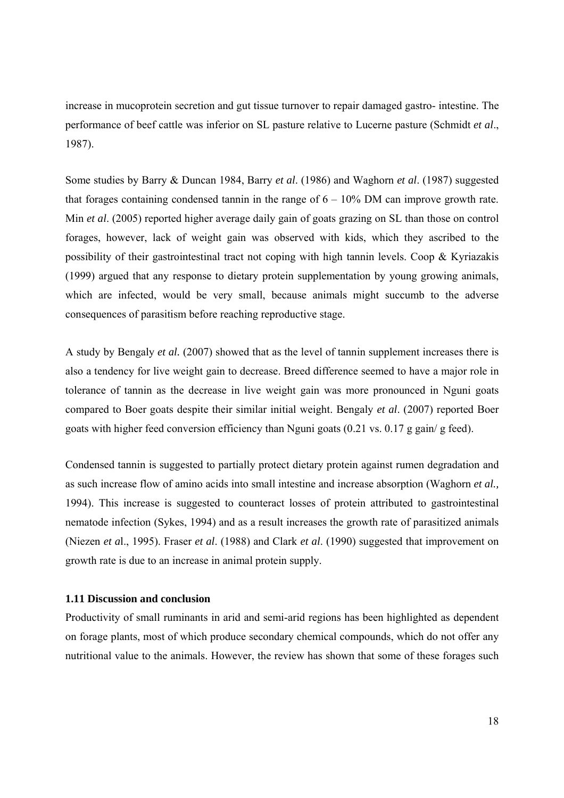increase in mucoprotein secretion and gut tissue turnover to repair damaged gastro- intestine. The performance of beef cattle was inferior on SL pasture relative to Lucerne pasture (Schmidt *et al*., 1987).

Some studies by Barry & Duncan 1984, Barry *et al*. (1986) and Waghorn *et al*. (1987) suggested that forages containing condensed tannin in the range of  $6 - 10\%$  DM can improve growth rate. Min *et al*. (2005) reported higher average daily gain of goats grazing on SL than those on control forages, however, lack of weight gain was observed with kids, which they ascribed to the possibility of their gastrointestinal tract not coping with high tannin levels. Coop & Kyriazakis (1999) argued that any response to dietary protein supplementation by young growing animals, which are infected, would be very small, because animals might succumb to the adverse consequences of parasitism before reaching reproductive stage.

A study by Bengaly *et al.* (2007) showed that as the level of tannin supplement increases there is also a tendency for live weight gain to decrease. Breed difference seemed to have a major role in tolerance of tannin as the decrease in live weight gain was more pronounced in Nguni goats compared to Boer goats despite their similar initial weight. Bengaly *et al*. (2007) reported Boer goats with higher feed conversion efficiency than Nguni goats (0.21 vs. 0.17 g gain/ g feed).

Condensed tannin is suggested to partially protect dietary protein against rumen degradation and as such increase flow of amino acids into small intestine and increase absorption (Waghorn *et al.,* 1994). This increase is suggested to counteract losses of protein attributed to gastrointestinal nematode infection (Sykes, 1994) and as a result increases the growth rate of parasitized animals (Niezen *et a*l., 1995). Fraser *et al*. (1988) and Clark *et al*. (1990) suggested that improvement on growth rate is due to an increase in animal protein supply.

#### **1.11 Discussion and conclusion**

Productivity of small ruminants in arid and semi-arid regions has been highlighted as dependent on forage plants, most of which produce secondary chemical compounds, which do not offer any nutritional value to the animals. However, the review has shown that some of these forages such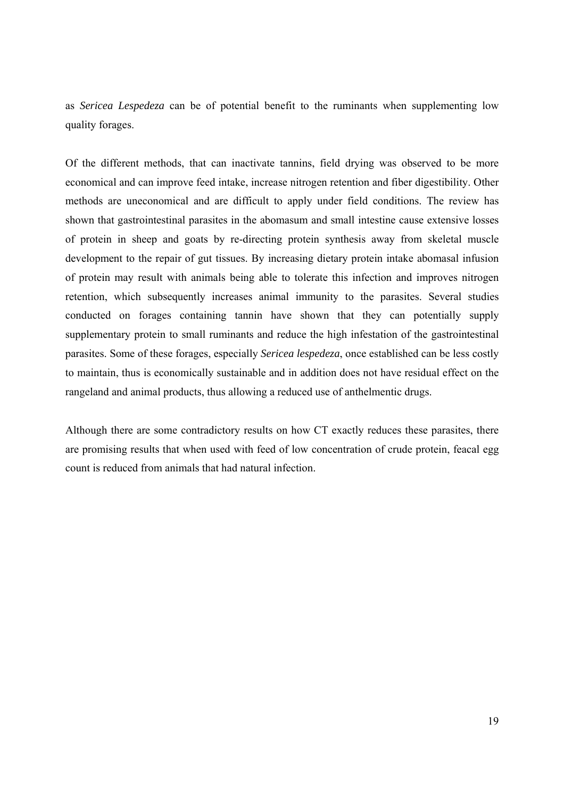as *Sericea Lespedeza* can be of potential benefit to the ruminants when supplementing low quality forages.

Of the different methods, that can inactivate tannins, field drying was observed to be more economical and can improve feed intake, increase nitrogen retention and fiber digestibility. Other methods are uneconomical and are difficult to apply under field conditions. The review has shown that gastrointestinal parasites in the abomasum and small intestine cause extensive losses of protein in sheep and goats by re-directing protein synthesis away from skeletal muscle development to the repair of gut tissues. By increasing dietary protein intake abomasal infusion of protein may result with animals being able to tolerate this infection and improves nitrogen retention, which subsequently increases animal immunity to the parasites. Several studies conducted on forages containing tannin have shown that they can potentially supply supplementary protein to small ruminants and reduce the high infestation of the gastrointestinal parasites. Some of these forages, especially *Sericea lespedeza*, once established can be less costly to maintain, thus is economically sustainable and in addition does not have residual effect on the rangeland and animal products, thus allowing a reduced use of anthelmentic drugs.

Although there are some contradictory results on how CT exactly reduces these parasites, there are promising results that when used with feed of low concentration of crude protein, feacal egg count is reduced from animals that had natural infection.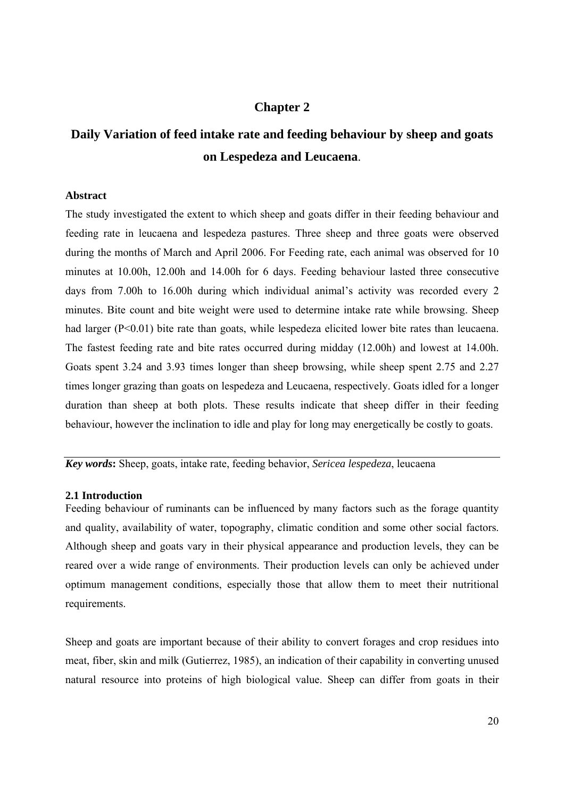## **Chapter 2**

# **Daily Variation of feed intake rate and feeding behaviour by sheep and goats on Lespedeza and Leucaena**.

#### **Abstract**

The study investigated the extent to which sheep and goats differ in their feeding behaviour and feeding rate in leucaena and lespedeza pastures. Three sheep and three goats were observed during the months of March and April 2006. For Feeding rate, each animal was observed for 10 minutes at 10.00h, 12.00h and 14.00h for 6 days. Feeding behaviour lasted three consecutive days from 7.00h to 16.00h during which individual animal's activity was recorded every 2 minutes. Bite count and bite weight were used to determine intake rate while browsing. Sheep had larger (P<0.01) bite rate than goats, while lespedeza elicited lower bite rates than leucaena. The fastest feeding rate and bite rates occurred during midday (12.00h) and lowest at 14.00h. Goats spent 3.24 and 3.93 times longer than sheep browsing, while sheep spent 2.75 and 2.27 times longer grazing than goats on lespedeza and Leucaena, respectively. Goats idled for a longer duration than sheep at both plots. These results indicate that sheep differ in their feeding behaviour, however the inclination to idle and play for long may energetically be costly to goats.

*Key words***:** Sheep, goats, intake rate, feeding behavior, *Sericea lespedeza*, leucaena

#### **2.1 Introduction**

Feeding behaviour of ruminants can be influenced by many factors such as the forage quantity and quality, availability of water, topography, climatic condition and some other social factors. Although sheep and goats vary in their physical appearance and production levels, they can be reared over a wide range of environments. Their production levels can only be achieved under optimum management conditions, especially those that allow them to meet their nutritional requirements.

Sheep and goats are important because of their ability to convert forages and crop residues into meat, fiber, skin and milk (Gutierrez, 1985), an indication of their capability in converting unused natural resource into proteins of high biological value. Sheep can differ from goats in their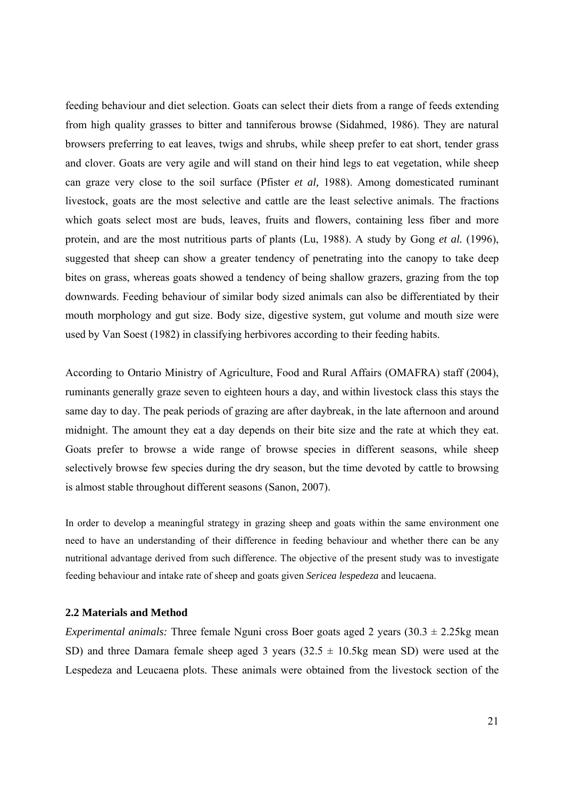feeding behaviour and diet selection. Goats can select their diets from a range of feeds extending from high quality grasses to bitter and tanniferous browse (Sidahmed, 1986). They are natural browsers preferring to eat leaves, twigs and shrubs, while sheep prefer to eat short, tender grass and clover. Goats are very agile and will stand on their hind legs to eat vegetation, while sheep can graze very close to the soil surface (Pfister *et al,* 1988). Among domesticated ruminant livestock, goats are the most selective and cattle are the least selective animals. The fractions which goats select most are buds, leaves, fruits and flowers, containing less fiber and more protein, and are the most nutritious parts of plants (Lu, 1988). A study by Gong *et al.* (1996), suggested that sheep can show a greater tendency of penetrating into the canopy to take deep bites on grass, whereas goats showed a tendency of being shallow grazers, grazing from the top downwards. Feeding behaviour of similar body sized animals can also be differentiated by their mouth morphology and gut size. Body size, digestive system, gut volume and mouth size were used by Van Soest (1982) in classifying herbivores according to their feeding habits.

According to Ontario Ministry of Agriculture, Food and Rural Affairs (OMAFRA) staff (2004), ruminants generally graze seven to eighteen hours a day, and within livestock class this stays the same day to day. The peak periods of grazing are after daybreak, in the late afternoon and around midnight. The amount they eat a day depends on their bite size and the rate at which they eat. Goats prefer to browse a wide range of browse species in different seasons, while sheep selectively browse few species during the dry season, but the time devoted by cattle to browsing is almost stable throughout different seasons (Sanon, 2007).

In order to develop a meaningful strategy in grazing sheep and goats within the same environment one need to have an understanding of their difference in feeding behaviour and whether there can be any nutritional advantage derived from such difference. The objective of the present study was to investigate feeding behaviour and intake rate of sheep and goats given *Sericea lespedeza* and leucaena.

#### **2.2 Materials and Method**

*Experimental animals:* Three female Nguni cross Boer goats aged 2 years  $(30.3 \pm 2.25$ kg mean SD) and three Damara female sheep aged 3 years  $(32.5 \pm 10.5 \text{kg}$  mean SD) were used at the Lespedeza and Leucaena plots. These animals were obtained from the livestock section of the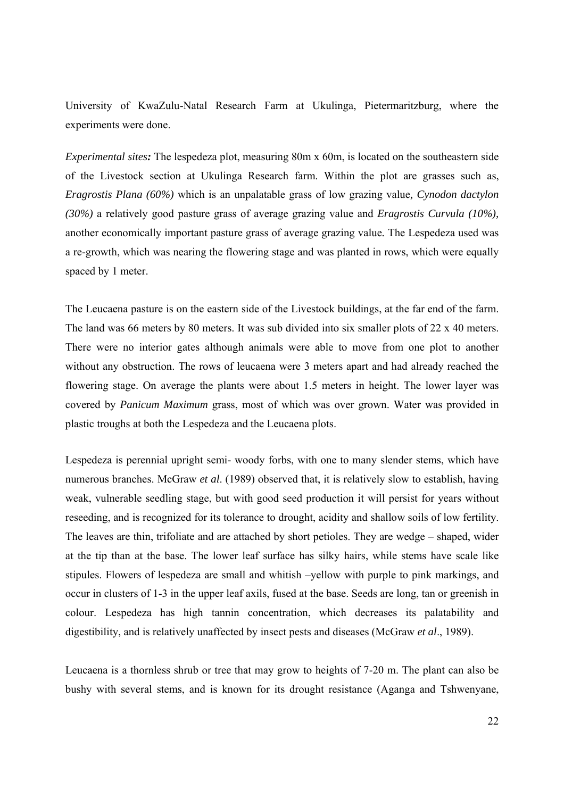University of KwaZulu-Natal Research Farm at Ukulinga, Pietermaritzburg, where the experiments were done.

*Experimental sites:* The lespedeza plot, measuring 80m x 60m, is located on the southeastern side of the Livestock section at Ukulinga Research farm. Within the plot are grasses such as, *Eragrostis Plana (60%)* which is an unpalatable grass of low grazing value*, Cynodon dactylon (30%)* a relatively good pasture grass of average grazing value and *Eragrostis Curvula (10%),* another economically important pasture grass of average grazing value*.* The Lespedeza used was a re-growth, which was nearing the flowering stage and was planted in rows, which were equally spaced by 1 meter.

The Leucaena pasture is on the eastern side of the Livestock buildings, at the far end of the farm. The land was 66 meters by 80 meters. It was sub divided into six smaller plots of 22 x 40 meters. There were no interior gates although animals were able to move from one plot to another without any obstruction. The rows of leucaena were 3 meters apart and had already reached the flowering stage. On average the plants were about 1.5 meters in height. The lower layer was covered by *Panicum Maximum* grass, most of which was over grown. Water was provided in plastic troughs at both the Lespedeza and the Leucaena plots.

Lespedeza is perennial upright semi- woody forbs, with one to many slender stems, which have numerous branches. McGraw *et al*. (1989) observed that, it is relatively slow to establish, having weak, vulnerable seedling stage, but with good seed production it will persist for years without reseeding, and is recognized for its tolerance to drought, acidity and shallow soils of low fertility. The leaves are thin, trifoliate and are attached by short petioles. They are wedge – shaped, wider at the tip than at the base. The lower leaf surface has silky hairs, while stems have scale like stipules. Flowers of lespedeza are small and whitish –yellow with purple to pink markings, and occur in clusters of 1-3 in the upper leaf axils, fused at the base. Seeds are long, tan or greenish in colour. Lespedeza has high tannin concentration, which decreases its palatability and digestibility, and is relatively unaffected by insect pests and diseases (McGraw *et al*., 1989).

Leucaena is a thornless shrub or tree that may grow to heights of 7-20 m. The plant can also be bushy with several stems, and is known for its drought resistance (Aganga and Tshwenyane,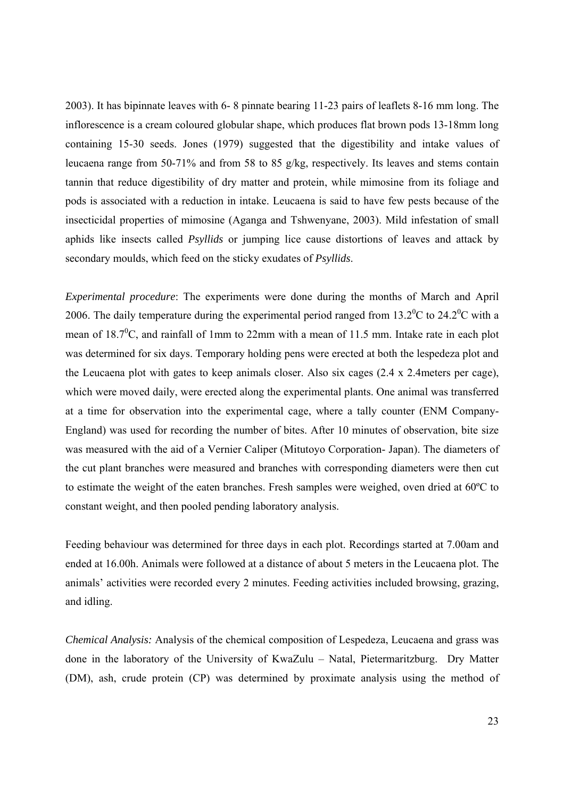2003). It has bipinnate leaves with 6- 8 pinnate bearing 11-23 pairs of leaflets 8-16 mm long. The inflorescence is a cream coloured globular shape, which produces flat brown pods 13-18mm long containing 15-30 seeds. Jones (1979) suggested that the digestibility and intake values of leucaena range from 50-71% and from 58 to 85 g/kg, respectively. Its leaves and stems contain tannin that reduce digestibility of dry matter and protein, while mimosine from its foliage and pods is associated with a reduction in intake. Leucaena is said to have few pests because of the insecticidal properties of mimosine (Aganga and Tshwenyane, 2003). Mild infestation of small aphids like insects called *Psyllids* or jumping lice cause distortions of leaves and attack by secondary moulds, which feed on the sticky exudates of *Psyllids*.

*Experimental procedure*: The experiments were done during the months of March and April 2006. The daily temperature during the experimental period ranged from  $13.2^{\circ}$ C to  $24.2^{\circ}$ C with a mean of  $18.7^{\circ}$ C, and rainfall of 1mm to 22mm with a mean of 11.5 mm. Intake rate in each plot was determined for six days. Temporary holding pens were erected at both the lespedeza plot and the Leucaena plot with gates to keep animals closer. Also six cages (2.4 x 2.4meters per cage), which were moved daily, were erected along the experimental plants. One animal was transferred at a time for observation into the experimental cage, where a tally counter (ENM Company-England) was used for recording the number of bites. After 10 minutes of observation, bite size was measured with the aid of a Vernier Caliper (Mitutoyo Corporation- Japan). The diameters of the cut plant branches were measured and branches with corresponding diameters were then cut to estimate the weight of the eaten branches. Fresh samples were weighed, oven dried at 60ºC to constant weight, and then pooled pending laboratory analysis.

Feeding behaviour was determined for three days in each plot. Recordings started at 7.00am and ended at 16.00h. Animals were followed at a distance of about 5 meters in the Leucaena plot. The animals' activities were recorded every 2 minutes. Feeding activities included browsing, grazing, and idling.

*Chemical Analysis:* Analysis of the chemical composition of Lespedeza, Leucaena and grass was done in the laboratory of the University of KwaZulu – Natal, Pietermaritzburg. Dry Matter (DM), ash, crude protein (CP) was determined by proximate analysis using the method of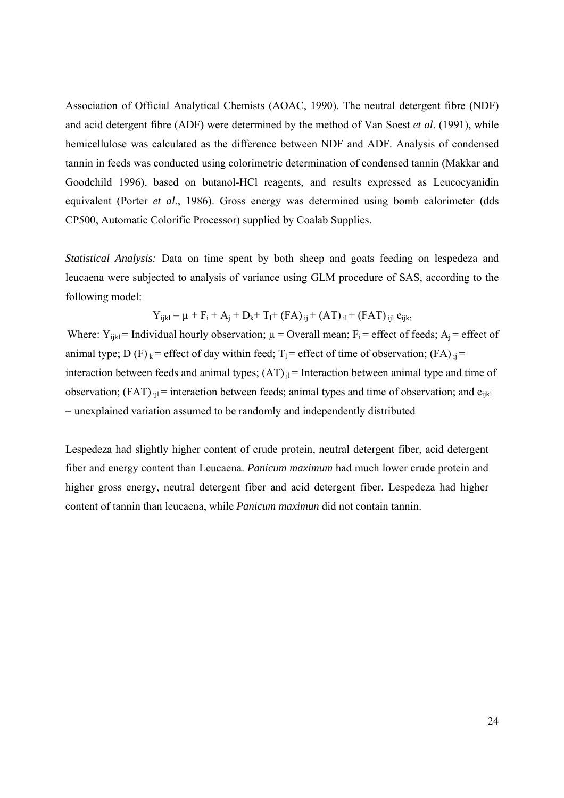Association of Official Analytical Chemists (AOAC, 1990). The neutral detergent fibre (NDF) and acid detergent fibre (ADF) were determined by the method of Van Soest *et al*. (1991), while hemicellulose was calculated as the difference between NDF and ADF. Analysis of condensed tannin in feeds was conducted using colorimetric determination of condensed tannin (Makkar and Goodchild 1996), based on butanol-HCl reagents, and results expressed as Leucocyanidin equivalent (Porter *et al*., 1986). Gross energy was determined using bomb calorimeter (dds CP500, Automatic Colorific Processor) supplied by Coalab Supplies.

*Statistical Analysis:* Data on time spent by both sheep and goats feeding on lespedeza and leucaena were subjected to analysis of variance using GLM procedure of SAS, according to the following model:

$$
Y_{ijkl} = \mu + F_i + A_j + D_k + T_l + (FA)_{ij} + (AT)_{il} + (FAT)_{ijl} e_{ijk}
$$

Where:  $Y_{ijkl}$  = Individual hourly observation;  $\mu$  = Overall mean;  $F_i$  = effect of feeds;  $A_i$  = effect of animal type; D (F)  $_k$  = effect of day within feed; T<sub>1</sub> = effect of time of observation; (FA)  $_{ij}$  = interaction between feeds and animal types;  $(AT)_{il}$  = Interaction between animal type and time of observation;  $(FAT)_{ijl}$  = interaction between feeds; animal types and time of observation; and  $e_{iikl}$ = unexplained variation assumed to be randomly and independently distributed

Lespedeza had slightly higher content of crude protein, neutral detergent fiber, acid detergent fiber and energy content than Leucaena. *Panicum maximum* had much lower crude protein and higher gross energy, neutral detergent fiber and acid detergent fiber. Lespedeza had higher content of tannin than leucaena, while *Panicum maximun* did not contain tannin.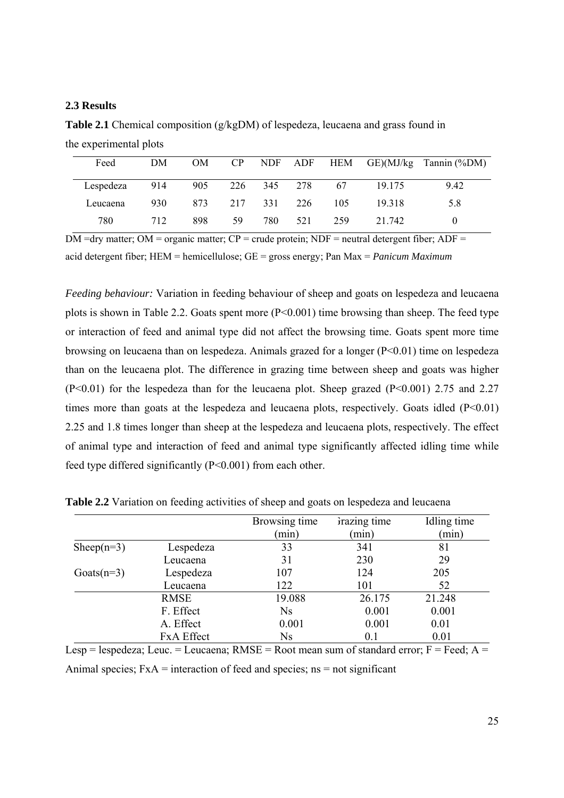#### **2.3 Results**

**Table 2.1** Chemical composition (g/kgDM) of lespedeza, leucaena and grass found in the experimental plots

| Feed                          | DM  | OM  | $\rm CP$ |     |             |      |        | NDF ADF HEM GE)(MJ/kg Tannin (%DM) |
|-------------------------------|-----|-----|----------|-----|-------------|------|--------|------------------------------------|
| Lespedeza 914 905 226 345 278 |     |     |          |     |             | - 67 | 19.175 | 9.42                               |
| Leucaena                      | 930 | 873 |          |     | 217 331 226 | 105  | 19 318 | 5.8                                |
| 780                           | 712 | 898 | 59       | 780 | 521         | 259  | 21 742 |                                    |

 $\overline{DM}$  =dry matter;  $\overline{OM}$  = organic matter;  $\overline{CP}$  = crude protein;  $\overline{NDF}$  = neutral detergent fiber;  $\overline{ADF}$  = acid detergent fiber; HEM = hemicellulose; GE = gross energy; Pan Max = *Panicum Maximum*

*Feeding behaviour:* Variation in feeding behaviour of sheep and goats on lespedeza and leucaena plots is shown in Table 2.2. Goats spent more (P<0.001) time browsing than sheep. The feed type or interaction of feed and animal type did not affect the browsing time. Goats spent more time browsing on leucaena than on lespedeza. Animals grazed for a longer (P<0.01) time on lespedeza than on the leucaena plot. The difference in grazing time between sheep and goats was higher  $(P<0.01)$  for the lespedeza than for the leucaena plot. Sheep grazed  $(P<0.001)$  2.75 and 2.27 times more than goats at the lespedeza and leucaena plots, respectively. Goats idled  $(P<0.01)$ 2.25 and 1.8 times longer than sheep at the lespedeza and leucaena plots, respectively. The effect of animal type and interaction of feed and animal type significantly affected idling time while feed type differed significantly (P<0.001) from each other.

|                |                   | Browsing time | <i>d</i> irazing time | Idling time |
|----------------|-------------------|---------------|-----------------------|-------------|
|                |                   | (min)         | (min)                 | (min)       |
| Sheep( $n=3$ ) | Lespedeza         | 33            | 341                   | 81          |
|                | Leucaena          | 31            | 230                   | 29          |
| Goats $(n=3)$  | Lespedeza         | 107           | 124                   | 205         |
|                | Leucaena          | 122           | 101                   | 52          |
|                | <b>RMSE</b>       | 19.088        | 26.175                | 21.248      |
|                | F. Effect         | <b>Ns</b>     | 0.001                 | 0.001       |
|                | A. Effect         | 0.001         | 0.001                 | 0.01        |
|                | <b>FxA</b> Effect | <b>Ns</b>     | 0.1                   | 0.01        |

**Table 2.2** Variation on feeding activities of sheep and goats on lespedeza and leucaena

Lesp = lespedeza; Leuc. = Leucaena;  $RMSE = Root$  mean sum of standard error;  $F = Feed$ ;  $A =$ Animal species;  $FxA = interaction of feed and species;$   $ns = not significant$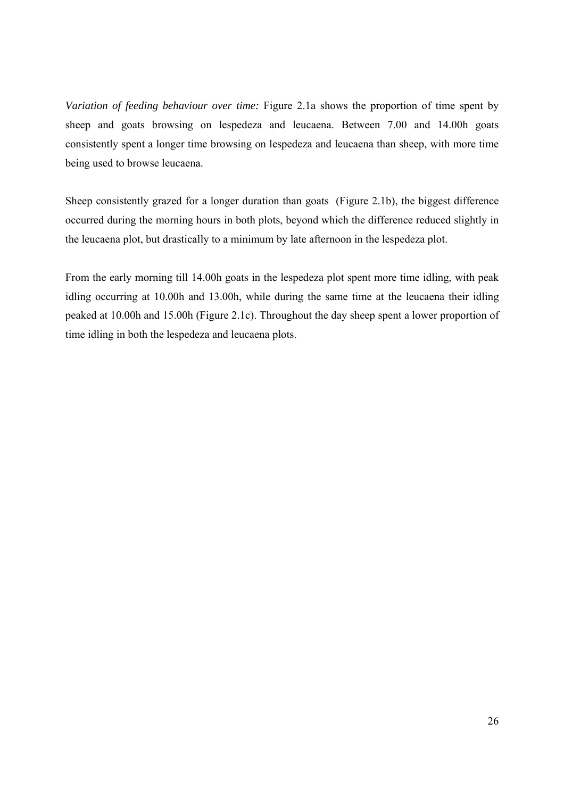*Variation of feeding behaviour over time:* Figure 2.1a shows the proportion of time spent by sheep and goats browsing on lespedeza and leucaena. Between 7.00 and 14.00h goats consistently spent a longer time browsing on lespedeza and leucaena than sheep, with more time being used to browse leucaena.

Sheep consistently grazed for a longer duration than goats (Figure 2.1b), the biggest difference occurred during the morning hours in both plots, beyond which the difference reduced slightly in the leucaena plot, but drastically to a minimum by late afternoon in the lespedeza plot.

From the early morning till 14.00h goats in the lespedeza plot spent more time idling, with peak idling occurring at 10.00h and 13.00h, while during the same time at the leucaena their idling peaked at 10.00h and 15.00h (Figure 2.1c). Throughout the day sheep spent a lower proportion of time idling in both the lespedeza and leucaena plots.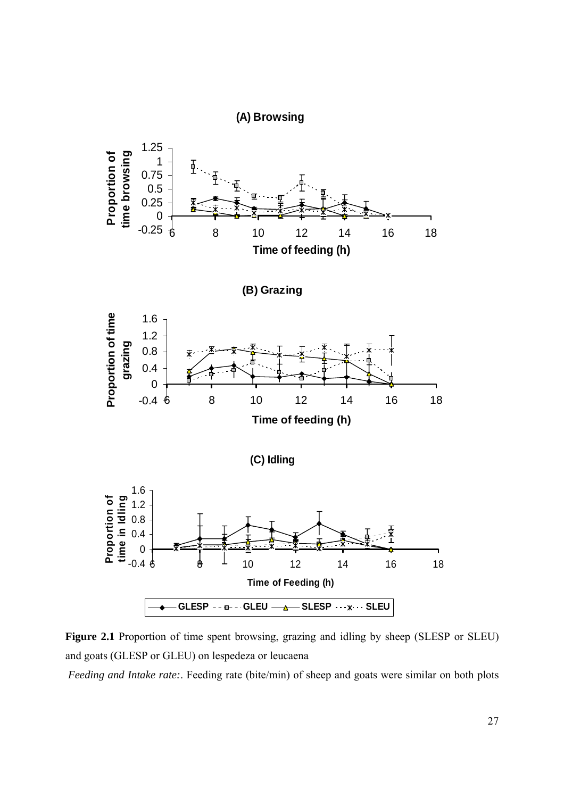



 *Feeding and Intake rate:*. Feeding rate (bite/min) of sheep and goats were similar on both plots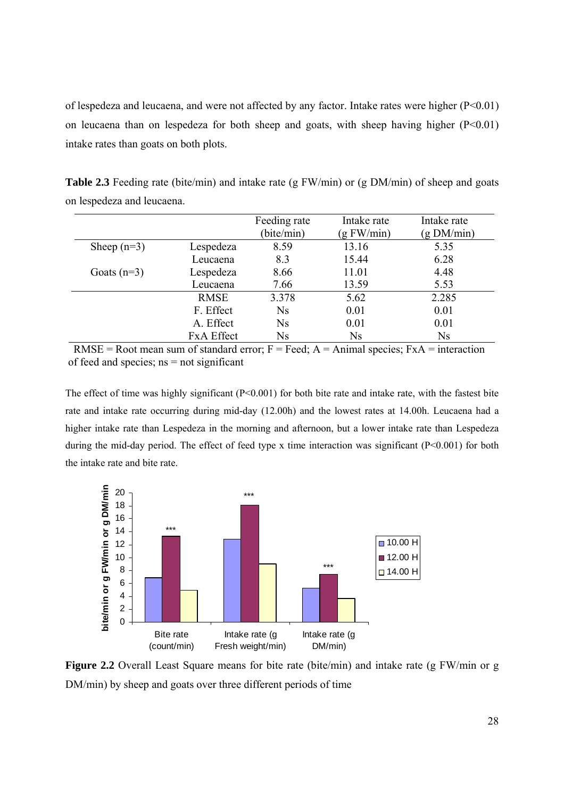of lespedeza and leucaena, and were not affected by any factor. Intake rates were higher (P<0.01) on leucaena than on lespedeza for both sheep and goats, with sheep having higher  $(P<0.01)$ intake rates than goats on both plots.

**Table 2.3** Feeding rate (bite/min) and intake rate (g FW/min) or (g DM/min) of sheep and goats on lespedeza and leucaena.

|               |                   | Feeding rate   | Intake rate  | Intake rate |
|---------------|-------------------|----------------|--------------|-------------|
|               |                   | (bite/min)     | $(g$ FW/min) | (g DM/min)  |
| Sheep $(n=3)$ | Lespedeza         | 8.59           | 13.16        | 5.35        |
|               | Leucaena          | 8.3            | 15.44        | 6.28        |
| Goats $(n=3)$ | Lespedeza         | 8.66           | 11.01        | 4.48        |
|               | Leucaena          | 7.66           | 13.59        | 5.53        |
|               | <b>RMSE</b>       | 3.378          | 5.62         | 2.285       |
|               | F. Effect         | Ns             | 0.01         | 0.01        |
|               | A. Effect         | Ns             | 0.01         | 0.01        |
|               | <b>FxA Effect</b> | N <sub>S</sub> | <b>Ns</b>    | Ns          |

RMSE = Root mean sum of standard error;  $F = \text{Feed}$ ;  $A = \text{Animal species}$ ;  $FxA = \text{interaction}$ of feed and species;  $ns = not significant$ 

The effect of time was highly significant  $(P<0.001)$  for both bite rate and intake rate, with the fastest bite rate and intake rate occurring during mid-day (12.00h) and the lowest rates at 14.00h. Leucaena had a higher intake rate than Lespedeza in the morning and afternoon, but a lower intake rate than Lespedeza during the mid-day period. The effect of feed type x time interaction was significant (P<0.001) for both the intake rate and bite rate.



**Figure 2.2** Overall Least Square means for bite rate (bite/min) and intake rate (g FW/min or g DM/min) by sheep and goats over three different periods of time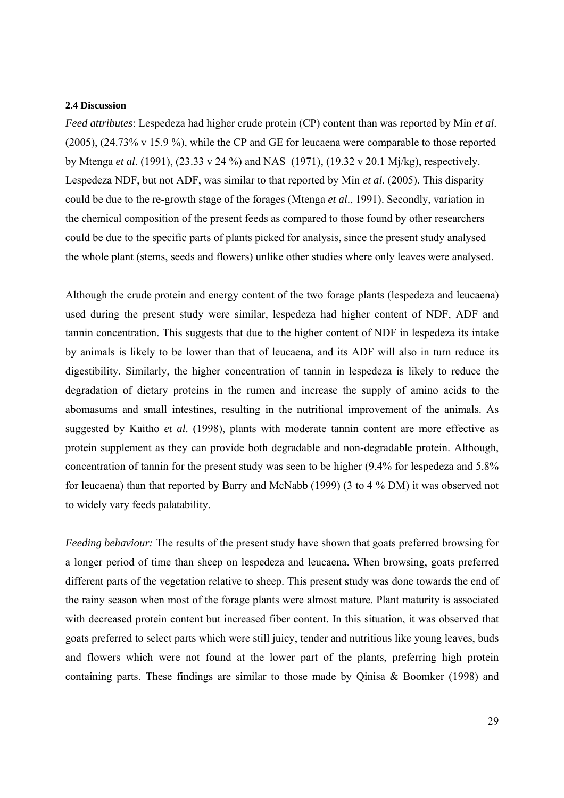#### **2.4 Discussion**

*Feed attributes*: Lespedeza had higher crude protein (CP) content than was reported by Min *et al*. (2005), (24.73% v 15.9 %), while the CP and GE for leucaena were comparable to those reported by Mtenga *et al*. (1991), (23.33 v 24 %) and NAS (1971), (19.32 v 20.1 Mj/kg), respectively. Lespedeza NDF, but not ADF, was similar to that reported by Min *et al*. (2005). This disparity could be due to the re-growth stage of the forages (Mtenga *et al*., 1991). Secondly, variation in the chemical composition of the present feeds as compared to those found by other researchers could be due to the specific parts of plants picked for analysis, since the present study analysed the whole plant (stems, seeds and flowers) unlike other studies where only leaves were analysed.

Although the crude protein and energy content of the two forage plants (lespedeza and leucaena) used during the present study were similar, lespedeza had higher content of NDF, ADF and tannin concentration. This suggests that due to the higher content of NDF in lespedeza its intake by animals is likely to be lower than that of leucaena, and its ADF will also in turn reduce its digestibility. Similarly, the higher concentration of tannin in lespedeza is likely to reduce the degradation of dietary proteins in the rumen and increase the supply of amino acids to the abomasums and small intestines, resulting in the nutritional improvement of the animals. As suggested by Kaitho *et al*. (1998), plants with moderate tannin content are more effective as protein supplement as they can provide both degradable and non-degradable protein. Although, concentration of tannin for the present study was seen to be higher (9.4% for lespedeza and 5.8% for leucaena) than that reported by Barry and McNabb (1999) (3 to 4 % DM) it was observed not to widely vary feeds palatability.

*Feeding behaviour:* The results of the present study have shown that goats preferred browsing for a longer period of time than sheep on lespedeza and leucaena. When browsing, goats preferred different parts of the vegetation relative to sheep. This present study was done towards the end of the rainy season when most of the forage plants were almost mature. Plant maturity is associated with decreased protein content but increased fiber content. In this situation, it was observed that goats preferred to select parts which were still juicy, tender and nutritious like young leaves, buds and flowers which were not found at the lower part of the plants, preferring high protein containing parts. These findings are similar to those made by Qinisa & Boomker (1998) and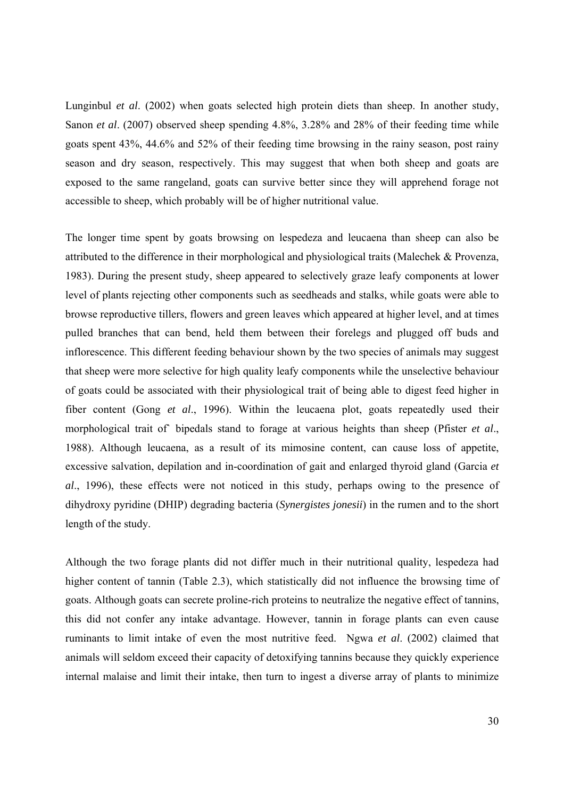Lunginbul *et al*. (2002) when goats selected high protein diets than sheep. In another study, Sanon *et al*. (2007) observed sheep spending 4.8%, 3.28% and 28% of their feeding time while goats spent 43%, 44.6% and 52% of their feeding time browsing in the rainy season, post rainy season and dry season, respectively. This may suggest that when both sheep and goats are exposed to the same rangeland, goats can survive better since they will apprehend forage not accessible to sheep, which probably will be of higher nutritional value.

The longer time spent by goats browsing on lespedeza and leucaena than sheep can also be attributed to the difference in their morphological and physiological traits (Malechek & Provenza, 1983). During the present study, sheep appeared to selectively graze leafy components at lower level of plants rejecting other components such as seedheads and stalks, while goats were able to browse reproductive tillers, flowers and green leaves which appeared at higher level, and at times pulled branches that can bend, held them between their forelegs and plugged off buds and inflorescence. This different feeding behaviour shown by the two species of animals may suggest that sheep were more selective for high quality leafy components while the unselective behaviour of goats could be associated with their physiological trait of being able to digest feed higher in fiber content (Gong *et al*., 1996). Within the leucaena plot, goats repeatedly used their morphological trait of` bipedals stand to forage at various heights than sheep (Pfister *et al*., 1988). Although leucaena, as a result of its mimosine content, can cause loss of appetite, excessive salvation, depilation and in-coordination of gait and enlarged thyroid gland (Garcia *et al*., 1996), these effects were not noticed in this study, perhaps owing to the presence of dihydroxy pyridine (DHIP) degrading bacteria (*Synergistes jonesii*) in the rumen and to the short length of the study.

Although the two forage plants did not differ much in their nutritional quality, lespedeza had higher content of tannin (Table 2.3), which statistically did not influence the browsing time of goats. Although goats can secrete proline-rich proteins to neutralize the negative effect of tannins, this did not confer any intake advantage. However, tannin in forage plants can even cause ruminants to limit intake of even the most nutritive feed. Ngwa *et al*. (2002) claimed that animals will seldom exceed their capacity of detoxifying tannins because they quickly experience internal malaise and limit their intake, then turn to ingest a diverse array of plants to minimize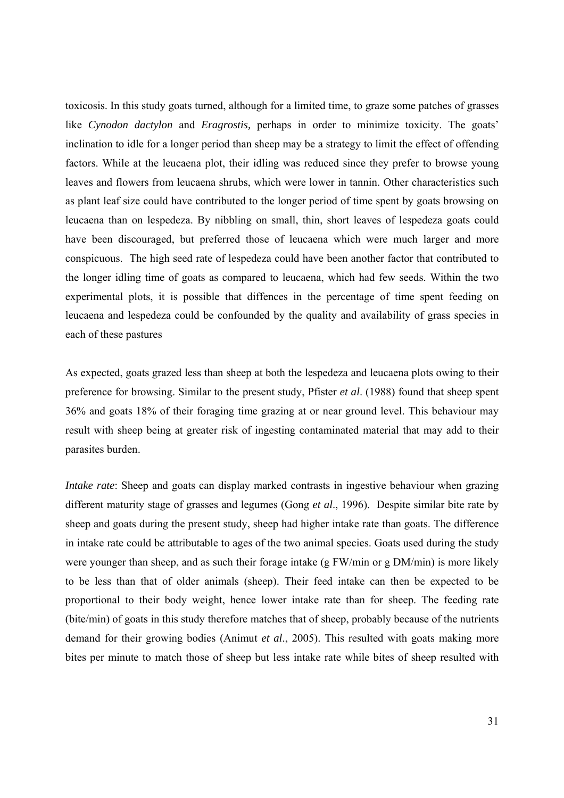toxicosis. In this study goats turned, although for a limited time, to graze some patches of grasses like *Cynodon dactylon* and *Eragrostis,* perhaps in order to minimize toxicity. The goats' inclination to idle for a longer period than sheep may be a strategy to limit the effect of offending factors. While at the leucaena plot, their idling was reduced since they prefer to browse young leaves and flowers from leucaena shrubs, which were lower in tannin. Other characteristics such as plant leaf size could have contributed to the longer period of time spent by goats browsing on leucaena than on lespedeza. By nibbling on small, thin, short leaves of lespedeza goats could have been discouraged, but preferred those of leucaena which were much larger and more conspicuous. The high seed rate of lespedeza could have been another factor that contributed to the longer idling time of goats as compared to leucaena, which had few seeds. Within the two experimental plots, it is possible that diffences in the percentage of time spent feeding on leucaena and lespedeza could be confounded by the quality and availability of grass species in each of these pastures

As expected, goats grazed less than sheep at both the lespedeza and leucaena plots owing to their preference for browsing. Similar to the present study, Pfister *et al*. (1988) found that sheep spent 36% and goats 18% of their foraging time grazing at or near ground level. This behaviour may result with sheep being at greater risk of ingesting contaminated material that may add to their parasites burden.

*Intake rate*: Sheep and goats can display marked contrasts in ingestive behaviour when grazing different maturity stage of grasses and legumes (Gong *et al*., 1996). Despite similar bite rate by sheep and goats during the present study, sheep had higher intake rate than goats. The difference in intake rate could be attributable to ages of the two animal species. Goats used during the study were younger than sheep, and as such their forage intake (g FW/min or g DM/min) is more likely to be less than that of older animals (sheep). Their feed intake can then be expected to be proportional to their body weight, hence lower intake rate than for sheep. The feeding rate (bite/min) of goats in this study therefore matches that of sheep, probably because of the nutrients demand for their growing bodies (Animut *et al*., 2005). This resulted with goats making more bites per minute to match those of sheep but less intake rate while bites of sheep resulted with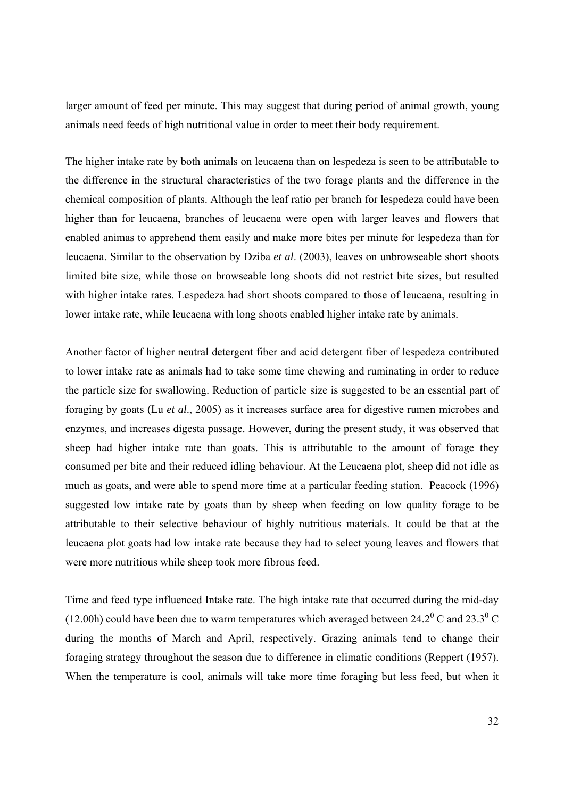larger amount of feed per minute. This may suggest that during period of animal growth, young animals need feeds of high nutritional value in order to meet their body requirement.

The higher intake rate by both animals on leucaena than on lespedeza is seen to be attributable to the difference in the structural characteristics of the two forage plants and the difference in the chemical composition of plants. Although the leaf ratio per branch for lespedeza could have been higher than for leucaena, branches of leucaena were open with larger leaves and flowers that enabled animas to apprehend them easily and make more bites per minute for lespedeza than for leucaena. Similar to the observation by Dziba *et al*. (2003), leaves on unbrowseable short shoots limited bite size, while those on browseable long shoots did not restrict bite sizes, but resulted with higher intake rates. Lespedeza had short shoots compared to those of leucaena, resulting in lower intake rate, while leucaena with long shoots enabled higher intake rate by animals.

Another factor of higher neutral detergent fiber and acid detergent fiber of lespedeza contributed to lower intake rate as animals had to take some time chewing and ruminating in order to reduce the particle size for swallowing. Reduction of particle size is suggested to be an essential part of foraging by goats (Lu *et al*., 2005) as it increases surface area for digestive rumen microbes and enzymes, and increases digesta passage. However, during the present study, it was observed that sheep had higher intake rate than goats. This is attributable to the amount of forage they consumed per bite and their reduced idling behaviour. At the Leucaena plot, sheep did not idle as much as goats, and were able to spend more time at a particular feeding station. Peacock (1996) suggested low intake rate by goats than by sheep when feeding on low quality forage to be attributable to their selective behaviour of highly nutritious materials. It could be that at the leucaena plot goats had low intake rate because they had to select young leaves and flowers that were more nutritious while sheep took more fibrous feed.

Time and feed type influenced Intake rate. The high intake rate that occurred during the mid-day (12.00h) could have been due to warm temperatures which averaged between 24.2<sup>0</sup> C and 23.3<sup>0</sup> C during the months of March and April, respectively. Grazing animals tend to change their foraging strategy throughout the season due to difference in climatic conditions (Reppert (1957). When the temperature is cool, animals will take more time foraging but less feed, but when it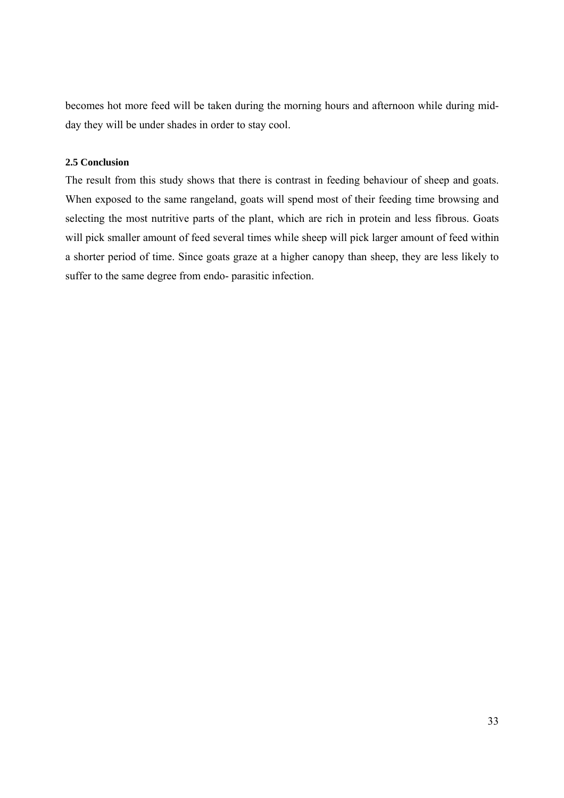becomes hot more feed will be taken during the morning hours and afternoon while during midday they will be under shades in order to stay cool.

## **2.5 Conclusion**

The result from this study shows that there is contrast in feeding behaviour of sheep and goats. When exposed to the same rangeland, goats will spend most of their feeding time browsing and selecting the most nutritive parts of the plant, which are rich in protein and less fibrous. Goats will pick smaller amount of feed several times while sheep will pick larger amount of feed within a shorter period of time. Since goats graze at a higher canopy than sheep, they are less likely to suffer to the same degree from endo- parasitic infection.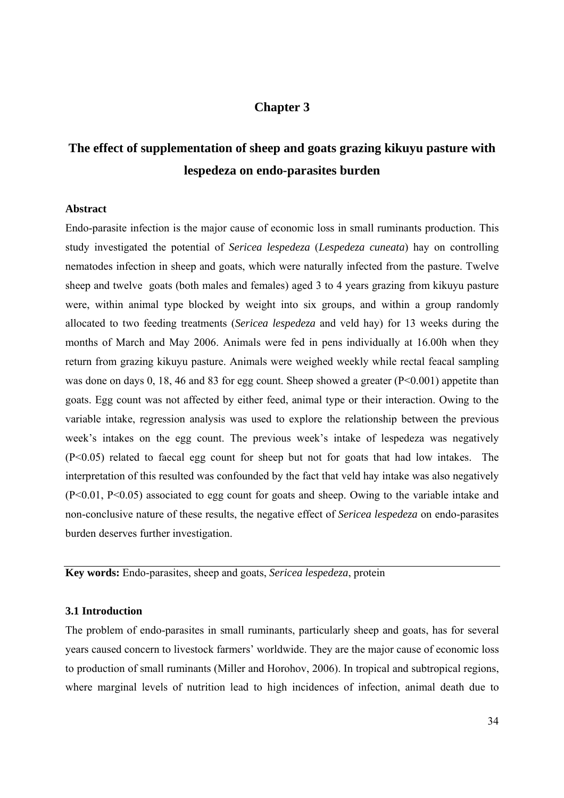# **Chapter 3**

# **The effect of supplementation of sheep and goats grazing kikuyu pasture with lespedeza on endo-parasites burden**

#### **Abstract**

Endo-parasite infection is the major cause of economic loss in small ruminants production. This study investigated the potential of *Sericea lespedeza* (*Lespedeza cuneata*) hay on controlling nematodes infection in sheep and goats, which were naturally infected from the pasture. Twelve sheep and twelve goats (both males and females) aged 3 to 4 years grazing from kikuyu pasture were, within animal type blocked by weight into six groups, and within a group randomly allocated to two feeding treatments (*Sericea lespedeza* and veld hay) for 13 weeks during the months of March and May 2006. Animals were fed in pens individually at 16.00h when they return from grazing kikuyu pasture. Animals were weighed weekly while rectal feacal sampling was done on days 0, 18, 46 and 83 for egg count. Sheep showed a greater (P<0.001) appetite than goats. Egg count was not affected by either feed, animal type or their interaction. Owing to the variable intake, regression analysis was used to explore the relationship between the previous week's intakes on the egg count. The previous week's intake of lespedeza was negatively (P<0.05) related to faecal egg count for sheep but not for goats that had low intakes. The interpretation of this resulted was confounded by the fact that veld hay intake was also negatively (P<0.01, P<0.05) associated to egg count for goats and sheep. Owing to the variable intake and non-conclusive nature of these results, the negative effect of *Sericea lespedeza* on endo-parasites burden deserves further investigation.

**Key words:** Endo-parasites, sheep and goats, *Sericea lespedeza*, protein

#### **3.1 Introduction**

The problem of endo-parasites in small ruminants, particularly sheep and goats, has for several years caused concern to livestock farmers' worldwide. They are the major cause of economic loss to production of small ruminants (Miller and Horohov, 2006). In tropical and subtropical regions, where marginal levels of nutrition lead to high incidences of infection, animal death due to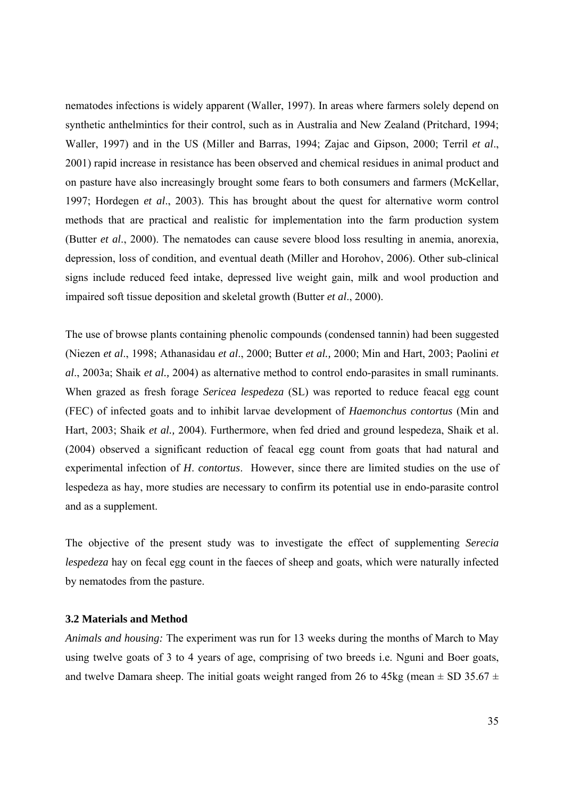nematodes infections is widely apparent (Waller, 1997). In areas where farmers solely depend on synthetic anthelmintics for their control, such as in Australia and New Zealand (Pritchard, 1994; Waller, 1997) and in the US (Miller and Barras, 1994; Zajac and Gipson, 2000; Terril *et al*., 2001) rapid increase in resistance has been observed and chemical residues in animal product and on pasture have also increasingly brought some fears to both consumers and farmers (McKellar, 1997; Hordegen *et al*., 2003). This has brought about the quest for alternative worm control methods that are practical and realistic for implementation into the farm production system (Butter *et al*., 2000). The nematodes can cause severe blood loss resulting in anemia, anorexia, depression, loss of condition, and eventual death (Miller and Horohov, 2006). Other sub-clinical signs include reduced feed intake, depressed live weight gain, milk and wool production and impaired soft tissue deposition and skeletal growth (Butter *et al*., 2000).

The use of browse plants containing phenolic compounds (condensed tannin) had been suggested (Niezen *et al*., 1998; Athanasidau *et al*., 2000; Butter *et al.,* 2000; Min and Hart, 2003; Paolini *et al*., 2003a; Shaik *et al.,* 2004) as alternative method to control endo-parasites in small ruminants. When grazed as fresh forage *Sericea lespedeza* (SL) was reported to reduce feacal egg count (FEC) of infected goats and to inhibit larvae development of *Haemonchus contortus* (Min and Hart, 2003; Shaik *et al.,* 2004). Furthermore, when fed dried and ground lespedeza, Shaik et al. (2004) observed a significant reduction of feacal egg count from goats that had natural and experimental infection of *H*. *contortus*. However, since there are limited studies on the use of lespedeza as hay, more studies are necessary to confirm its potential use in endo-parasite control and as a supplement.

The objective of the present study was to investigate the effect of supplementing *Serecia lespedeza* hay on fecal egg count in the faeces of sheep and goats, which were naturally infected by nematodes from the pasture.

#### **3.2 Materials and Method**

*Animals and housing:* The experiment was run for 13 weeks during the months of March to May using twelve goats of 3 to 4 years of age, comprising of two breeds i.e. Nguni and Boer goats, and twelve Damara sheep. The initial goats weight ranged from 26 to 45kg (mean  $\pm$  SD 35.67  $\pm$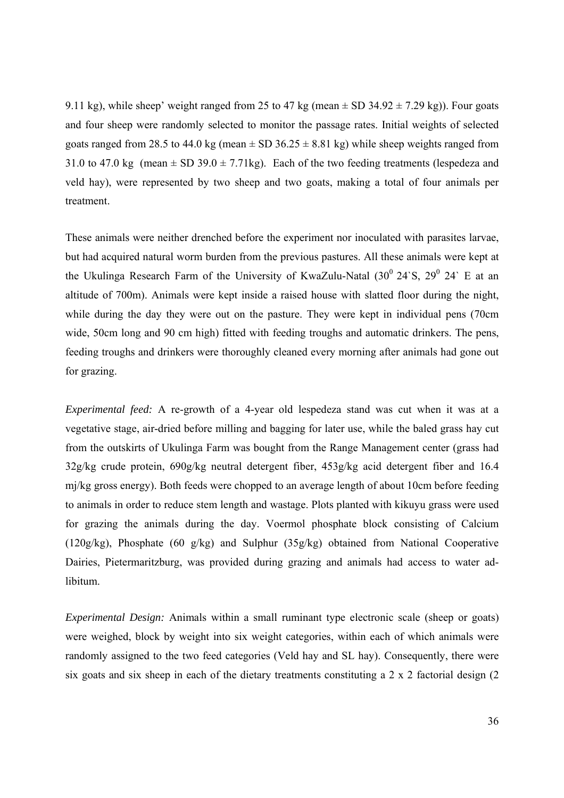9.11 kg), while sheep' weight ranged from 25 to 47 kg (mean  $\pm$  SD 34.92  $\pm$  7.29 kg)). Four goats and four sheep were randomly selected to monitor the passage rates. Initial weights of selected goats ranged from 28.5 to 44.0 kg (mean  $\pm$  SD 36.25  $\pm$  8.81 kg) while sheep weights ranged from 31.0 to 47.0 kg (mean  $\pm$  SD 39.0  $\pm$  7.71kg). Each of the two feeding treatments (lespedeza and veld hay), were represented by two sheep and two goats, making a total of four animals per treatment.

These animals were neither drenched before the experiment nor inoculated with parasites larvae, but had acquired natural worm burden from the previous pastures. All these animals were kept at the Ukulinga Research Farm of the University of KwaZulu-Natal  $(30^0 \ 24 \text{m/s}, 29^0 \ 24 \text{m/s})$  E at an altitude of 700m). Animals were kept inside a raised house with slatted floor during the night, while during the day they were out on the pasture. They were kept in individual pens (70cm wide, 50cm long and 90 cm high) fitted with feeding troughs and automatic drinkers. The pens, feeding troughs and drinkers were thoroughly cleaned every morning after animals had gone out for grazing.

*Experimental feed:* A re-growth of a 4-year old lespedeza stand was cut when it was at a vegetative stage, air-dried before milling and bagging for later use, while the baled grass hay cut from the outskirts of Ukulinga Farm was bought from the Range Management center (grass had 32g/kg crude protein, 690g/kg neutral detergent fiber, 453g/kg acid detergent fiber and 16.4 mj/kg gross energy). Both feeds were chopped to an average length of about 10cm before feeding to animals in order to reduce stem length and wastage. Plots planted with kikuyu grass were used for grazing the animals during the day. Voermol phosphate block consisting of Calcium (120g/kg), Phosphate (60 g/kg) and Sulphur (35g/kg) obtained from National Cooperative Dairies, Pietermaritzburg, was provided during grazing and animals had access to water adlibitum.

*Experimental Design:* Animals within a small ruminant type electronic scale (sheep or goats) were weighed, block by weight into six weight categories, within each of which animals were randomly assigned to the two feed categories (Veld hay and SL hay). Consequently, there were six goats and six sheep in each of the dietary treatments constituting a  $2 \times 2$  factorial design (2)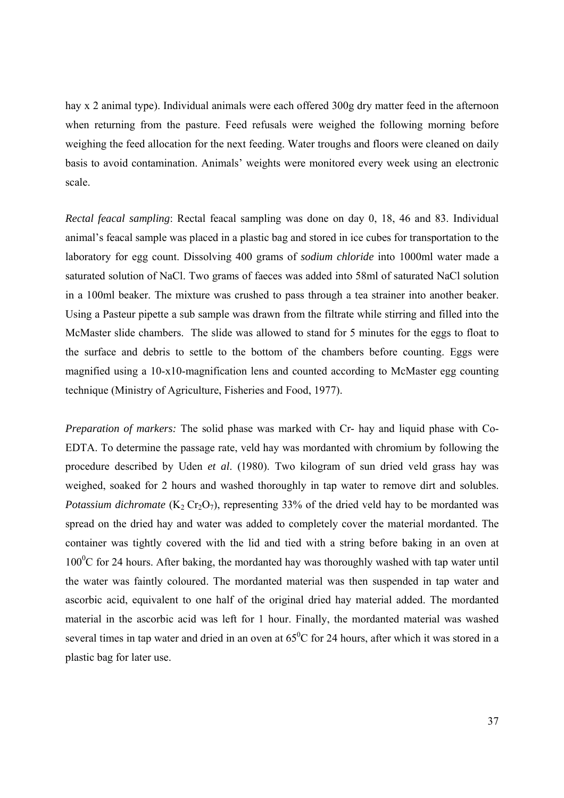hay x 2 animal type). Individual animals were each offered 300g dry matter feed in the afternoon when returning from the pasture. Feed refusals were weighed the following morning before weighing the feed allocation for the next feeding. Water troughs and floors were cleaned on daily basis to avoid contamination. Animals' weights were monitored every week using an electronic scale.

*Rectal feacal sampling*: Rectal feacal sampling was done on day 0, 18, 46 and 83. Individual animal's feacal sample was placed in a plastic bag and stored in ice cubes for transportation to the laboratory for egg count. Dissolving 400 grams of *sodium chloride* into 1000ml water made a saturated solution of NaCl. Two grams of faeces was added into 58ml of saturated NaCl solution in a 100ml beaker. The mixture was crushed to pass through a tea strainer into another beaker. Using a Pasteur pipette a sub sample was drawn from the filtrate while stirring and filled into the McMaster slide chambers. The slide was allowed to stand for 5 minutes for the eggs to float to the surface and debris to settle to the bottom of the chambers before counting. Eggs were magnified using a 10-x10-magnification lens and counted according to McMaster egg counting technique (Ministry of Agriculture, Fisheries and Food, 1977).

*Preparation of markers:* The solid phase was marked with Cr- hay and liquid phase with Co-EDTA. To determine the passage rate, veld hay was mordanted with chromium by following the procedure described by Uden *et al*. (1980). Two kilogram of sun dried veld grass hay was weighed, soaked for 2 hours and washed thoroughly in tap water to remove dirt and solubles. *Potassium dichromate* ( $K_2$  Cr<sub>2</sub>O<sub>7</sub>), representing 33% of the dried veld hay to be mordanted was spread on the dried hay and water was added to completely cover the material mordanted. The container was tightly covered with the lid and tied with a string before baking in an oven at  $100\textdegree$ C for 24 hours. After baking, the mordanted hay was thoroughly washed with tap water until the water was faintly coloured. The mordanted material was then suspended in tap water and ascorbic acid, equivalent to one half of the original dried hay material added. The mordanted material in the ascorbic acid was left for 1 hour. Finally, the mordanted material was washed several times in tap water and dried in an oven at  $65^{\circ}$ C for 24 hours, after which it was stored in a plastic bag for later use.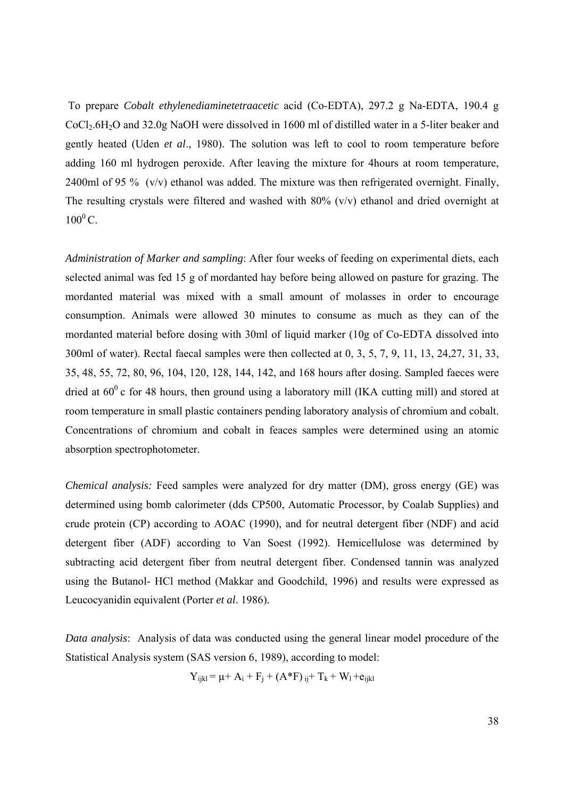To prepare *Cobalt ethylenediaminetetraacetic* acid (Co-EDTA), 297.2 g Na-EDTA, 190.4 g CoCl2.6H2O and 32.0g NaOH were dissolved in 1600 ml of distilled water in a 5-liter beaker and gently heated (Uden *et al*., 1980). The solution was left to cool to room temperature before adding 160 ml hydrogen peroxide. After leaving the mixture for 4hours at room temperature, 2400ml of 95 % (v/v) ethanol was added. The mixture was then refrigerated overnight. Finally, The resulting crystals were filtered and washed with 80% (v/v) ethanol and dried overnight at  $100^0$  C.

*Administration of Marker and sampling*: After four weeks of feeding on experimental diets, each selected animal was fed 15 g of mordanted hay before being allowed on pasture for grazing. The mordanted material was mixed with a small amount of molasses in order to encourage consumption. Animals were allowed 30 minutes to consume as much as they can of the mordanted material before dosing with 30ml of liquid marker (10g of Co-EDTA dissolved into 300ml of water). Rectal faecal samples were then collected at 0, 3, 5, 7, 9, 11, 13, 24,27, 31, 33, 35, 48, 55, 72, 80, 96, 104, 120, 128, 144, 142, and 168 hours after dosing. Sampled faeces were dried at  $60^{\circ}$  c for 48 hours, then ground using a laboratory mill (IKA cutting mill) and stored at room temperature in small plastic containers pending laboratory analysis of chromium and cobalt. Concentrations of chromium and cobalt in feaces samples were determined using an atomic absorption spectrophotometer.

*Chemical analysis:* Feed samples were analyzed for dry matter (DM), gross energy (GE) was determined using bomb calorimeter (dds CP500, Automatic Processor, by Coalab Supplies) and crude protein (CP) according to AOAC (1990), and for neutral detergent fiber (NDF) and acid detergent fiber (ADF) according to Van Soest (1992). Hemicellulose was determined by subtracting acid detergent fiber from neutral detergent fiber. Condensed tannin was analyzed using the Butanol- HCl method (Makkar and Goodchild, 1996) and results were expressed as Leucocyanidin equivalent (Porter *et al*. 1986).

*Data analysis*: Analysis of data was conducted using the general linear model procedure of the Statistical Analysis system (SAS version 6, 1989), according to model:

$$
Y_{ijkl} = \mu + A_i + F_j + (A^*F)_{ij} + T_k + W_l + e_{ijkl}
$$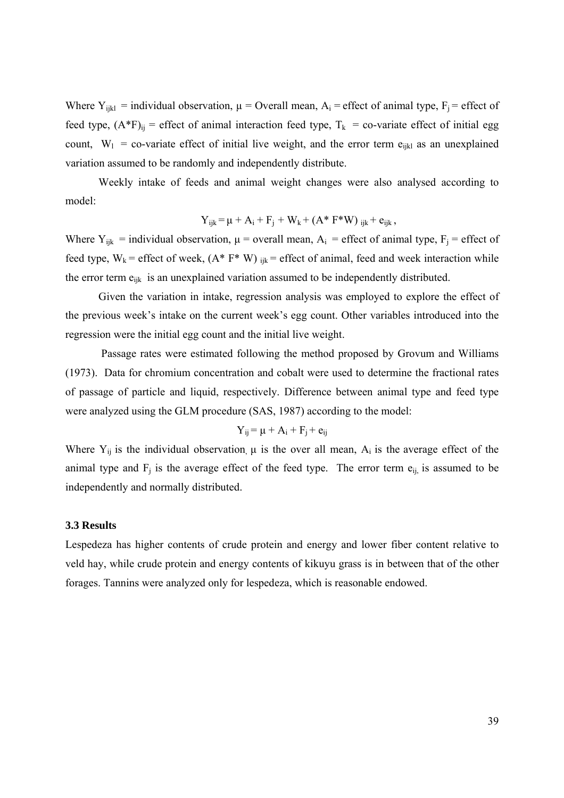Where  $Y_{ijkl}$  = individual observation,  $\mu$  = Overall mean,  $A_i$  = effect of animal type,  $F_i$  = effect of feed type,  $(A^*F)_{ij}$  = effect of animal interaction feed type,  $T_k$  = co-variate effect of initial egg count,  $W_1$  = co-variate effect of initial live weight, and the error term e<sub>ijkl</sub> as an unexplained variation assumed to be randomly and independently distribute.

Weekly intake of feeds and animal weight changes were also analysed according to model:

$$
Y_{ijk} = \mu + A_i + F_j + W_k + (A^* F^* W)_{ijk} + e_{ijk},
$$

Where  $Y_{ijk}$  = individual observation,  $\mu$  = overall mean,  $A_i$  = effect of animal type,  $F_j$  = effect of feed type,  $W_k$  = effect of week,  $(A^* F^* W)_{ijk}$  = effect of animal, feed and week interaction while the error term e<sub>ijk</sub> is an unexplained variation assumed to be independently distributed.

Given the variation in intake, regression analysis was employed to explore the effect of the previous week's intake on the current week's egg count. Other variables introduced into the regression were the initial egg count and the initial live weight.

 Passage rates were estimated following the method proposed by Grovum and Williams (1973). Data for chromium concentration and cobalt were used to determine the fractional rates of passage of particle and liquid, respectively. Difference between animal type and feed type were analyzed using the GLM procedure (SAS, 1987) according to the model:

$$
Y_{ij} = \mu + A_i + F_j + e_{ij}
$$

Where  $Y_{ij}$  is the individual observation,  $\mu$  is the over all mean,  $A_i$  is the average effect of the animal type and  $F_j$  is the average effect of the feed type. The error term  $e_{ij}$  is assumed to be independently and normally distributed.

#### **3.3 Results**

Lespedeza has higher contents of crude protein and energy and lower fiber content relative to veld hay, while crude protein and energy contents of kikuyu grass is in between that of the other forages. Tannins were analyzed only for lespedeza, which is reasonable endowed.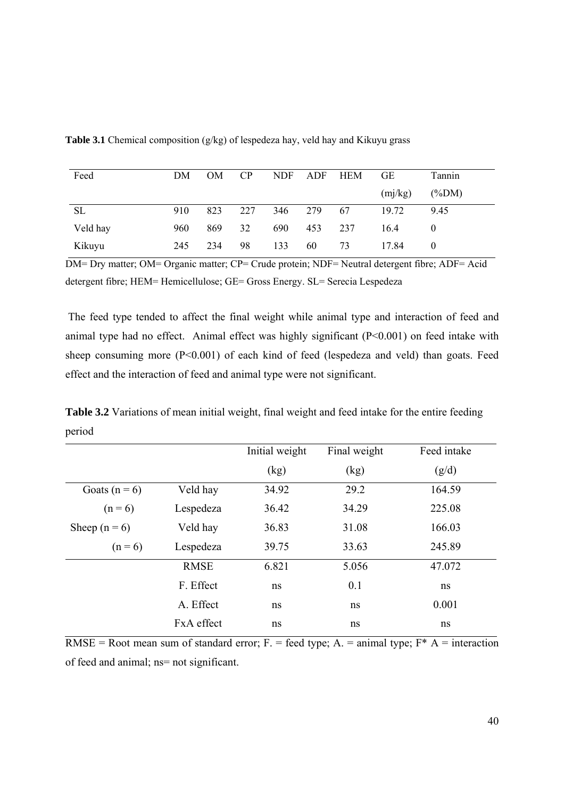| Feed      | DM  | <b>OM</b> | CP  | <b>NDF</b> | ADF | <b>HEM</b> | <b>GE</b> | Tannin   |
|-----------|-----|-----------|-----|------------|-----|------------|-----------|----------|
|           |     |           |     |            |     |            | (mj/kg)   | $(\%DM)$ |
| <b>SL</b> | 910 | 823       | 227 | 346        | 279 | 67         | 19.72     | 9.45     |
| Veld hay  | 960 | 869       | 32  | 690        | 453 | 237        | 16.4      |          |
| Kikuyu    | 245 | 234       | 98  | 133        | 60  | 73         | 17.84     | $\theta$ |

**Table 3.1** Chemical composition (g/kg) of lespedeza hay, veld hay and Kikuyu grass

DM= Dry matter; OM= Organic matter; CP= Crude protein; NDF= Neutral detergent fibre; ADF= Acid detergent fibre; HEM= Hemicellulose; GE= Gross Energy. SL= Serecia Lespedeza

 The feed type tended to affect the final weight while animal type and interaction of feed and animal type had no effect. Animal effect was highly significant (P<0.001) on feed intake with sheep consuming more (P<0.001) of each kind of feed (lespedeza and veld) than goats. Feed effect and the interaction of feed and animal type were not significant.

**Table 3.2** Variations of mean initial weight, final weight and feed intake for the entire feeding period

|                   |                   | Initial weight | Final weight | Feed intake |
|-------------------|-------------------|----------------|--------------|-------------|
|                   |                   | (kg)           | (kg)         | (g/d)       |
| Goats ( $n = 6$ ) | Veld hay          | 34.92          | 29.2         | 164.59      |
| $(n = 6)$         | Lespedeza         | 36.42          | 34.29        | 225.08      |
| Sheep $(n = 6)$   | Veld hay          | 36.83          | 31.08        | 166.03      |
| $(n = 6)$         | Lespedeza         | 39.75          | 33.63        | 245.89      |
|                   | <b>RMSE</b>       | 6.821          | 5.056        | 47.072      |
|                   | F. Effect         | ns             | 0.1          | ns          |
|                   | A. Effect         | ns             | ns           | 0.001       |
|                   | <b>FxA</b> effect | ns             | ns           | ns          |

RMSE = Root mean sum of standard error; F. = feed type; A. = animal type;  $F^*$  A = interaction of feed and animal; ns= not significant.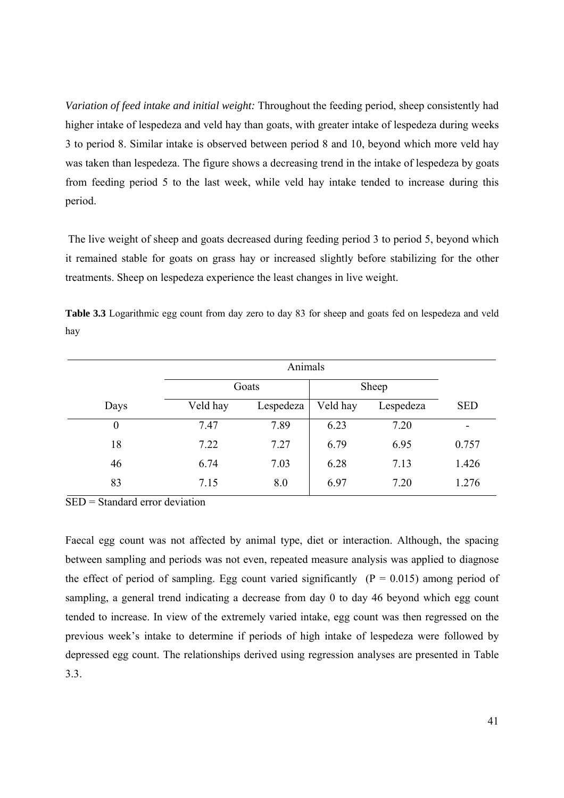*Variation of feed intake and initial weight:* Throughout the feeding period, sheep consistently had higher intake of lespedeza and veld hay than goats, with greater intake of lespedeza during weeks 3 to period 8. Similar intake is observed between period 8 and 10, beyond which more veld hay was taken than lespedeza. The figure shows a decreasing trend in the intake of lespedeza by goats from feeding period 5 to the last week, while veld hay intake tended to increase during this period.

 The live weight of sheep and goats decreased during feeding period 3 to period 5, beyond which it remained stable for goats on grass hay or increased slightly before stabilizing for the other treatments. Sheep on lespedeza experience the least changes in live weight.

**Table 3.3** Logarithmic egg count from day zero to day 83 for sheep and goats fed on lespedeza and veld hay

|                  |          | Goats     | Sheep    |           |            |
|------------------|----------|-----------|----------|-----------|------------|
| Days             | Veld hay | Lespedeza | Veld hay | Lespedeza | <b>SED</b> |
| $\boldsymbol{0}$ | 7.47     | 7.89      | 6.23     | 7.20      |            |
| 18               | 7.22     | 7.27      | 6.79     | 6.95      | 0.757      |
| 46               | 6.74     | 7.03      | 6.28     | 7.13      | 1.426      |
| 83               | 7.15     | 8.0       | 6.97     | 7.20      | 1.276      |

SED = Standard error deviation

Faecal egg count was not affected by animal type, diet or interaction. Although, the spacing between sampling and periods was not even, repeated measure analysis was applied to diagnose the effect of period of sampling. Egg count varied significantly  $(P = 0.015)$  among period of sampling, a general trend indicating a decrease from day 0 to day 46 beyond which egg count tended to increase. In view of the extremely varied intake, egg count was then regressed on the previous week's intake to determine if periods of high intake of lespedeza were followed by depressed egg count. The relationships derived using regression analyses are presented in Table 3.3.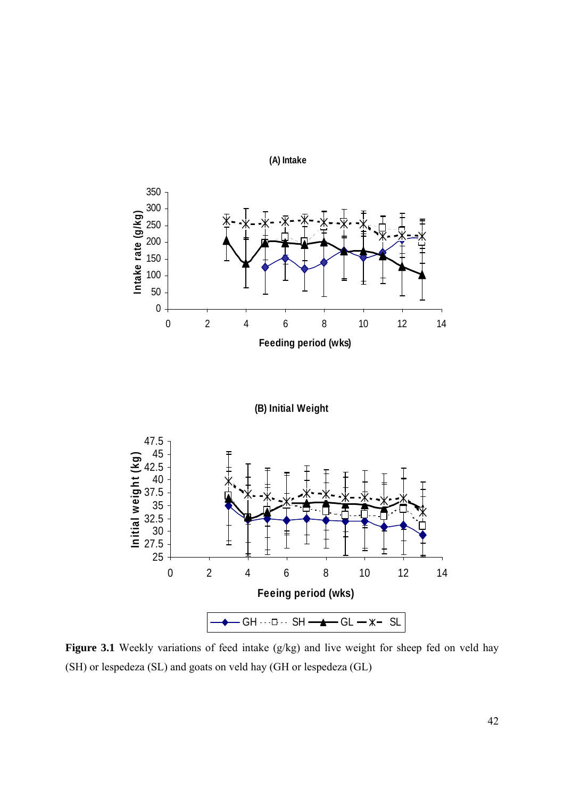

Figure 3.1 Weekly variations of feed intake (g/kg) and live weight for sheep fed on veld hay (SH) or lespedeza (SL) and goats on veld hay (GH or lespedeza (GL)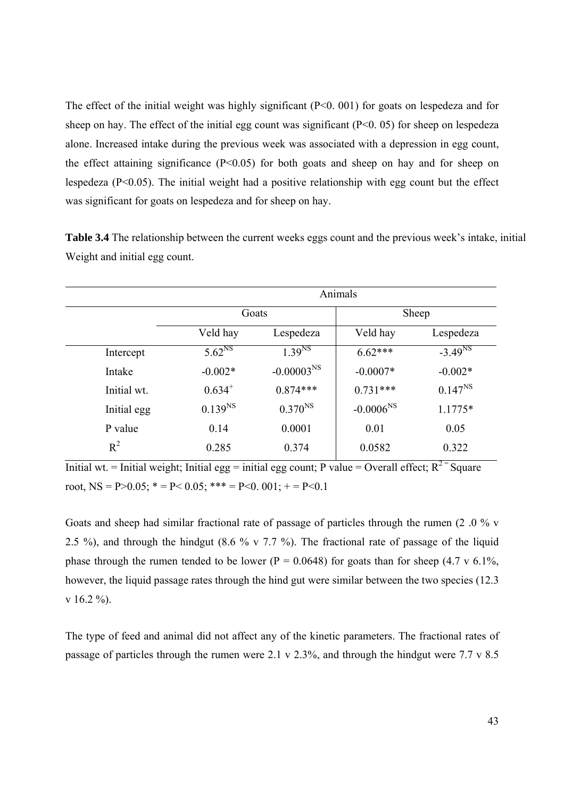The effect of the initial weight was highly significant (P<0. 001) for goats on lespedeza and for sheep on hay. The effect of the initial egg count was significant  $(P<0.05)$  for sheep on lespedeza alone. Increased intake during the previous week was associated with a depression in egg count, the effect attaining significance  $(P<0.05)$  for both goats and sheep on hay and for sheep on lespedeza (P<0.05). The initial weight had a positive relationship with egg count but the effect was significant for goats on lespedeza and for sheep on hay.

**Table 3.4** The relationship between the current weeks eggs count and the previous week's intake, initial Weight and initial egg count.

|             | Animals            |                 |                |              |  |  |
|-------------|--------------------|-----------------|----------------|--------------|--|--|
|             | Goats              |                 | Sheep          |              |  |  |
|             | Veld hay           | Lespedeza       | Veld hay       | Lespedeza    |  |  |
| Intercept   | 5.62 <sup>NS</sup> | $1.39^{NS}$     | $6.62***$      | $-3.49^{NS}$ |  |  |
| Intake      | $-0.002*$          | $-0.00003^{NS}$ | $-0.0007*$     | $-0.002*$    |  |  |
| Initial wt. | $0.634^{+}$        | $0.874***$      | $0.731***$     | $0.147^{NS}$ |  |  |
| Initial egg | $0.139^{NS}$       | $0.370^{NS}$    | $-0.0006^{NS}$ | $1.1775*$    |  |  |
| P value     | 0.14               | 0.0001          | 0.01           | 0.05         |  |  |
| $R^2$       | 0.285              | 0.374           | 0.0582         | 0.322        |  |  |

Initial wt. = Initial weight; Initial egg = initial egg count; P value = Overall effect;  $R^{2}$  Square root, NS = P>0.05;  $* = P < 0.05$ ;  $** = P < 0.01$ ;  $+ = P < 0.1$ 

Goats and sheep had similar fractional rate of passage of particles through the rumen (2 .0 % v 2.5 %), and through the hindgut  $(8.6 \% \text{ v } 7.7 \%)$ . The fractional rate of passage of the liquid phase through the rumen tended to be lower ( $P = 0.0648$ ) for goats than for sheep (4.7 v 6.1%, however, the liquid passage rates through the hind gut were similar between the two species (12.3  $v$  16.2 %).

The type of feed and animal did not affect any of the kinetic parameters. The fractional rates of passage of particles through the rumen were 2.1 v 2.3%, and through the hindgut were 7.7 v 8.5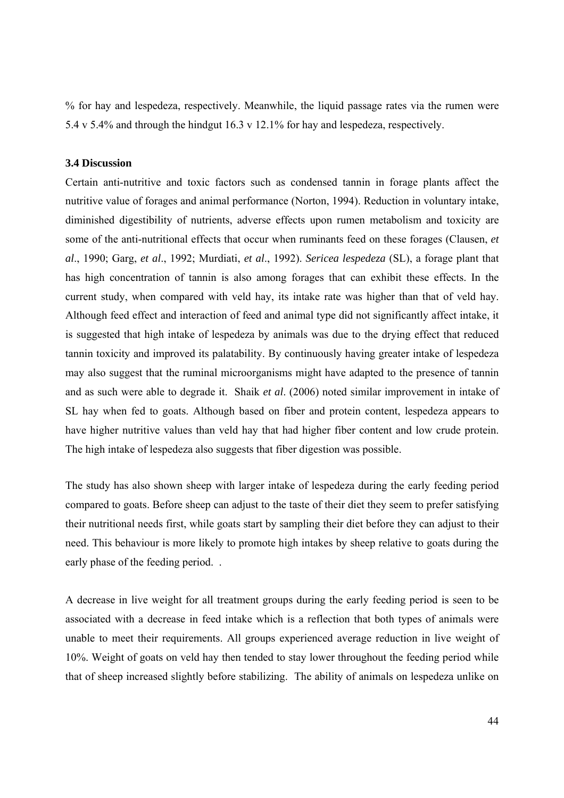% for hay and lespedeza, respectively. Meanwhile, the liquid passage rates via the rumen were 5.4 v 5.4% and through the hindgut 16.3 v 12.1% for hay and lespedeza, respectively.

#### **3.4 Discussion**

Certain anti-nutritive and toxic factors such as condensed tannin in forage plants affect the nutritive value of forages and animal performance (Norton, 1994). Reduction in voluntary intake, diminished digestibility of nutrients, adverse effects upon rumen metabolism and toxicity are some of the anti-nutritional effects that occur when ruminants feed on these forages (Clausen, *et al*., 1990; Garg, *et al*., 1992; Murdiati, *et al*., 1992). *Sericea lespedeza* (SL), a forage plant that has high concentration of tannin is also among forages that can exhibit these effects. In the current study, when compared with veld hay, its intake rate was higher than that of veld hay. Although feed effect and interaction of feed and animal type did not significantly affect intake, it is suggested that high intake of lespedeza by animals was due to the drying effect that reduced tannin toxicity and improved its palatability. By continuously having greater intake of lespedeza may also suggest that the ruminal microorganisms might have adapted to the presence of tannin and as such were able to degrade it. Shaik *et al*. (2006) noted similar improvement in intake of SL hay when fed to goats. Although based on fiber and protein content, lespedeza appears to have higher nutritive values than veld hay that had higher fiber content and low crude protein. The high intake of lespedeza also suggests that fiber digestion was possible.

The study has also shown sheep with larger intake of lespedeza during the early feeding period compared to goats. Before sheep can adjust to the taste of their diet they seem to prefer satisfying their nutritional needs first, while goats start by sampling their diet before they can adjust to their need. This behaviour is more likely to promote high intakes by sheep relative to goats during the early phase of the feeding period. .

A decrease in live weight for all treatment groups during the early feeding period is seen to be associated with a decrease in feed intake which is a reflection that both types of animals were unable to meet their requirements. All groups experienced average reduction in live weight of 10%. Weight of goats on veld hay then tended to stay lower throughout the feeding period while that of sheep increased slightly before stabilizing. The ability of animals on lespedeza unlike on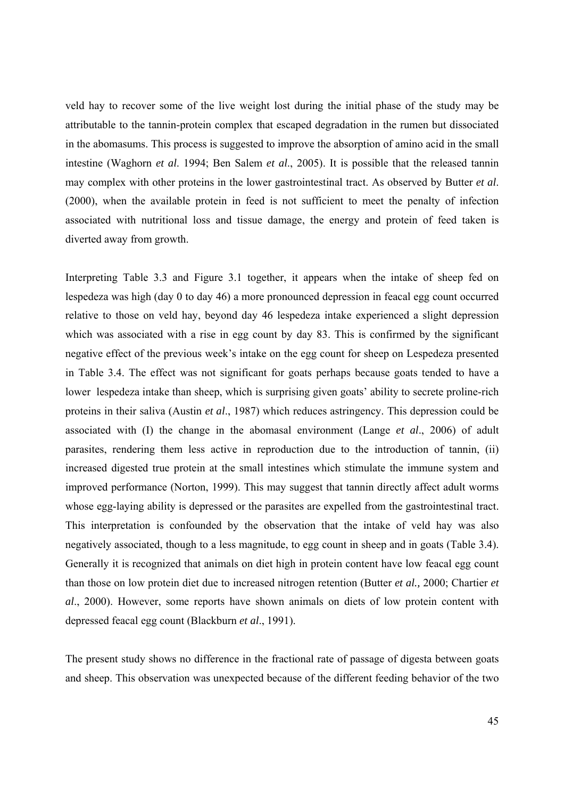veld hay to recover some of the live weight lost during the initial phase of the study may be attributable to the tannin-protein complex that escaped degradation in the rumen but dissociated in the abomasums. This process is suggested to improve the absorption of amino acid in the small intestine (Waghorn *et al*. 1994; Ben Salem *et al*., 2005). It is possible that the released tannin may complex with other proteins in the lower gastrointestinal tract. As observed by Butter *et al*. (2000), when the available protein in feed is not sufficient to meet the penalty of infection associated with nutritional loss and tissue damage, the energy and protein of feed taken is diverted away from growth.

Interpreting Table 3.3 and Figure 3.1 together, it appears when the intake of sheep fed on lespedeza was high (day 0 to day 46) a more pronounced depression in feacal egg count occurred relative to those on veld hay, beyond day 46 lespedeza intake experienced a slight depression which was associated with a rise in egg count by day 83. This is confirmed by the significant negative effect of the previous week's intake on the egg count for sheep on Lespedeza presented in Table 3.4. The effect was not significant for goats perhaps because goats tended to have a lower lespedeza intake than sheep, which is surprising given goats' ability to secrete proline-rich proteins in their saliva (Austin *et al*., 1987) which reduces astringency. This depression could be associated with (I) the change in the abomasal environment (Lange *et al*., 2006) of adult parasites, rendering them less active in reproduction due to the introduction of tannin, (ii) increased digested true protein at the small intestines which stimulate the immune system and improved performance (Norton, 1999). This may suggest that tannin directly affect adult worms whose egg-laying ability is depressed or the parasites are expelled from the gastrointestinal tract. This interpretation is confounded by the observation that the intake of veld hay was also negatively associated, though to a less magnitude, to egg count in sheep and in goats (Table 3.4). Generally it is recognized that animals on diet high in protein content have low feacal egg count than those on low protein diet due to increased nitrogen retention (Butter *et al.,* 2000; Chartier *et al*., 2000). However, some reports have shown animals on diets of low protein content with depressed feacal egg count (Blackburn *et al*., 1991).

The present study shows no difference in the fractional rate of passage of digesta between goats and sheep. This observation was unexpected because of the different feeding behavior of the two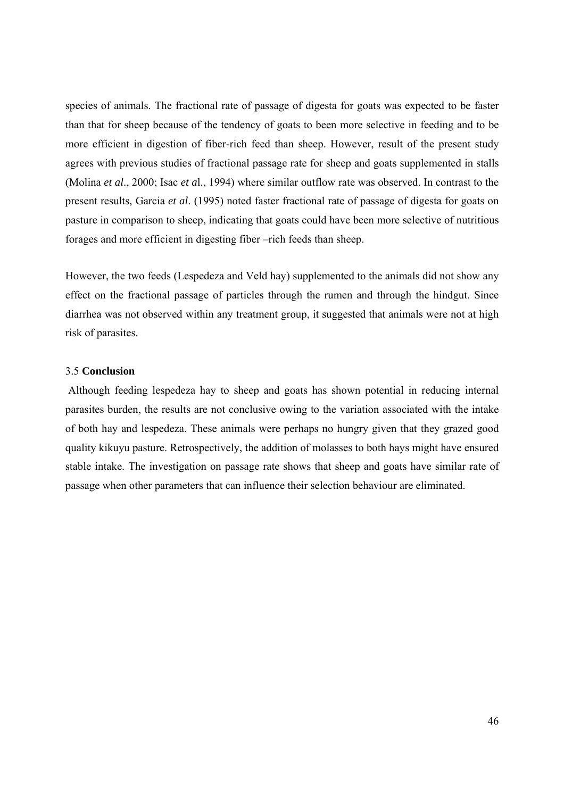species of animals. The fractional rate of passage of digesta for goats was expected to be faster than that for sheep because of the tendency of goats to been more selective in feeding and to be more efficient in digestion of fiber-rich feed than sheep. However, result of the present study agrees with previous studies of fractional passage rate for sheep and goats supplemented in stalls (Molina *et al*., 2000; Isac *et a*l., 1994) where similar outflow rate was observed. In contrast to the present results, Garcia *et al*. (1995) noted faster fractional rate of passage of digesta for goats on pasture in comparison to sheep, indicating that goats could have been more selective of nutritious forages and more efficient in digesting fiber –rich feeds than sheep.

However, the two feeds (Lespedeza and Veld hay) supplemented to the animals did not show any effect on the fractional passage of particles through the rumen and through the hindgut. Since diarrhea was not observed within any treatment group, it suggested that animals were not at high risk of parasites.

### 3.5 **Conclusion**

 Although feeding lespedeza hay to sheep and goats has shown potential in reducing internal parasites burden, the results are not conclusive owing to the variation associated with the intake of both hay and lespedeza. These animals were perhaps no hungry given that they grazed good quality kikuyu pasture. Retrospectively, the addition of molasses to both hays might have ensured stable intake. The investigation on passage rate shows that sheep and goats have similar rate of passage when other parameters that can influence their selection behaviour are eliminated.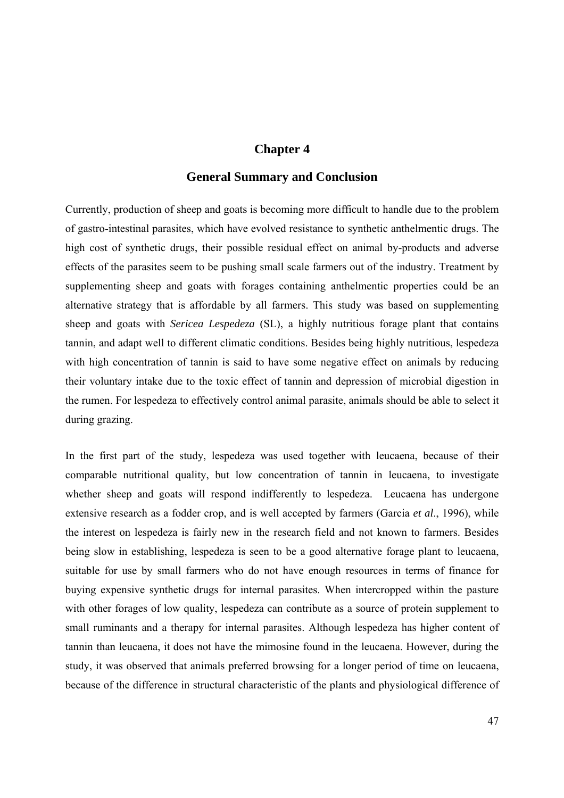# **Chapter 4**

## **General Summary and Conclusion**

Currently, production of sheep and goats is becoming more difficult to handle due to the problem of gastro-intestinal parasites, which have evolved resistance to synthetic anthelmentic drugs. The high cost of synthetic drugs, their possible residual effect on animal by-products and adverse effects of the parasites seem to be pushing small scale farmers out of the industry. Treatment by supplementing sheep and goats with forages containing anthelmentic properties could be an alternative strategy that is affordable by all farmers. This study was based on supplementing sheep and goats with *Sericea Lespedeza* (SL), a highly nutritious forage plant that contains tannin, and adapt well to different climatic conditions. Besides being highly nutritious, lespedeza with high concentration of tannin is said to have some negative effect on animals by reducing their voluntary intake due to the toxic effect of tannin and depression of microbial digestion in the rumen. For lespedeza to effectively control animal parasite, animals should be able to select it during grazing.

In the first part of the study, lespedeza was used together with leucaena, because of their comparable nutritional quality, but low concentration of tannin in leucaena, to investigate whether sheep and goats will respond indifferently to lespedeza. Leucaena has undergone extensive research as a fodder crop, and is well accepted by farmers (Garcia *et al*., 1996), while the interest on lespedeza is fairly new in the research field and not known to farmers. Besides being slow in establishing, lespedeza is seen to be a good alternative forage plant to leucaena, suitable for use by small farmers who do not have enough resources in terms of finance for buying expensive synthetic drugs for internal parasites. When intercropped within the pasture with other forages of low quality, lespedeza can contribute as a source of protein supplement to small ruminants and a therapy for internal parasites. Although lespedeza has higher content of tannin than leucaena, it does not have the mimosine found in the leucaena. However, during the study, it was observed that animals preferred browsing for a longer period of time on leucaena, because of the difference in structural characteristic of the plants and physiological difference of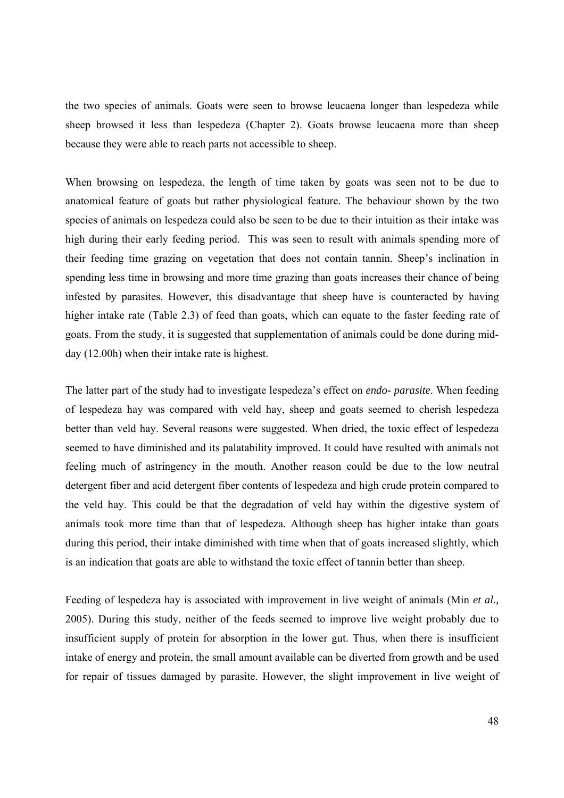the two species of animals. Goats were seen to browse leucaena longer than lespedeza while sheep browsed it less than lespedeza (Chapter 2). Goats browse leucaena more than sheep because they were able to reach parts not accessible to sheep.

When browsing on lespedeza, the length of time taken by goats was seen not to be due to anatomical feature of goats but rather physiological feature. The behaviour shown by the two species of animals on lespedeza could also be seen to be due to their intuition as their intake was high during their early feeding period. This was seen to result with animals spending more of their feeding time grazing on vegetation that does not contain tannin. Sheep's inclination in spending less time in browsing and more time grazing than goats increases their chance of being infested by parasites. However, this disadvantage that sheep have is counteracted by having higher intake rate (Table 2.3) of feed than goats, which can equate to the faster feeding rate of goats. From the study, it is suggested that supplementation of animals could be done during midday (12.00h) when their intake rate is highest.

The latter part of the study had to investigate lespedeza's effect on *endo- parasite*. When feeding of lespedeza hay was compared with veld hay, sheep and goats seemed to cherish lespedeza better than veld hay. Several reasons were suggested. When dried, the toxic effect of lespedeza seemed to have diminished and its palatability improved. It could have resulted with animals not feeling much of astringency in the mouth. Another reason could be due to the low neutral detergent fiber and acid detergent fiber contents of lespedeza and high crude protein compared to the veld hay. This could be that the degradation of veld hay within the digestive system of animals took more time than that of lespedeza. Although sheep has higher intake than goats during this period, their intake diminished with time when that of goats increased slightly, which is an indication that goats are able to withstand the toxic effect of tannin better than sheep.

Feeding of lespedeza hay is associated with improvement in live weight of animals (Min *et al.,* 2005). During this study, neither of the feeds seemed to improve live weight probably due to insufficient supply of protein for absorption in the lower gut. Thus, when there is insufficient intake of energy and protein, the small amount available can be diverted from growth and be used for repair of tissues damaged by parasite. However, the slight improvement in live weight of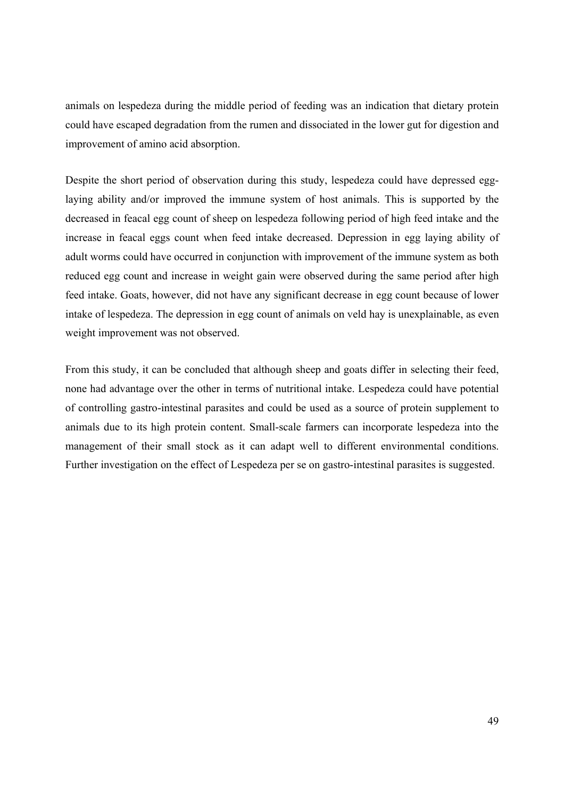animals on lespedeza during the middle period of feeding was an indication that dietary protein could have escaped degradation from the rumen and dissociated in the lower gut for digestion and improvement of amino acid absorption.

Despite the short period of observation during this study, lespedeza could have depressed egglaying ability and/or improved the immune system of host animals. This is supported by the decreased in feacal egg count of sheep on lespedeza following period of high feed intake and the increase in feacal eggs count when feed intake decreased. Depression in egg laying ability of adult worms could have occurred in conjunction with improvement of the immune system as both reduced egg count and increase in weight gain were observed during the same period after high feed intake. Goats, however, did not have any significant decrease in egg count because of lower intake of lespedeza. The depression in egg count of animals on veld hay is unexplainable, as even weight improvement was not observed.

From this study, it can be concluded that although sheep and goats differ in selecting their feed, none had advantage over the other in terms of nutritional intake. Lespedeza could have potential of controlling gastro-intestinal parasites and could be used as a source of protein supplement to animals due to its high protein content. Small-scale farmers can incorporate lespedeza into the management of their small stock as it can adapt well to different environmental conditions. Further investigation on the effect of Lespedeza per se on gastro-intestinal parasites is suggested.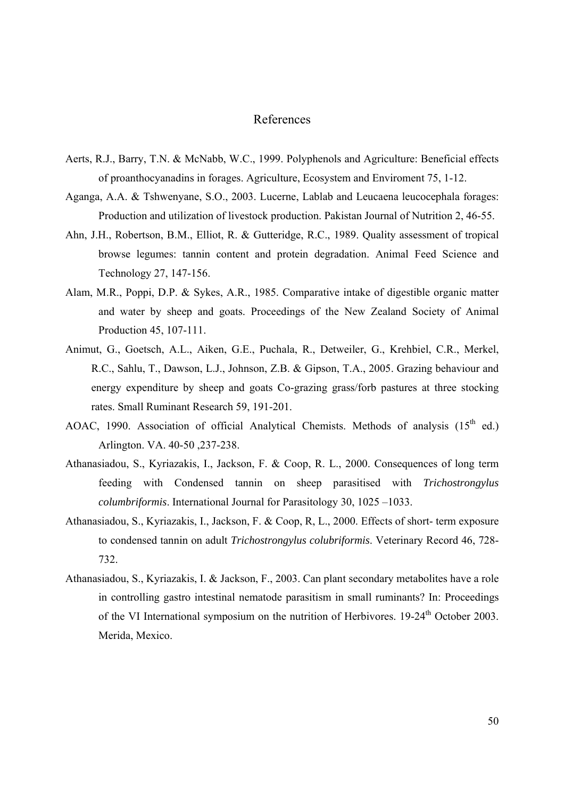# References

- Aerts, R.J., Barry, T.N. & McNabb, W.C., 1999. Polyphenols and Agriculture: Beneficial effects of proanthocyanadins in forages. Agriculture, Ecosystem and Enviroment 75, 1-12.
- Aganga, A.A. & Tshwenyane, S.O., 2003. Lucerne, Lablab and Leucaena leucocephala forages: Production and utilization of livestock production. Pakistan Journal of Nutrition 2, 46-55.
- Ahn, J.H., Robertson, B.M., Elliot, R. & Gutteridge, R.C., 1989. Quality assessment of tropical browse legumes: tannin content and protein degradation. Animal Feed Science and Technology 27, 147-156.
- Alam, M.R., Poppi, D.P. & Sykes, A.R., 1985. Comparative intake of digestible organic matter and water by sheep and goats. Proceedings of the New Zealand Society of Animal Production 45, 107-111.
- Animut, G., Goetsch, A.L., Aiken, G.E., Puchala, R., Detweiler, G., Krehbiel, C.R., Merkel, R.C., Sahlu, T., Dawson, L.J., Johnson, Z.B. & Gipson, T.A., 2005. Grazing behaviour and energy expenditure by sheep and goats Co-grazing grass/forb pastures at three stocking rates. Small Ruminant Research 59, 191-201.
- AOAC, 1990. Association of official Analytical Chemists. Methods of analysis  $(15<sup>th</sup>$  ed.) Arlington. VA. 40-50 ,237-238.
- Athanasiadou, S., Kyriazakis, I., Jackson, F. & Coop, R. L., 2000. Consequences of long term feeding with Condensed tannin on sheep parasitised with *Trichostrongylus columbriformis*. International Journal for Parasitology 30, 1025 –1033.
- Athanasiadou, S., Kyriazakis, I., Jackson, F. & Coop, R, L., 2000. Effects of short- term exposure to condensed tannin on adult *Trichostrongylus colubriformis*. Veterinary Record 46, 728- 732.
- Athanasiadou, S., Kyriazakis, I. & Jackson, F., 2003. Can plant secondary metabolites have a role in controlling gastro intestinal nematode parasitism in small ruminants? In: Proceedings of the VI International symposium on the nutrition of Herbivores. 19-24<sup>th</sup> October 2003. Merida, Mexico.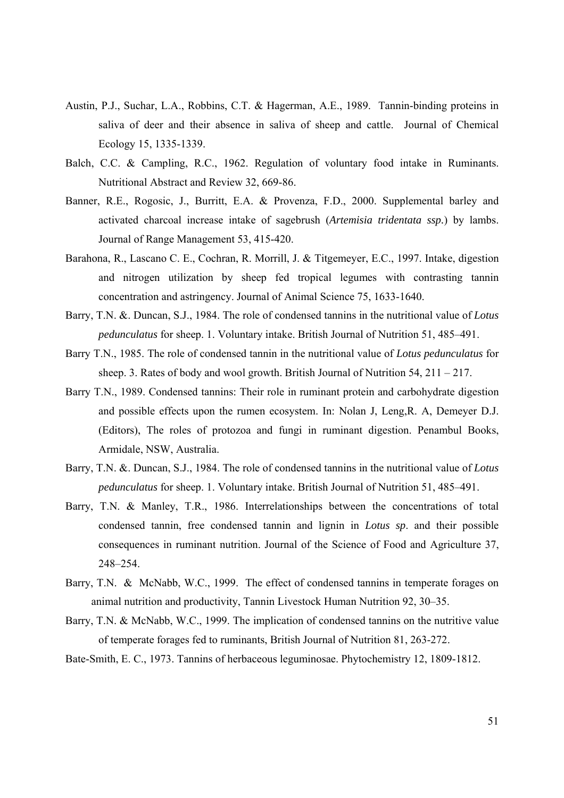- Austin, P.J., Suchar, L.A., Robbins, C.T. & Hagerman, A.E., 1989. Tannin-binding proteins in saliva of deer and their absence in saliva of sheep and cattle. Journal of Chemical Ecology 15, 1335-1339.
- Balch, C.C. & Campling, R.C., 1962. Regulation of voluntary food intake in Ruminants. Nutritional Abstract and Review 32, 669-86.
- Banner, R.E., Rogosic, J., Burritt, E.A. & Provenza, F.D., 2000. Supplemental barley and activated charcoal increase intake of sagebrush (*Artemisia tridentata ssp.*) by lambs. Journal of Range Management 53, 415-420.
- Barahona, R., Lascano C. E., Cochran, R. Morrill, J. & Titgemeyer, E.C., 1997. Intake, digestion and nitrogen utilization by sheep fed tropical legumes with contrasting tannin concentration and astringency. Journal of Animal Science 75, 1633-1640.
- Barry, T.N. &. Duncan, S.J., 1984. The role of condensed tannins in the nutritional value of *Lotus pedunculatus* for sheep. 1. Voluntary intake. British Journal of Nutrition 51, 485–491.
- Barry T.N., 1985. The role of condensed tannin in the nutritional value of *Lotus pedunculatus* for sheep. 3. Rates of body and wool growth. British Journal of Nutrition  $54$ ,  $211 - 217$ .
- Barry T.N., 1989. Condensed tannins: Their role in ruminant protein and carbohydrate digestion and possible effects upon the rumen ecosystem. In: Nolan J, Leng,R. A, Demeyer D.J. (Editors), The roles of protozoa and fungi in ruminant digestion. Penambul Books, Armidale, NSW, Australia.
- Barry, T.N. &. Duncan, S.J., 1984. The role of condensed tannins in the nutritional value of *Lotus pedunculatus* for sheep. 1. Voluntary intake. British Journal of Nutrition 51, 485–491.
- Barry, T.N. & Manley, T.R., 1986. Interrelationships between the concentrations of total condensed tannin, free condensed tannin and lignin in *Lotus sp*. and their possible consequences in ruminant nutrition. Journal of the Science of Food and Agriculture 37, 248–254.
- Barry, T.N. & McNabb, W.C., 1999. The effect of condensed tannins in temperate forages on animal nutrition and productivity, Tannin Livestock Human Nutrition 92, 30–35.
- Barry, T.N. & McNabb, W.C., 1999. The implication of condensed tannins on the nutritive value of temperate forages fed to ruminants, British Journal of Nutrition 81, 263-272.
- Bate-Smith, E. C., 1973. Tannins of herbaceous leguminosae. Phytochemistry 12, 1809-1812.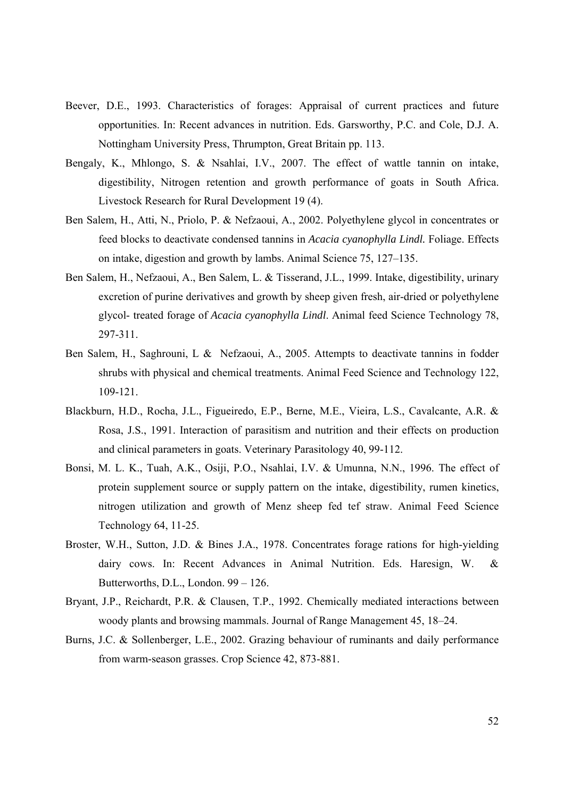- Beever, D.E., 1993. Characteristics of forages: Appraisal of current practices and future opportunities. In: Recent advances in nutrition. Eds. Garsworthy, P.C. and Cole, D.J. A. Nottingham University Press, Thrumpton, Great Britain pp. 113.
- Bengaly, K., Mhlongo, S. & Nsahlai, I.V., 2007. The effect of wattle tannin on intake, digestibility, Nitrogen retention and growth performance of goats in South Africa. Livestock Research for Rural Development 19 (4).
- Ben Salem, H., Atti, N., Priolo, P. & Nefzaoui, A., 2002. Polyethylene glycol in concentrates or feed blocks to deactivate condensed tannins in *Acacia cyanophylla Lindl.* Foliage. Effects on intake, digestion and growth by lambs. Animal Science 75, 127–135.
- Ben Salem, H., Nefzaoui, A., Ben Salem, L. & Tisserand, J.L., 1999. Intake, digestibility, urinary excretion of purine derivatives and growth by sheep given fresh, air-dried or polyethylene glycol- treated forage of *Acacia cyanophylla Lindl*. Animal feed Science Technology 78, 297-311.
- Ben Salem, H., Saghrouni, L & Nefzaoui, A., 2005. Attempts to deactivate tannins in fodder shrubs with physical and chemical treatments. Animal Feed Science and Technology 122, 109-121.
- Blackburn, H.D., Rocha, J.L., Figueiredo, E.P., Berne, M.E., Vieira, L.S., Cavalcante, A.R. & Rosa, J.S., 1991. Interaction of parasitism and nutrition and their effects on production and clinical parameters in goats. Veterinary Parasitology 40, 99-112.
- Bonsi, M. L. K., Tuah, A.K., Osiji, P.O., Nsahlai, I.V. & Umunna, N.N., 1996. The effect of protein supplement source or supply pattern on the intake, digestibility, rumen kinetics, nitrogen utilization and growth of Menz sheep fed tef straw. Animal Feed Science Technology 64, 11-25.
- Broster, W.H., Sutton, J.D. & Bines J.A., 1978. Concentrates forage rations for high-yielding dairy cows. In: Recent Advances in Animal Nutrition. Eds. Haresign, W. & Butterworths, D.L., London. 99 – 126.
- Bryant, J.P., Reichardt, P.R. & Clausen, T.P., 1992. Chemically mediated interactions between woody plants and browsing mammals. Journal of Range Management 45, 18–24.
- Burns, J.C. & Sollenberger, L.E., 2002. Grazing behaviour of ruminants and daily performance from warm-season grasses. Crop Science 42, 873-881.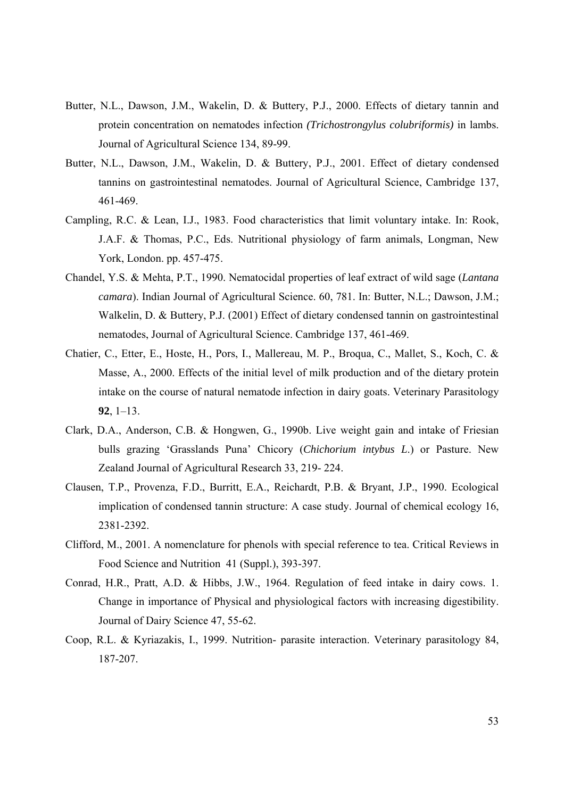- Butter, N.L., Dawson, J.M., Wakelin, D. & Buttery, P.J., 2000. Effects of dietary tannin and protein concentration on nematodes infection *(Trichostrongylus colubriformis)* in lambs. Journal of Agricultural Science 134, 89-99.
- Butter, N.L., Dawson, J.M., Wakelin, D. & Buttery, P.J., 2001. Effect of dietary condensed tannins on gastrointestinal nematodes. Journal of Agricultural Science, Cambridge 137, 461-469.
- Campling, R.C. & Lean, I.J., 1983. Food characteristics that limit voluntary intake. In: Rook, J.A.F. & Thomas, P.C., Eds. Nutritional physiology of farm animals, Longman, New York, London. pp. 457-475.
- Chandel, Y.S. & Mehta, P.T., 1990. Nematocidal properties of leaf extract of wild sage (*Lantana camara*). Indian Journal of Agricultural Science. 60, 781. In: Butter, N.L.; Dawson, J.M.; Walkelin, D. & Buttery, P.J. (2001) Effect of dietary condensed tannin on gastrointestinal nematodes, Journal of Agricultural Science. Cambridge 137, 461-469.
- Chatier, C., Etter, E., Hoste, H., Pors, I., Mallereau, M. P., Broqua, C., Mallet, S., Koch, C. & Masse, A., 2000. Effects of the initial level of milk production and of the dietary protein intake on the course of natural nematode infection in dairy goats. Veterinary Parasitology **92**, 1–13.
- Clark, D.A., Anderson, C.B. & Hongwen, G., 1990b. Live weight gain and intake of Friesian bulls grazing 'Grasslands Puna' Chicory (*Chichorium intybus L*.) or Pasture. New Zealand Journal of Agricultural Research 33, 219- 224.
- Clausen, T.P., Provenza, F.D., Burritt, E.A., Reichardt, P.B. & Bryant, J.P., 1990. Ecological implication of condensed tannin structure: A case study. Journal of chemical ecology 16, 2381-2392.
- Clifford, M., 2001. A nomenclature for phenols with special reference to tea. Critical Reviews in Food Science and Nutrition 41 (Suppl.), 393-397.
- Conrad, H.R., Pratt, A.D. & Hibbs, J.W., 1964. Regulation of feed intake in dairy cows. 1. Change in importance of Physical and physiological factors with increasing digestibility. Journal of Dairy Science 47, 55-62.
- Coop, R.L. & Kyriazakis, I., 1999. Nutrition- parasite interaction. Veterinary parasitology 84, 187-207.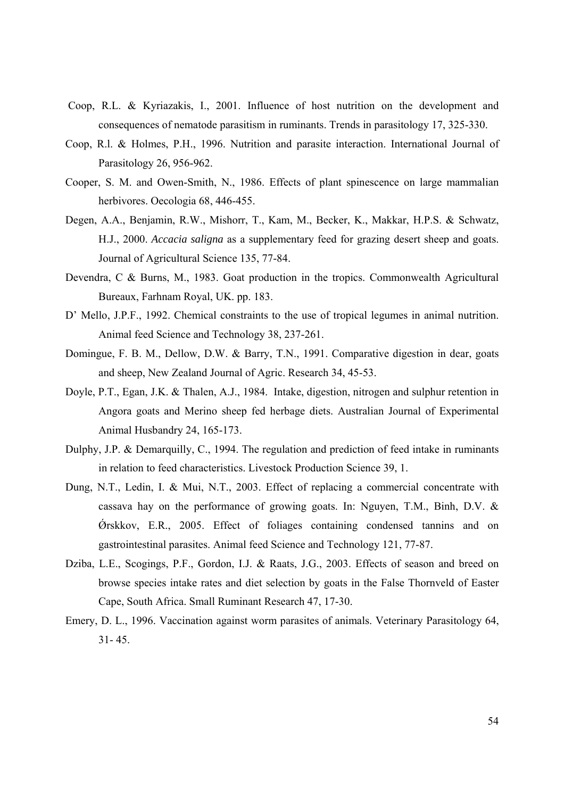- Coop, R.L. & Kyriazakis, I., 2001. Influence of host nutrition on the development and consequences of nematode parasitism in ruminants. Trends in parasitology 17, 325-330.
- Coop, R.l. & Holmes, P.H., 1996. Nutrition and parasite interaction. International Journal of Parasitology 26, 956-962.
- Cooper, S. M. and Owen-Smith, N., 1986. Effects of plant spinescence on large mammalian herbivores. Oecologia 68, 446-455.
- Degen, A.A., Benjamin, R.W., Mishorr, T., Kam, M., Becker, K., Makkar, H.P.S. & Schwatz, H.J., 2000. *Accacia saligna* as a supplementary feed for grazing desert sheep and goats. Journal of Agricultural Science 135, 77-84.
- Devendra, C & Burns, M., 1983. Goat production in the tropics. Commonwealth Agricultural Bureaux, Farhnam Royal, UK. pp. 183.
- D' Mello, J.P.F., 1992. Chemical constraints to the use of tropical legumes in animal nutrition. Animal feed Science and Technology 38, 237-261.
- Domingue, F. B. M., Dellow, D.W. & Barry, T.N., 1991. Comparative digestion in dear, goats and sheep, New Zealand Journal of Agric. Research 34, 45-53.
- Doyle, P.T., Egan, J.K. & Thalen, A.J., 1984. Intake, digestion, nitrogen and sulphur retention in Angora goats and Merino sheep fed herbage diets. Australian Journal of Experimental Animal Husbandry 24, 165-173.
- Dulphy, J.P. & Demarquilly, C., 1994. The regulation and prediction of feed intake in ruminants in relation to feed characteristics. Livestock Production Science 39, 1.
- Dung, N.T., Ledin, I. & Mui, N.T., 2003. Effect of replacing a commercial concentrate with cassava hay on the performance of growing goats. In: Nguyen, T.M., Binh, D.V. &  $\acute{\text{O}}$ rskkov, E.R., 2005. Effect of foliages containing condensed tannins and on gastrointestinal parasites. Animal feed Science and Technology 121, 77-87.
- Dziba, L.E., Scogings, P.F., Gordon, I.J. & Raats, J.G., 2003. Effects of season and breed on browse species intake rates and diet selection by goats in the False Thornveld of Easter Cape, South Africa. Small Ruminant Research 47, 17-30.
- Emery, D. L., 1996. Vaccination against worm parasites of animals. Veterinary Parasitology 64, 31- 45.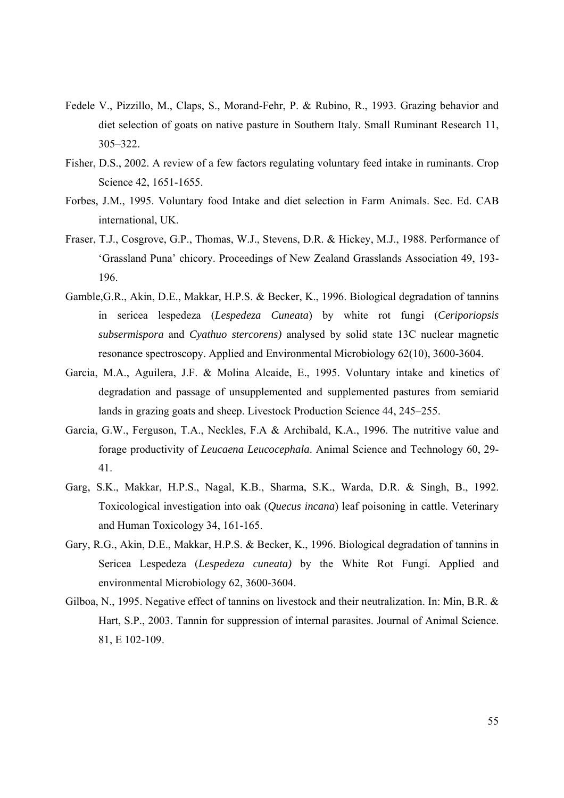- Fedele V., Pizzillo, M., Claps, S., Morand-Fehr, P. & Rubino, R., 1993. Grazing behavior and diet selection of goats on native pasture in Southern Italy. Small Ruminant Research 11, 305–322.
- Fisher, D.S., 2002. A review of a few factors regulating voluntary feed intake in ruminants. Crop Science 42, 1651-1655.
- Forbes, J.M., 1995. Voluntary food Intake and diet selection in Farm Animals. Sec. Ed. CAB international, UK.
- Fraser, T.J., Cosgrove, G.P., Thomas, W.J., Stevens, D.R. & Hickey, M.J., 1988. Performance of 'Grassland Puna' chicory. Proceedings of New Zealand Grasslands Association 49, 193- 196.
- Gamble,G.R., Akin, D.E., Makkar, H.P.S. & Becker, K., 1996. Biological degradation of tannins in sericea lespedeza (*Lespedeza Cuneata*) by white rot fungi (*Ceriporiopsis subsermispora* and *Cyathuo stercorens)* analysed by solid state 13C nuclear magnetic resonance spectroscopy. Applied and Environmental Microbiology 62(10), 3600-3604.
- Garcia, M.A., Aguilera, J.F. & Molina Alcaide, E., 1995. Voluntary intake and kinetics of degradation and passage of unsupplemented and supplemented pastures from semiarid lands in grazing goats and sheep. Livestock Production Science 44, 245–255.
- Garcia, G.W., Ferguson, T.A., Neckles, F.A & Archibald, K.A., 1996. The nutritive value and forage productivity of *Leucaena Leucocephala*. Animal Science and Technology 60, 29- 41.
- Garg, S.K., Makkar, H.P.S., Nagal, K.B., Sharma, S.K., Warda, D.R. & Singh, B., 1992. Toxicological investigation into oak (*Quecus incana*) leaf poisoning in cattle. Veterinary and Human Toxicology 34, 161-165.
- Gary, R.G., Akin, D.E., Makkar, H.P.S. & Becker, K., 1996. Biological degradation of tannins in Sericea Lespedeza (*Lespedeza cuneata)* by the White Rot Fungi. Applied and environmental Microbiology 62, 3600-3604.
- Gilboa, N., 1995. Negative effect of tannins on livestock and their neutralization. In: Min, B.R. & Hart, S.P., 2003. Tannin for suppression of internal parasites. Journal of Animal Science. 81, E 102-109.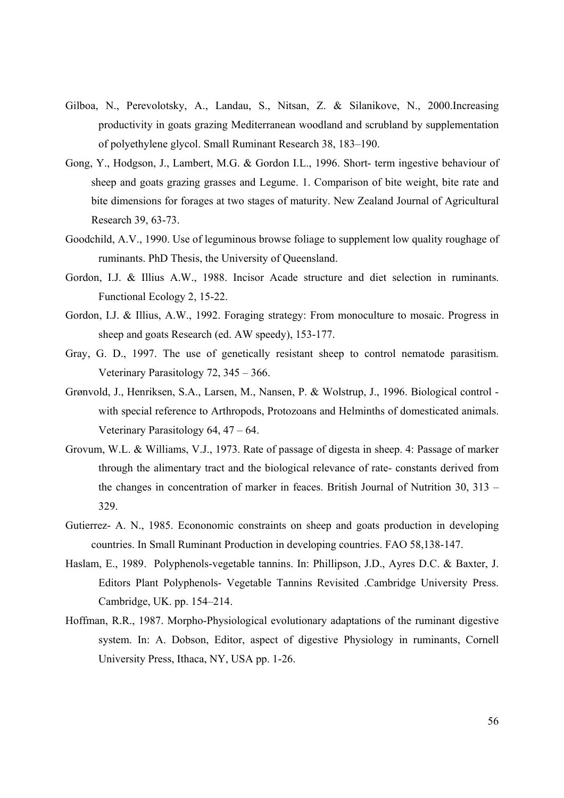- Gilboa, N., Perevolotsky, A., Landau, S., Nitsan, Z. & Silanikove, N., 2000.Increasing productivity in goats grazing Mediterranean woodland and scrubland by supplementation of polyethylene glycol. Small Ruminant Research 38, 183–190.
- Gong, Y., Hodgson, J., Lambert, M.G. & Gordon I.L., 1996. Short- term ingestive behaviour of sheep and goats grazing grasses and Legume. 1. Comparison of bite weight, bite rate and bite dimensions for forages at two stages of maturity. New Zealand Journal of Agricultural Research 39, 63-73.
- Goodchild, A.V., 1990. Use of leguminous browse foliage to supplement low quality roughage of ruminants. PhD Thesis, the University of Queensland.
- Gordon, I.J. & Illius A.W., 1988. Incisor Acade structure and diet selection in ruminants. Functional Ecology 2, 15-22.
- Gordon, I.J. & Illius, A.W., 1992. Foraging strategy: From monoculture to mosaic. Progress in sheep and goats Research (ed. AW speedy), 153-177.
- Gray, G. D., 1997. The use of genetically resistant sheep to control nematode parasitism. Veterinary Parasitology 72, 345 – 366.
- Grønvold, J., Henriksen, S.A., Larsen, M., Nansen, P. & Wolstrup, J., 1996. Biological control with special reference to Arthropods, Protozoans and Helminths of domesticated animals. Veterinary Parasitology 64, 47 – 64.
- Grovum, W.L. & Williams, V.J., 1973. Rate of passage of digesta in sheep. 4: Passage of marker through the alimentary tract and the biological relevance of rate- constants derived from the changes in concentration of marker in feaces. British Journal of Nutrition 30, 313 – 329.
- Gutierrez- A. N., 1985. Econonomic constraints on sheep and goats production in developing countries. In Small Ruminant Production in developing countries. FAO 58,138-147.
- Haslam, E., 1989. Polyphenols-vegetable tannins. In: Phillipson, J.D., Ayres D.C. & Baxter, J. Editors Plant Polyphenols- Vegetable Tannins Revisited .Cambridge University Press. Cambridge, UK. pp. 154–214.
- Hoffman, R.R., 1987. Morpho-Physiological evolutionary adaptations of the ruminant digestive system. In: A. Dobson, Editor, aspect of digestive Physiology in ruminants, Cornell University Press, Ithaca, NY, USA pp. 1-26.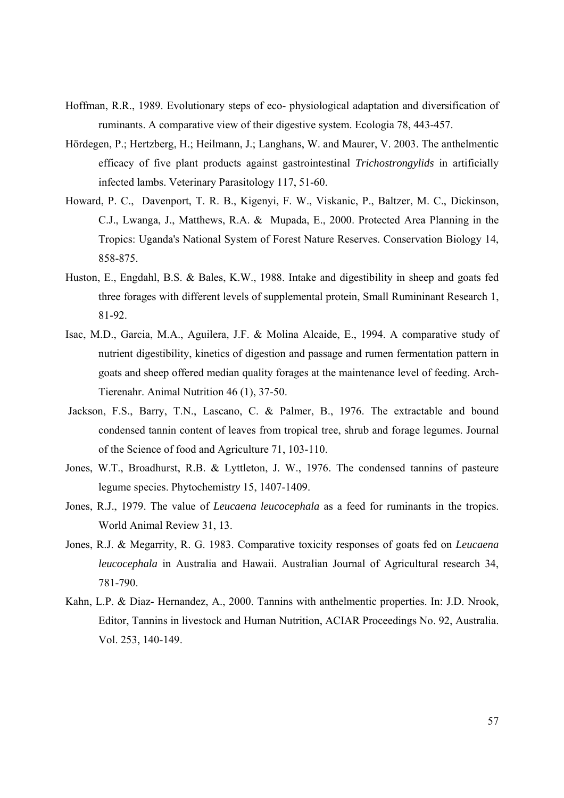- Hoffman, R.R., 1989. Evolutionary steps of eco- physiological adaptation and diversification of ruminants. A comparative view of their digestive system. Ecologia 78, 443-457.
- Hördegen, P.; Hertzberg, H.; Heilmann, J.; Langhans, W. and Maurer, V. 2003. The anthelmentic efficacy of five plant products against gastrointestinal *Trichostrongylids* in artificially infected lambs. Veterinary Parasitology 117, 51-60.
- Howard, P. C., Davenport, T. R. B., Kigenyi, F. W., Viskanic, P., Baltzer, M. C., Dickinson, C.J., Lwanga, J., Matthews, R.A. & Mupada, E., 2000. Protected Area Planning in the Tropics: Uganda's National System of Forest Nature Reserves. Conservation Biology 14, 858-875.
- Huston, E., Engdahl, B.S. & Bales, K.W., 1988. Intake and digestibility in sheep and goats fed three forages with different levels of supplemental protein, Small Rumininant Research 1, 81-92.
- Isac, M.D., Garcia, M.A., Aguilera, J.F. & Molina Alcaide, E., 1994. A comparative study of nutrient digestibility, kinetics of digestion and passage and rumen fermentation pattern in goats and sheep offered median quality forages at the maintenance level of feeding. Arch-Tierenahr. Animal Nutrition 46 (1), 37-50.
- Jackson, F.S., Barry, T.N., Lascano, C. & Palmer, B., 1976. The extractable and bound condensed tannin content of leaves from tropical tree, shrub and forage legumes. Journal of the Science of food and Agriculture 71, 103-110.
- Jones, W.T., Broadhurst, R.B. & Lyttleton, J. W., 1976. The condensed tannins of pasteure legume species. Phytochemistr*y* 15, 1407-1409.
- Jones, R.J., 1979. The value of *Leucaena leucocephala* as a feed for ruminants in the tropics. World Animal Review 31, 13.
- Jones, R.J. & Megarrity, R. G. 1983. Comparative toxicity responses of goats fed on *Leucaena leucocephala* in Australia and Hawaii. Australian Journal of Agricultural research 34, 781-790.
- Kahn, L.P. & Diaz- Hernandez, A., 2000. Tannins with anthelmentic properties. In: J.D. Nrook, Editor, Tannins in livestock and Human Nutrition, ACIAR Proceedings No. 92, Australia. Vol. 253, 140-149.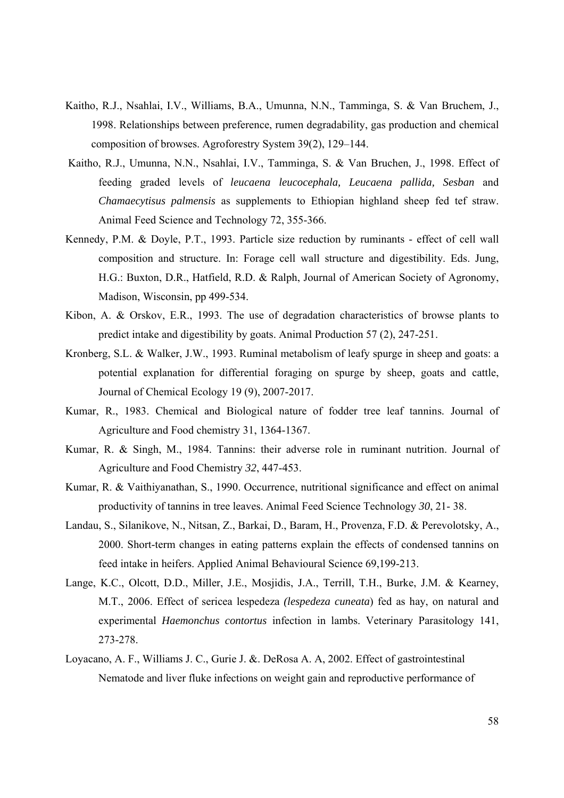- Kaitho, R.J., Nsahlai, I.V., Williams, B.A., Umunna, N.N., Tamminga, S. & Van Bruchem, J., 1998. Relationships between preference, rumen degradability, gas production and chemical composition of browses. Agroforestry System 39(2), 129–144.
- Kaitho, R.J., Umunna, N.N., Nsahlai, I.V., Tamminga, S. & Van Bruchen, J., 1998. Effect of feeding graded levels of *leucaena leucocephala, Leucaena pallida, Sesban* and *Chamaecytisus palmensis* as supplements to Ethiopian highland sheep fed tef straw. Animal Feed Science and Technology 72, 355-366.
- Kennedy, P.M. & Doyle, P.T., 1993. Particle size reduction by ruminants effect of cell wall composition and structure. In: Forage cell wall structure and digestibility. Eds. Jung, H.G.: Buxton, D.R., Hatfield, R.D. & Ralph, Journal of American Society of Agronomy, Madison, Wisconsin, pp 499-534.
- Kibon, A. & Orskov, E.R., 1993. The use of degradation characteristics of browse plants to predict intake and digestibility by goats. Animal Production 57 (2), 247-251.
- Kronberg, S.L. & Walker, J.W., 1993. Ruminal metabolism of leafy spurge in sheep and goats: a potential explanation for differential foraging on spurge by sheep, goats and cattle, Journal of Chemical Ecology 19 (9), 2007-2017.
- Kumar, R., 1983. Chemical and Biological nature of fodder tree leaf tannins. Journal of Agriculture and Food chemistry 31, 1364-1367.
- Kumar, R. & Singh, M., 1984. Tannins: their adverse role in ruminant nutrition. Journal of Agriculture and Food Chemistry *32*, 447-453.
- Kumar, R. & Vaithiyanathan, S., 1990. Occurrence, nutritional significance and effect on animal productivity of tannins in tree leaves. Animal Feed Science Technology *30*, 21- 38.
- Landau, S., Silanikove, N., Nitsan, Z., Barkai, D., Baram, H., Provenza, F.D. & Perevolotsky, A., 2000. Short-term changes in eating patterns explain the effects of condensed tannins on feed intake in heifers. Applied Animal Behavioural Science 69,199-213.
- Lange, K.C., Olcott, D.D., Miller, J.E., Mosjidis, J.A., Terrill, T.H., Burke, J.M. & Kearney, M.T., 2006. Effect of sericea lespedeza *(lespedeza cuneata*) fed as hay, on natural and experimental *Haemonchus contortus* infection in lambs. Veterinary Parasitology 141, 273-278.
- Loyacano, A. F., Williams J. C., Gurie J. &. DeRosa A. A, 2002. Effect of gastrointestinal Nematode and liver fluke infections on weight gain and reproductive performance of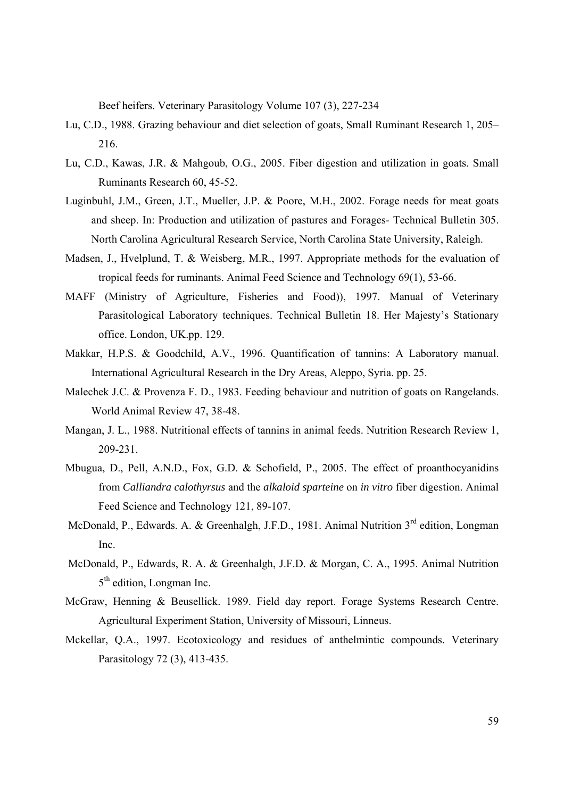Beef heifers. Veterinary Parasitology Volume 107 (3), 227-234

- Lu, C.D., 1988. Grazing behaviour and diet selection of goats, Small Ruminant Research 1, 205– 216.
- Lu, C.D., Kawas, J.R. & Mahgoub, O.G., 2005. Fiber digestion and utilization in goats. Small Ruminants Research 60, 45-52.
- Luginbuhl, J.M., Green, J.T., Mueller, J.P. & Poore, M.H., 2002. Forage needs for meat goats and sheep. In: Production and utilization of pastures and Forages- Technical Bulletin 305. North Carolina Agricultural Research Service, North Carolina State University, Raleigh.
- Madsen, J., Hvelplund, T. & Weisberg, M.R., 1997. Appropriate methods for the evaluation of tropical feeds for ruminants. Animal Feed Science and Technology 69(1), 53-66.
- MAFF (Ministry of Agriculture, Fisheries and Food)), 1997. Manual of Veterinary Parasitological Laboratory techniques. Technical Bulletin 18. Her Majesty's Stationary office. London, UK.pp. 129.
- Makkar, H.P.S. & Goodchild, A.V., 1996. Quantification of tannins: A Laboratory manual. International Agricultural Research in the Dry Areas, Aleppo, Syria. pp. 25.
- Malechek J.C. & Provenza F. D., 1983. Feeding behaviour and nutrition of goats on Rangelands. World Animal Review 47, 38-48.
- Mangan, J. L., 1988. Nutritional effects of tannins in animal feeds. Nutrition Research Review 1, 209-231.
- Mbugua, D., Pell, A.N.D., Fox, G.D. & Schofield, P., 2005. The effect of proanthocyanidins from *Calliandra calothyrsus* and the *alkaloid sparteine* on *in vitro* fiber digestion. Animal Feed Science and Technology 121, 89-107.
- McDonald, P., Edwards. A. & Greenhalgh, J.F.D., 1981. Animal Nutrition  $3<sup>rd</sup>$  edition, Longman Inc.
- McDonald, P., Edwards, R. A. & Greenhalgh, J.F.D. & Morgan, C. A., 1995. Animal Nutrition 5<sup>th</sup> edition, Longman Inc.
- McGraw, Henning & Beusellick. 1989. Field day report. Forage Systems Research Centre. Agricultural Experiment Station, University of Missouri, Linneus.
- Mckellar, Q.A., 1997. Ecotoxicology and residues of anthelmintic compounds. Veterinary Parasitology 72 (3), 413-435.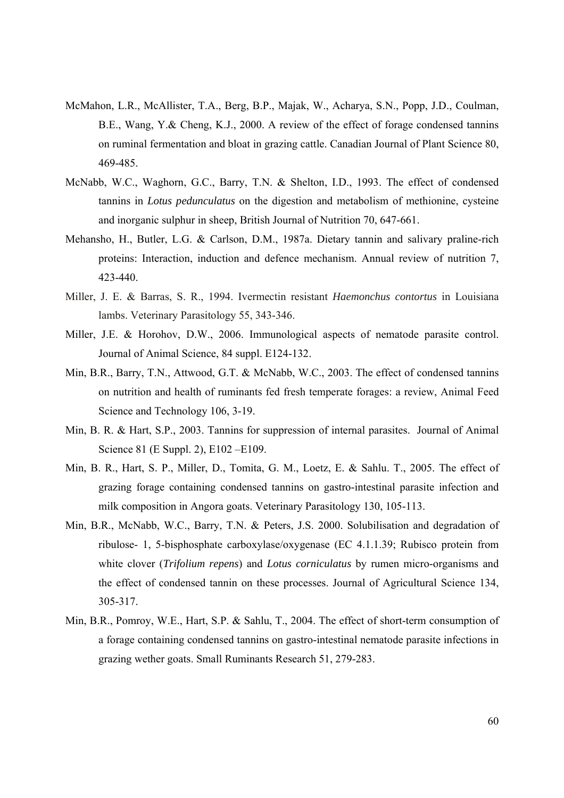- McMahon, L.R., McAllister, T.A., Berg, B.P., Majak, W., Acharya, S.N., Popp, J.D., Coulman, B.E., Wang, Y.& Cheng, K.J., 2000. A review of the effect of forage condensed tannins on ruminal fermentation and bloat in grazing cattle. Canadian Journal of Plant Science 80, 469-485.
- McNabb, W.C., Waghorn, G.C., Barry, T.N. & Shelton, I.D., 1993. The effect of condensed tannins in *Lotus pedunculatus* on the digestion and metabolism of methionine, cysteine and inorganic sulphur in sheep, British Journal of Nutrition 70, 647-661.
- Mehansho, H., Butler, L.G. & Carlson, D.M., 1987a. Dietary tannin and salivary praline-rich proteins: Interaction, induction and defence mechanism. Annual review of nutrition 7, 423-440.
- Miller, J. E. & Barras, S. R., 1994. Ivermectin resistant *Haemonchus contortus* in Louisiana lambs. Veterinary Parasitology 55, 343-346.
- Miller, J.E. & Horohov, D.W., 2006. Immunological aspects of nematode parasite control. Journal of Animal Science, 84 suppl. E124-132.
- Min, B.R., Barry, T.N., Attwood, G.T. & McNabb, W.C., 2003. The effect of condensed tannins on nutrition and health of ruminants fed fresh temperate forages: a review, Animal Feed Science and Technology 106, 3-19.
- Min, B. R. & Hart, S.P., 2003. Tannins for suppression of internal parasites. Journal of Animal Science 81 (E Suppl. 2), E102 –E109.
- Min, B. R., Hart, S. P., Miller, D., Tomita, G. M., Loetz, E. & Sahlu. T., 2005. The effect of grazing forage containing condensed tannins on gastro-intestinal parasite infection and milk composition in Angora goats. Veterinary Parasitology 130, 105-113.
- Min, B.R., McNabb, W.C., Barry, T.N. & Peters, J.S. 2000. Solubilisation and degradation of ribulose- 1, 5-bisphosphate carboxylase/oxygenase (EC 4.1.1.39; Rubisco protein from white clover (*Trifolium repens*) and *Lotus corniculatus* by rumen micro-organisms and the effect of condensed tannin on these processes. Journal of Agricultural Science 134, 305-317.
- Min, B.R., Pomroy, W.E., Hart, S.P. & Sahlu, T., 2004. The effect of short-term consumption of a forage containing condensed tannins on gastro-intestinal nematode parasite infections in grazing wether goats. Small Ruminants Research 51, 279-283.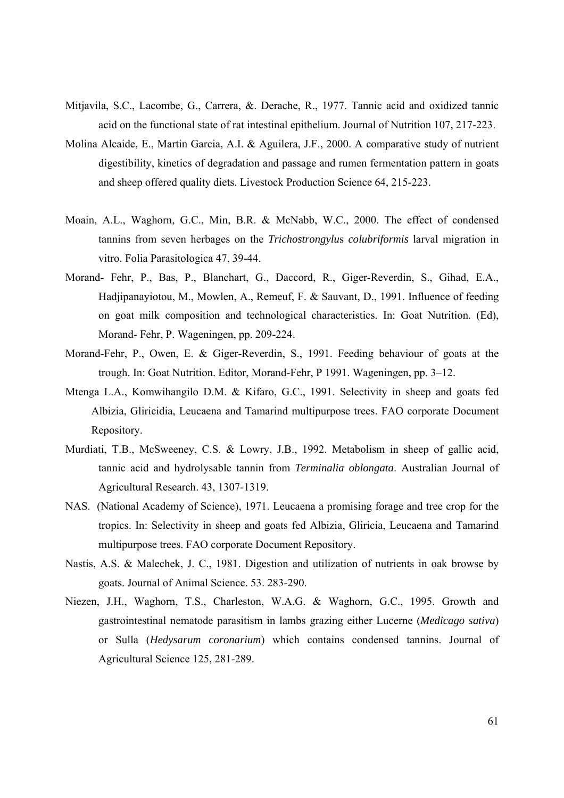- Mitjavila, S.C., Lacombe, G., Carrera, &. Derache, R., 1977. Tannic acid and oxidized tannic acid on the functional state of rat intestinal epithelium. Journal of Nutrition 107, 217-223.
- Molina Alcaide, E., Martin Garcia, A.I. & Aguilera, J.F., 2000. A comparative study of nutrient digestibility, kinetics of degradation and passage and rumen fermentation pattern in goats and sheep offered quality diets. Livestock Production Science 64, 215-223.
- Moain, A.L., Waghorn, G.C., Min, B.R. & McNabb, W.C., 2000. The effect of condensed tannins from seven herbages on the *Trichostrongylu*s *colubriformis* larval migration in vitro. Folia Parasitologica 47, 39-44.
- Morand- Fehr, P., Bas, P., Blanchart, G., Daccord, R., Giger-Reverdin, S., Gihad, E.A., Hadjipanayiotou, M., Mowlen, A., Remeuf, F. & Sauvant, D., 1991. Influence of feeding on goat milk composition and technological characteristics. In: Goat Nutrition. (Ed), Morand- Fehr, P. Wageningen, pp. 209-224.
- Morand-Fehr, P., Owen, E. & Giger-Reverdin, S., 1991. Feeding behaviour of goats at the trough. In: Goat Nutrition. Editor, Morand-Fehr, P 1991. Wageningen, pp. 3–12.
- Mtenga L.A., Komwihangilo D.M. & Kifaro, G.C., 1991. Selectivity in sheep and goats fed Albizia, Gliricidia, Leucaena and Tamarind multipurpose trees. FAO corporate Document Repository.
- Murdiati, T.B., McSweeney, C.S. & Lowry, J.B., 1992. Metabolism in sheep of gallic acid, tannic acid and hydrolysable tannin from *Terminalia oblongata*. Australian Journal of Agricultural Research. 43, 1307-1319.
- NAS. (National Academy of Science), 1971. Leucaena a promising forage and tree crop for the tropics. In: Selectivity in sheep and goats fed Albizia, Gliricia, Leucaena and Tamarind multipurpose trees. FAO corporate Document Repository.
- Nastis, A.S. & Malechek, J. C., 1981. Digestion and utilization of nutrients in oak browse by goats. Journal of Animal Science. 53. 283-290.
- Niezen, J.H., Waghorn, T.S., Charleston, W.A.G. & Waghorn, G.C., 1995. Growth and gastrointestinal nematode parasitism in lambs grazing either Lucerne (*Medicago sativa*) or Sulla (*Hedysarum coronarium*) which contains condensed tannins. Journal of Agricultural Science 125, 281-289.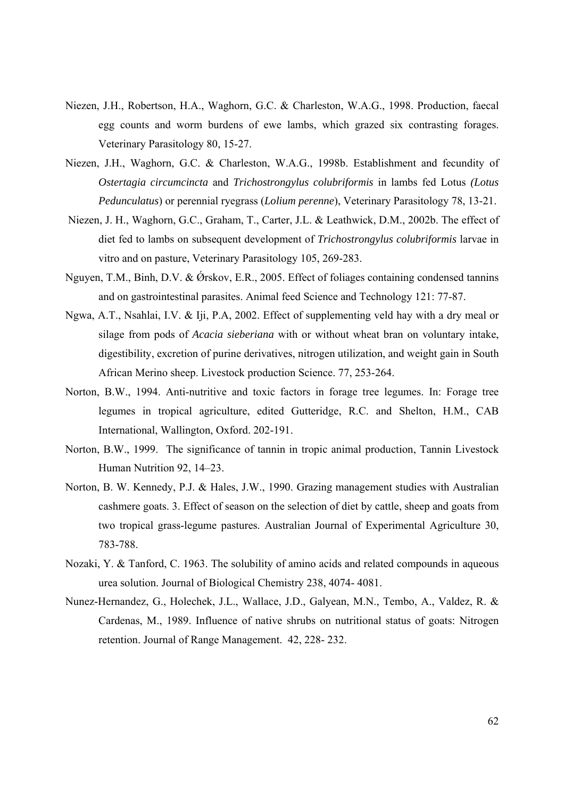- Niezen, J.H., Robertson, H.A., Waghorn, G.C. & Charleston, W.A.G., 1998. Production, faecal egg counts and worm burdens of ewe lambs, which grazed six contrasting forages. Veterinary Parasitology 80, 15-27.
- Niezen, J.H., Waghorn, G.C. & Charleston, W.A.G., 1998b. Establishment and fecundity of *Ostertagia circumcincta* and *Trichostrongylus colubriformis* in lambs fed Lotus *(Lotus Pedunculatus*) or perennial ryegrass (*Lolium perenne*), Veterinary Parasitology 78, 13-21.
- Niezen, J. H., Waghorn, G.C., Graham, T., Carter, J.L. & Leathwick, D.M., 2002b. The effect of diet fed to lambs on subsequent development of *Trichostrongylus colubriformis* larvae in vitro and on pasture, Veterinary Parasitology 105, 269-283.
- Nguyen, T.M., Binh, D.V. & Ørskov, E.R., 2005. Effect of foliages containing condensed tannins and on gastrointestinal parasites. Animal feed Science and Technology 121: 77-87.
- Ngwa, A.T., Nsahlai, I.V. & Iji, P.A, 2002. Effect of supplementing veld hay with a dry meal or silage from pods of *Acacia sieberiana* with or without wheat bran on voluntary intake, digestibility, excretion of purine derivatives, nitrogen utilization, and weight gain in South African Merino sheep. Livestock production Science. 77, 253-264.
- Norton, B.W., 1994. Anti-nutritive and toxic factors in forage tree legumes. In: Forage tree legumes in tropical agriculture, edited Gutteridge, R.C. and Shelton, H.M., CAB International, Wallington, Oxford. 202-191.
- Norton, B.W., 1999. The significance of tannin in tropic animal production, Tannin Livestock Human Nutrition 92, 14–23.
- Norton, B. W. Kennedy, P.J. & Hales, J.W., 1990. Grazing management studies with Australian cashmere goats. 3. Effect of season on the selection of diet by cattle, sheep and goats from two tropical grass-legume pastures. Australian Journal of Experimental Agriculture 30, 783-788.
- Nozaki, Y. & Tanford, C. 1963. The solubility of amino acids and related compounds in aqueous urea solution. Journal of Biological Chemistry 238, 4074- 4081.
- Nunez-Hernandez, G., Holechek, J.L., Wallace, J.D., Galyean, M.N., Tembo, A., Valdez, R. & Cardenas, M., 1989. Influence of native shrubs on nutritional status of goats: Nitrogen retention. Journal of Range Management. 42, 228- 232.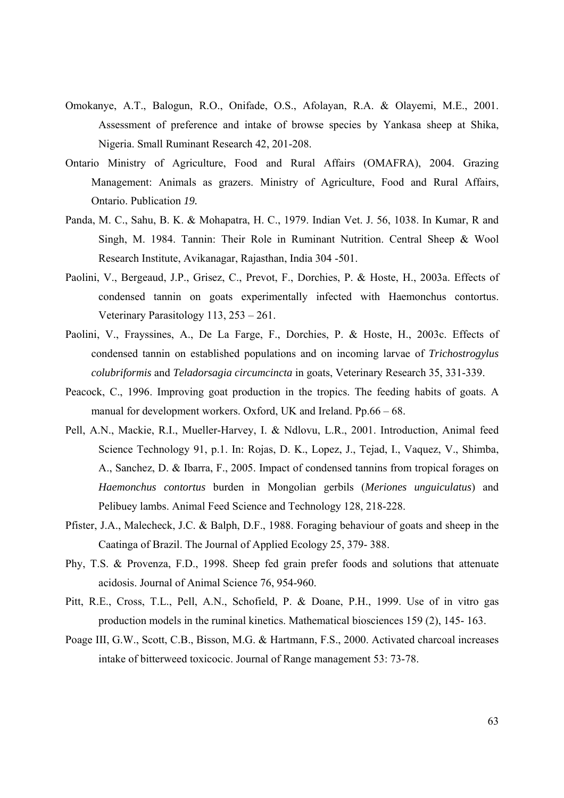- Omokanye, A.T., Balogun, R.O., Onifade, O.S., Afolayan, R.A. & Olayemi, M.E., 2001. Assessment of preference and intake of browse species by Yankasa sheep at Shika, Nigeria. Small Ruminant Research 42, 201-208.
- Ontario Ministry of Agriculture, Food and Rural Affairs (OMAFRA), 2004. Grazing Management: Animals as grazers. Ministry of Agriculture, Food and Rural Affairs, Ontario. Publication *19.*
- Panda, M. C., Sahu, B. K. & Mohapatra, H. C., 1979. Indian Vet. J. 56, 1038. In Kumar, R and Singh, M. 1984. Tannin: Their Role in Ruminant Nutrition. Central Sheep & Wool Research Institute, Avikanagar, Rajasthan, India 304 -501.
- Paolini, V., Bergeaud, J.P., Grisez, C., Prevot, F., Dorchies, P. & Hoste, H., 2003a. Effects of condensed tannin on goats experimentally infected with Haemonchus contortus. Veterinary Parasitology 113, 253 – 261.
- Paolini, V., Frayssines, A., De La Farge, F., Dorchies, P. & Hoste, H., 2003c. Effects of condensed tannin on established populations and on incoming larvae of *Trichostrogylus colubriformis* and *Teladorsagia circumcincta* in goats, Veterinary Research 35, 331-339.
- Peacock, C., 1996. Improving goat production in the tropics. The feeding habits of goats. A manual for development workers. Oxford, UK and Ireland. Pp.66 – 68.
- Pell, A.N., Mackie, R.I., Mueller-Harvey, I. & Ndlovu, L.R., 2001. Introduction, Animal feed Science Technology 91, p.1. In: Rojas, D. K., Lopez, J., Tejad, I., Vaquez, V., Shimba, A., Sanchez, D. & Ibarra, F., 2005. Impact of condensed tannins from tropical forages on *Haemonchus contortus* burden in Mongolian gerbils (*Meriones unguiculatus*) and Pelibuey lambs. Animal Feed Science and Technology 128, 218-228.
- Pfister, J.A., Malecheck, J.C. & Balph, D.F., 1988. Foraging behaviour of goats and sheep in the Caatinga of Brazil. The Journal of Applied Ecology 25, 379- 388.
- Phy, T.S. & Provenza, F.D., 1998. Sheep fed grain prefer foods and solutions that attenuate acidosis. Journal of Animal Science 76, 954-960.
- Pitt, R.E., Cross, T.L., Pell, A.N., Schofield, P. & Doane, P.H., 1999. Use of in vitro gas production models in the ruminal kinetics. Mathematical biosciences 159 (2), 145- 163.
- Poage III, G.W., Scott, C.B., Bisson, M.G. & Hartmann, F.S., 2000. Activated charcoal increases intake of bitterweed toxicocic. Journal of Range management 53: 73-78.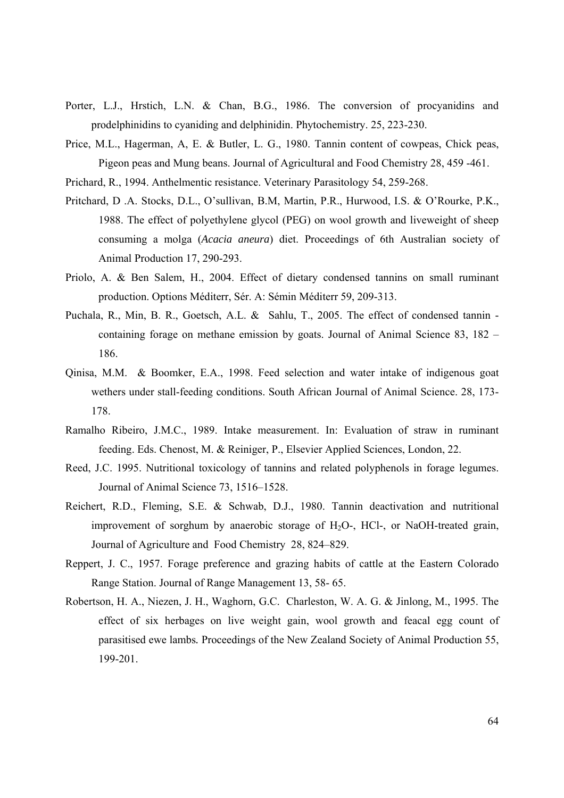- Porter, L.J., Hrstich, L.N. & Chan, B.G., 1986. The conversion of procyanidins and prodelphinidins to cyaniding and delphinidin. Phytochemistry. 25, 223-230.
- Price, M.L., Hagerman, A, E. & Butler, L. G., 1980. Tannin content of cowpeas, Chick peas, Pigeon peas and Mung beans. Journal of Agricultural and Food Chemistry 28, 459 -461.
- Prichard, R., 1994. Anthelmentic resistance. Veterinary Parasitology 54, 259-268.
- Pritchard, D .A. Stocks, D.L., O'sullivan, B.M, Martin, P.R., Hurwood, I.S. & O'Rourke, P.K., 1988. The effect of polyethylene glycol (PEG) on wool growth and liveweight of sheep consuming a molga (*Acacia aneura*) diet. Proceedings of 6th Australian society of Animal Production 17, 290-293.
- Priolo, A. & Ben Salem, H., 2004. Effect of dietary condensed tannins on small ruminant production. Options Méditerr, Sér. A: Sémin Méditerr 59, 209-313.
- Puchala, R., Min, B. R., Goetsch, A.L. & Sahlu, T., 2005. The effect of condensed tannin containing forage on methane emission by goats. Journal of Animal Science 83, 182 – 186.
- Qinisa, M.M. & Boomker, E.A., 1998. Feed selection and water intake of indigenous goat wethers under stall-feeding conditions. South African Journal of Animal Science. 28, 173- 178.
- Ramalho Ribeiro, J.M.C., 1989. Intake measurement. In: Evaluation of straw in ruminant feeding. Eds. Chenost, M. & Reiniger, P., Elsevier Applied Sciences, London, 22.
- Reed, J.C. 1995. Nutritional toxicology of tannins and related polyphenols in forage legumes. Journal of Animal Science 73, 1516–1528.
- Reichert, R.D., Fleming, S.E. & Schwab, D.J., 1980. Tannin deactivation and nutritional improvement of sorghum by anaerobic storage of  $H_2O$ -,  $HCl$ -, or NaOH-treated grain, Journal of Agriculture and Food Chemistry 28, 824–829.
- Reppert, J. C., 1957. Forage preference and grazing habits of cattle at the Eastern Colorado Range Station. Journal of Range Management 13, 58- 65.
- Robertson, H. A., Niezen, J. H., Waghorn, G.C. Charleston, W. A. G. & Jinlong, M., 1995. The effect of six herbages on live weight gain, wool growth and feacal egg count of parasitised ewe lambs*.* Proceedings of the New Zealand Society of Animal Production 55, 199-201.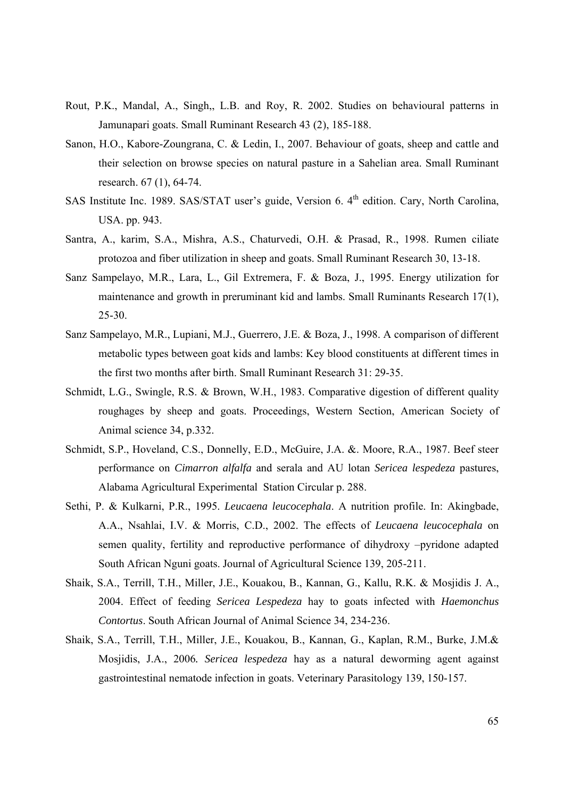- Rout, P.K., Mandal, A., Singh,, L.B. and Roy, R. 2002. Studies on behavioural patterns in Jamunapari goats. Small Ruminant Research 43 (2), 185-188.
- Sanon, H.O., Kabore-Zoungrana, C. & Ledin, I., 2007. Behaviour of goats, sheep and cattle and their selection on browse species on natural pasture in a Sahelian area. Small Ruminant research. 67 (1), 64-74.
- SAS Institute Inc. 1989. SAS/STAT user's guide, Version 6. 4<sup>th</sup> edition. Cary, North Carolina, USA. pp. 943.
- Santra, A., karim, S.A., Mishra, A.S., Chaturvedi, O.H. & Prasad, R., 1998. Rumen ciliate protozoa and fiber utilization in sheep and goats. Small Ruminant Research 30, 13-18.
- Sanz Sampelayo, M.R., Lara, L., Gil Extremera, F. & Boza, J., 1995. Energy utilization for maintenance and growth in preruminant kid and lambs. Small Ruminants Research 17(1), 25-30.
- Sanz Sampelayo, M.R., Lupiani, M.J., Guerrero, J.E. & Boza, J., 1998. A comparison of different metabolic types between goat kids and lambs: Key blood constituents at different times in the first two months after birth. Small Ruminant Research 31: 29-35.
- Schmidt, L.G., Swingle, R.S. & Brown, W.H., 1983. Comparative digestion of different quality roughages by sheep and goats. Proceedings, Western Section, American Society of Animal science 34, p.332.
- Schmidt, S.P., Hoveland, C.S., Donnelly, E.D., McGuire, J.A. &. Moore, R.A., 1987. Beef steer performance on *Cimarron alfalfa* and serala and AU lotan *Sericea lespedeza* pastures, Alabama Agricultural Experimental Station Circular p. 288.
- Sethi, P. & Kulkarni, P.R., 1995. *Leucaena leucocephala*. A nutrition profile. In: Akingbade, A.A., Nsahlai, I.V. & Morris, C.D., 2002. The effects of *Leucaena leucocephala* on semen quality, fertility and reproductive performance of dihydroxy –pyridone adapted South African Nguni goats. Journal of Agricultural Science 139, 205-211.
- Shaik, S.A., Terrill, T.H., Miller, J.E., Kouakou, B., Kannan, G., Kallu, R.K. & Mosjidis J. A., 2004. Effect of feeding *Sericea Lespedeza* hay to goats infected with *Haemonchus Contortus*. South African Journal of Animal Science 34, 234-236.
- Shaik, S.A., Terrill, T.H., Miller, J.E., Kouakou, B., Kannan, G., Kaplan, R.M., Burke, J.M.& Mosjidis, J.A., 2006*. Sericea lespedeza* hay as a natural deworming agent against gastrointestinal nematode infection in goats. Veterinary Parasitology 139, 150-157.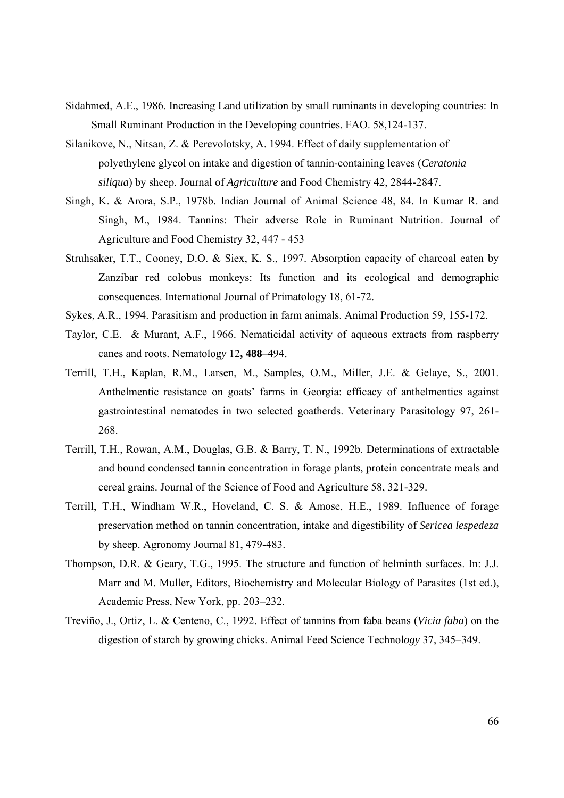- Sidahmed, A.E., 1986. Increasing Land utilization by small ruminants in developing countries: In Small Ruminant Production in the Developing countries. FAO. 58,124-137.
- Silanikove, N., Nitsan, Z. & Perevolotsky, A. 1994. Effect of daily supplementation of polyethylene glycol on intake and digestion of tannin-containing leaves (*Ceratonia siliqua*) by sheep. Journal of *Agriculture* and Food Chemistry 42, 2844-2847.
- Singh, K. & Arora, S.P., 1978b. Indian Journal of Animal Science 48, 84. In Kumar R. and Singh, M., 1984. Tannins: Their adverse Role in Ruminant Nutrition. Journal of Agriculture and Food Chemistry 32, 447 - 453
- Struhsaker, T.T., Cooney, D.O. & Siex, K. S., 1997. Absorption capacity of charcoal eaten by Zanzibar red colobus monkeys: Its function and its ecological and demographic consequences. International Journal of Primatology 18, 61-72.
- Sykes, A.R., 1994. Parasitism and production in farm animals. Animal Production 59, 155-172.
- Taylor, C.E. & Murant, A.F., 1966. Nematicidal activity of aqueous extracts from raspberry canes and roots. Nematolog*y* 12**, 488**–494.
- Terrill, T.H., Kaplan, R.M., Larsen, M., Samples, O.M., Miller, J.E. & Gelaye, S., 2001. Anthelmentic resistance on goats' farms in Georgia: efficacy of anthelmentics against gastrointestinal nematodes in two selected goatherds. Veterinary Parasitology 97, 261- 268.
- Terrill, T.H., Rowan, A.M., Douglas, G.B. & Barry, T. N., 1992b. Determinations of extractable and bound condensed tannin concentration in forage plants, protein concentrate meals and cereal grains. Journal of the Science of Food and Agriculture 58, 321-329.
- Terrill, T.H., Windham W.R., Hoveland, C. S. & Amose, H.E., 1989. Influence of forage preservation method on tannin concentration, intake and digestibility of *Sericea lespedeza* by sheep. Agronomy Journal 81, 479-483.
- Thompson, D.R. & Geary, T.G., 1995. The structure and function of helminth surfaces. In: J.J. Marr and M. Muller, Editors, Biochemistry and Molecular Biology of Parasites (1st ed.), Academic Press, New York, pp. 203–232.
- Treviño, J., Ortiz, L. & Centeno, C., 1992. Effect of tannins from faba beans (*Vicia faba*) on the digestion of starch by growing chicks. Animal Feed Science Technol*ogy* 37, 345–349.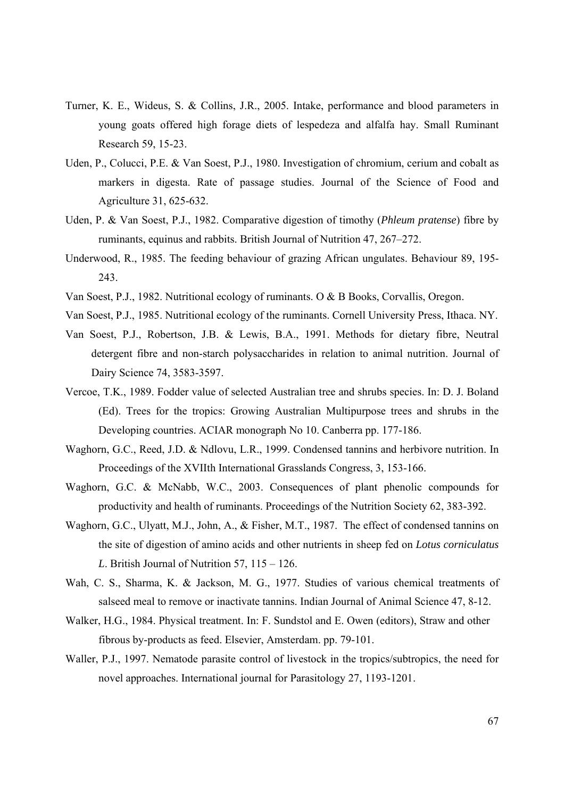- Turner, K. E., Wideus, S. & Collins, J.R., 2005. Intake, performance and blood parameters in young goats offered high forage diets of lespedeza and alfalfa hay. Small Ruminant Research 59, 15-23.
- Uden, P., Colucci, P.E. & Van Soest, P.J., 1980. Investigation of chromium, cerium and cobalt as markers in digesta. Rate of passage studies. Journal of the Science of Food and Agriculture 31, 625-632.
- Uden, P. & Van Soest, P.J., 1982. Comparative digestion of timothy (*Phleum pratense*) fibre by ruminants, equinus and rabbits. British Journal of Nutrition 47, 267–272.
- Underwood, R., 1985. The feeding behaviour of grazing African ungulates. Behaviour 89, 195- 243.
- Van Soest, P.J., 1982. Nutritional ecology of ruminants. O & B Books, Corvallis, Oregon.
- Van Soest, P.J., 1985. Nutritional ecology of the ruminants. Cornell University Press, Ithaca. NY.
- Van Soest, P.J., Robertson, J.B. & Lewis, B.A., 1991. Methods for dietary fibre, Neutral detergent fibre and non-starch polysaccharides in relation to animal nutrition. Journal of Dairy Science 74, 3583-3597.
- Vercoe, T.K., 1989. Fodder value of selected Australian tree and shrubs species. In: D. J. Boland (Ed). Trees for the tropics: Growing Australian Multipurpose trees and shrubs in the Developing countries. ACIAR monograph No 10. Canberra pp. 177-186.
- Waghorn, G.C., Reed, J.D. & Ndlovu, L.R., 1999. Condensed tannins and herbivore nutrition. In Proceedings of the XVIIth International Grasslands Congress, 3, 153-166.
- Waghorn, G.C. & McNabb, W.C., 2003. Consequences of plant phenolic compounds for productivity and health of ruminants. Proceedings of the Nutrition Society 62, 383-392.
- Waghorn, G.C., Ulyatt, M.J., John, A., & Fisher, M.T., 1987. The effect of condensed tannins on the site of digestion of amino acids and other nutrients in sheep fed on *Lotus corniculatus L*. British Journal of Nutrition 57, 115 – 126.
- Wah, C. S., Sharma, K. & Jackson, M. G., 1977. Studies of various chemical treatments of salseed meal to remove or inactivate tannins. Indian Journal of Animal Science 47, 8-12.
- Walker, H.G., 1984. Physical treatment. In: F. Sundstol and E. Owen (editors), Straw and other fibrous by-products as feed. Elsevier, Amsterdam. pp. 79-101.
- Waller, P.J., 1997. Nematode parasite control of livestock in the tropics/subtropics, the need for novel approaches. International journal for Parasitology 27, 1193-1201.